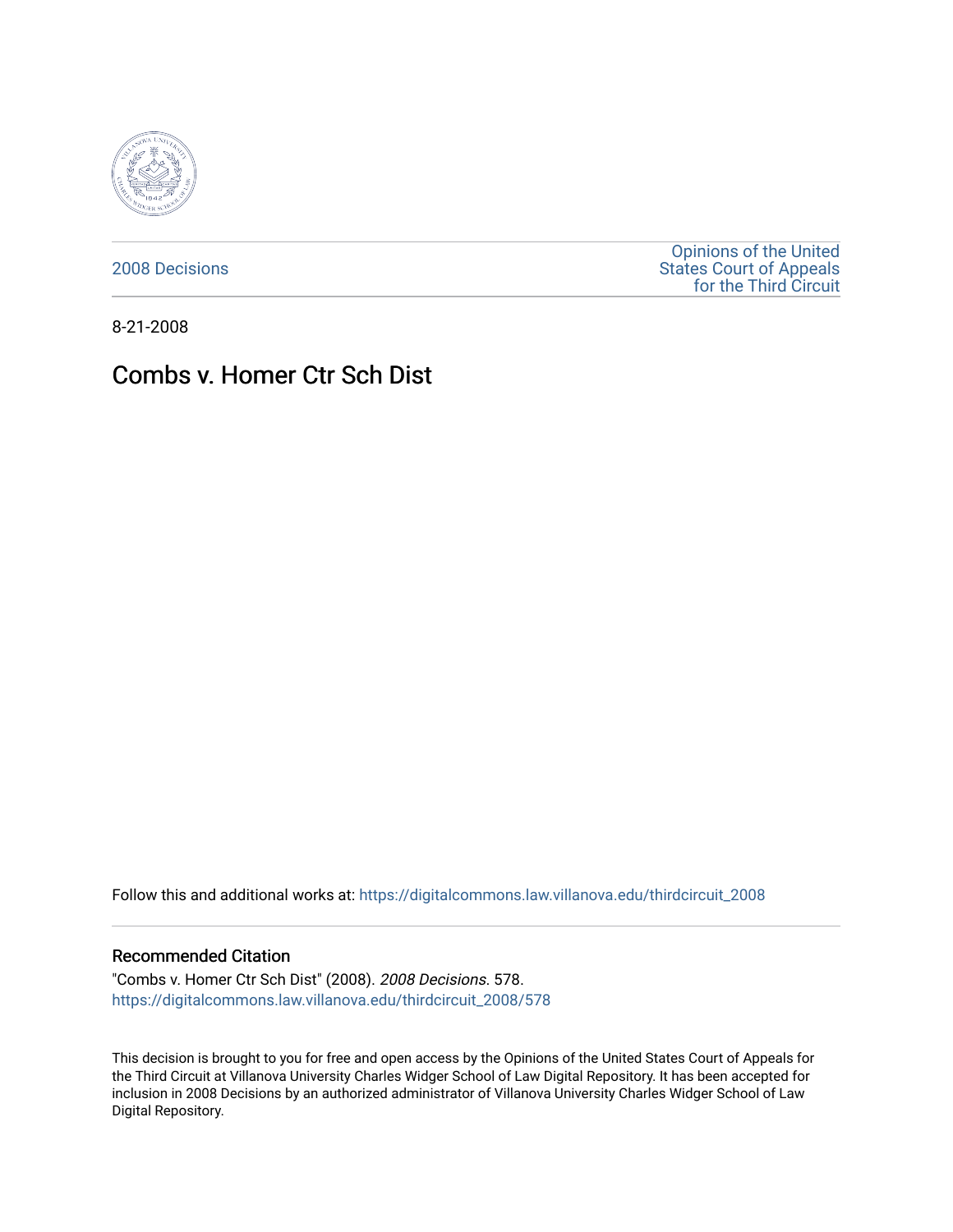

[2008 Decisions](https://digitalcommons.law.villanova.edu/thirdcircuit_2008)

[Opinions of the United](https://digitalcommons.law.villanova.edu/thirdcircuit)  [States Court of Appeals](https://digitalcommons.law.villanova.edu/thirdcircuit)  [for the Third Circuit](https://digitalcommons.law.villanova.edu/thirdcircuit) 

8-21-2008

# Combs v. Homer Ctr Sch Dist

Follow this and additional works at: [https://digitalcommons.law.villanova.edu/thirdcircuit\\_2008](https://digitalcommons.law.villanova.edu/thirdcircuit_2008?utm_source=digitalcommons.law.villanova.edu%2Fthirdcircuit_2008%2F578&utm_medium=PDF&utm_campaign=PDFCoverPages) 

#### Recommended Citation

"Combs v. Homer Ctr Sch Dist" (2008). 2008 Decisions. 578. [https://digitalcommons.law.villanova.edu/thirdcircuit\\_2008/578](https://digitalcommons.law.villanova.edu/thirdcircuit_2008/578?utm_source=digitalcommons.law.villanova.edu%2Fthirdcircuit_2008%2F578&utm_medium=PDF&utm_campaign=PDFCoverPages)

This decision is brought to you for free and open access by the Opinions of the United States Court of Appeals for the Third Circuit at Villanova University Charles Widger School of Law Digital Repository. It has been accepted for inclusion in 2008 Decisions by an authorized administrator of Villanova University Charles Widger School of Law Digital Repository.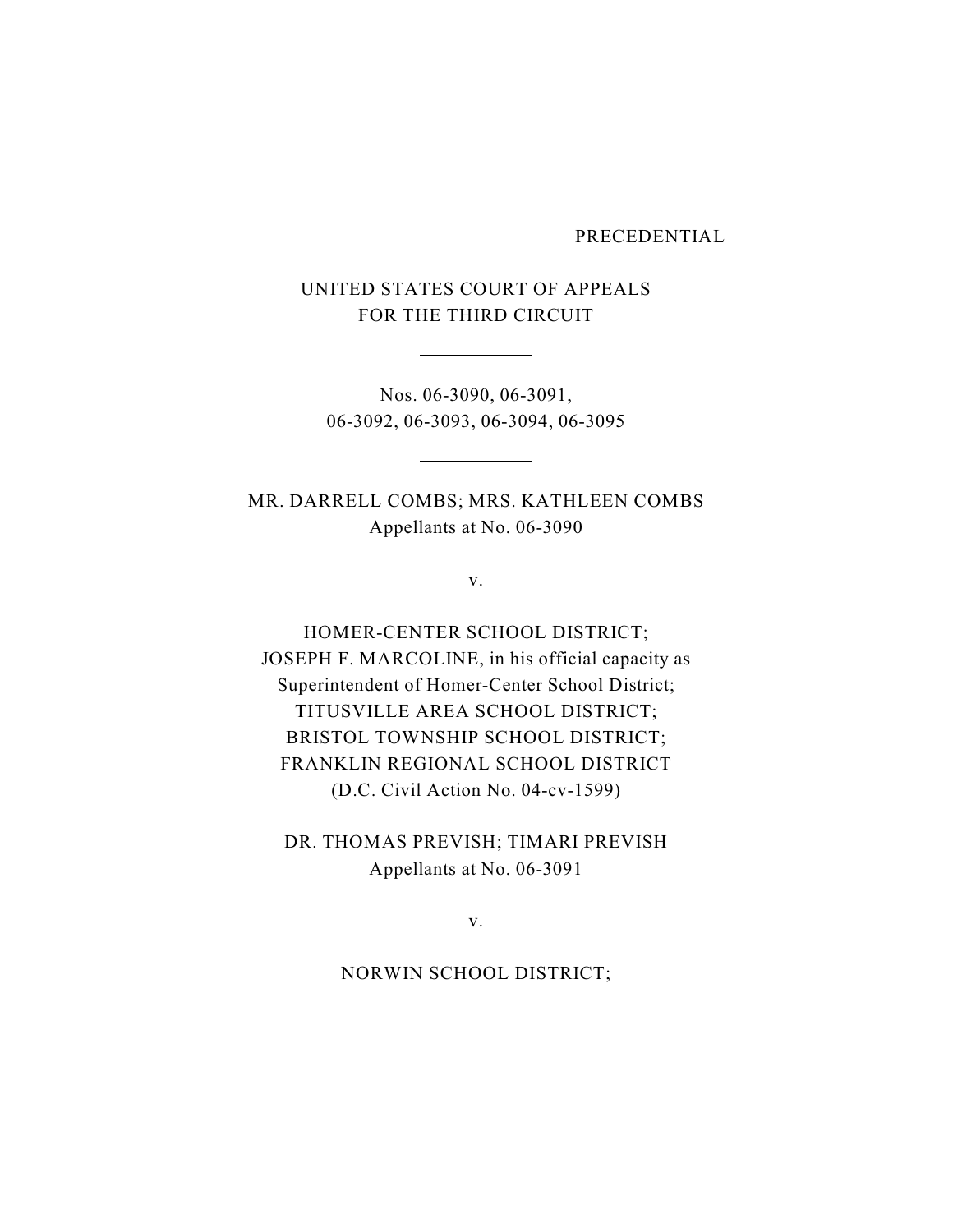#### PRECEDENTIAL

# UNITED STATES COURT OF APPEALS FOR THE THIRD CIRCUIT

Nos. 06-3090, 06-3091, 06-3092, 06-3093, 06-3094, 06-3095

MR. DARRELL COMBS; MRS. KATHLEEN COMBS Appellants at No. 06-3090

v.

HOMER-CENTER SCHOOL DISTRICT; JOSEPH F. MARCOLINE, in his official capacity as Superintendent of Homer-Center School District; TITUSVILLE AREA SCHOOL DISTRICT; BRISTOL TOWNSHIP SCHOOL DISTRICT; FRANKLIN REGIONAL SCHOOL DISTRICT (D.C. Civil Action No. 04-cv-1599)

DR. THOMAS PREVISH; TIMARI PREVISH Appellants at No. 06-3091

v.

NORWIN SCHOOL DISTRICT;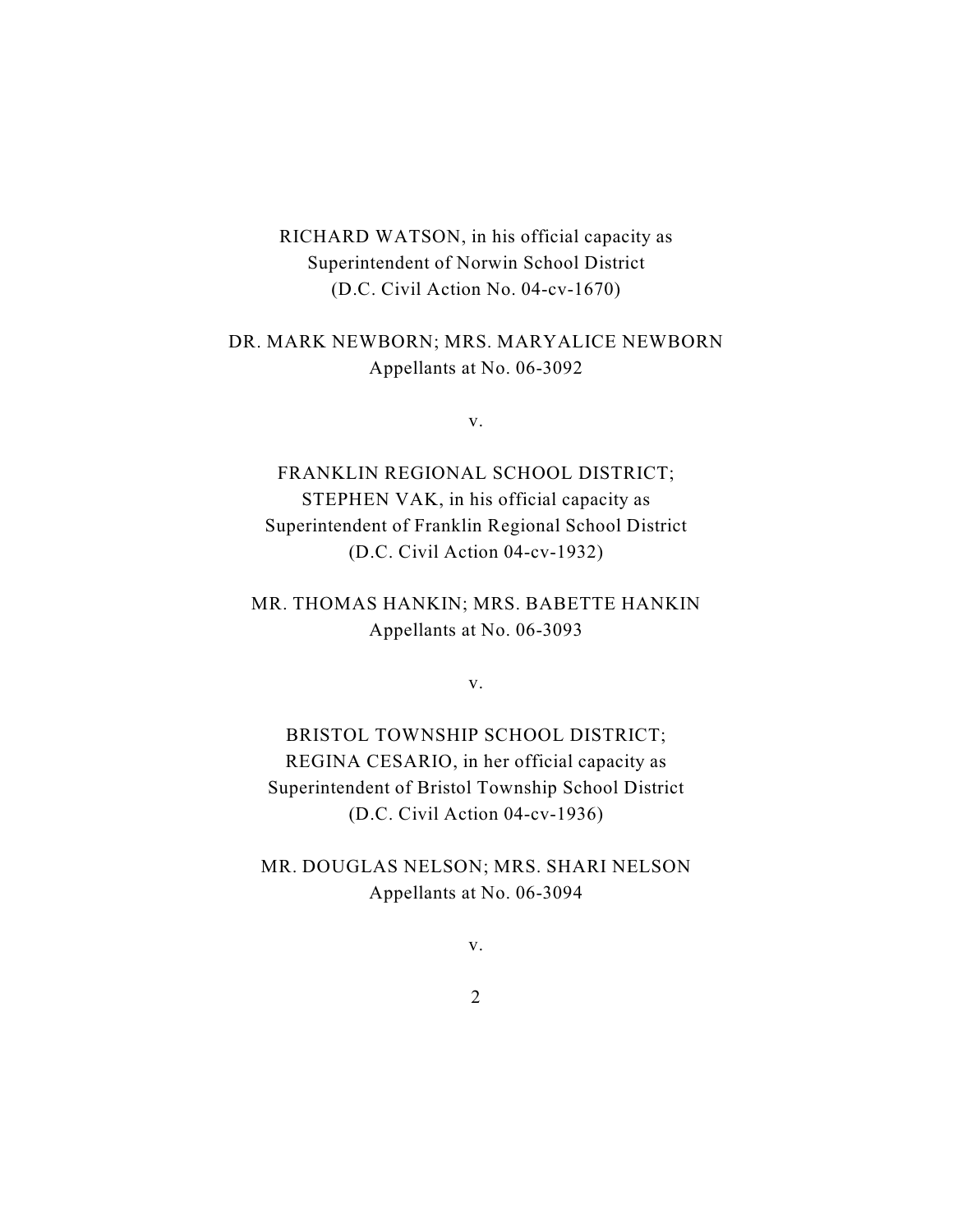# RICHARD WATSON, in his official capacity as Superintendent of Norwin School District (D.C. Civil Action No. 04-cv-1670)

# DR. MARK NEWBORN; MRS. MARYALICE NEWBORN Appellants at No. 06-3092

v.

FRANKLIN REGIONAL SCHOOL DISTRICT; STEPHEN VAK, in his official capacity as Superintendent of Franklin Regional School District (D.C. Civil Action 04-cv-1932)

MR. THOMAS HANKIN; MRS. BABETTE HANKIN Appellants at No. 06-3093

v.

BRISTOL TOWNSHIP SCHOOL DISTRICT; REGINA CESARIO, in her official capacity as Superintendent of Bristol Township School District (D.C. Civil Action 04-cv-1936)

MR. DOUGLAS NELSON; MRS. SHARI NELSON Appellants at No. 06-3094

v.

2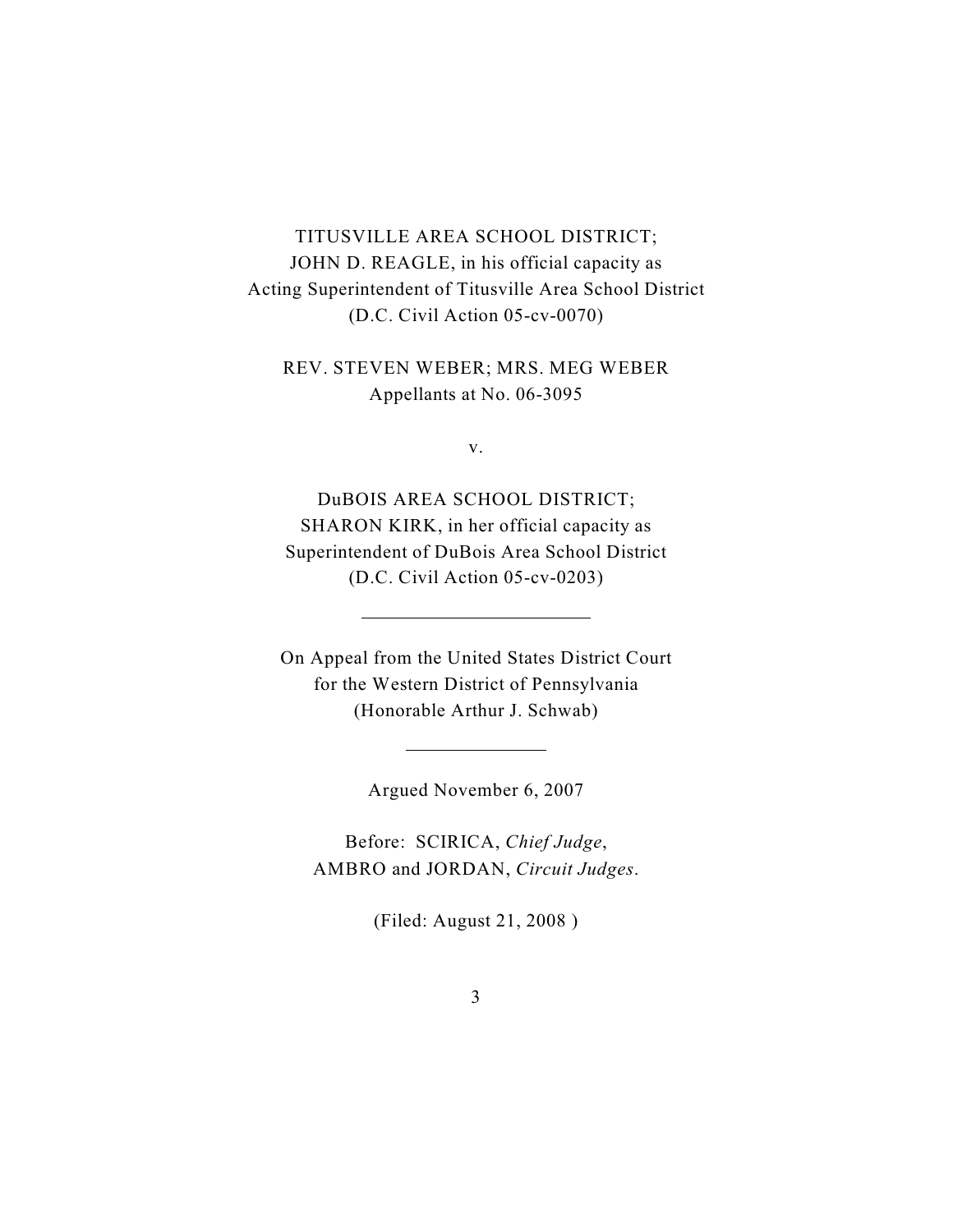# TITUSVILLE AREA SCHOOL DISTRICT; JOHN D. REAGLE, in his official capacity as Acting Superintendent of Titusville Area School District (D.C. Civil Action 05-cv-0070)

REV. STEVEN WEBER; MRS. MEG WEBER Appellants at No. 06-3095

v.

DuBOIS AREA SCHOOL DISTRICT; SHARON KIRK, in her official capacity as Superintendent of DuBois Area School District (D.C. Civil Action 05-cv-0203)

On Appeal from the United States District Court for the Western District of Pennsylvania (Honorable Arthur J. Schwab)

Argued November 6, 2007

Before: SCIRICA, *Chief Judge*, AMBRO and JORDAN, *Circuit Judges*.

(Filed: August 21, 2008 )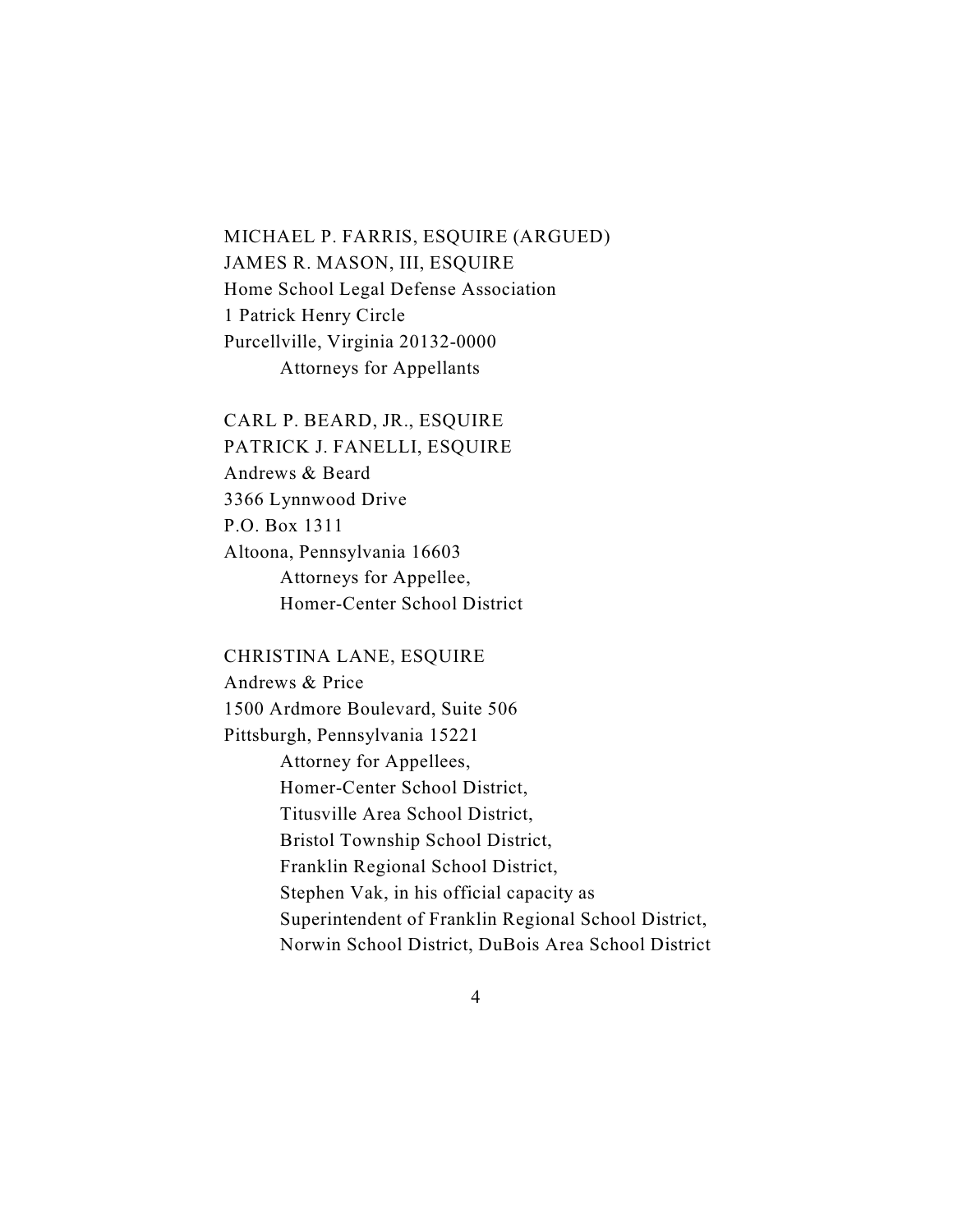MICHAEL P. FARRIS, ESQUIRE (ARGUED) JAMES R. MASON, III, ESQUIRE Home School Legal Defense Association 1 Patrick Henry Circle Purcellville, Virginia 20132-0000 Attorneys for Appellants

CARL P. BEARD, JR., ESQUIRE PATRICK J. FANELLI, ESQUIRE Andrews & Beard 3366 Lynnwood Drive P.O. Box 1311 Altoona, Pennsylvania 16603 Attorneys for Appellee, Homer-Center School District

CHRISTINA LANE, ESQUIRE Andrews & Price 1500 Ardmore Boulevard, Suite 506 Pittsburgh, Pennsylvania 15221 Attorney for Appellees, Homer-Center School District, Titusville Area School District, Bristol Township School District, Franklin Regional School District, Stephen Vak, in his official capacity as Superintendent of Franklin Regional School District, Norwin School District, DuBois Area School District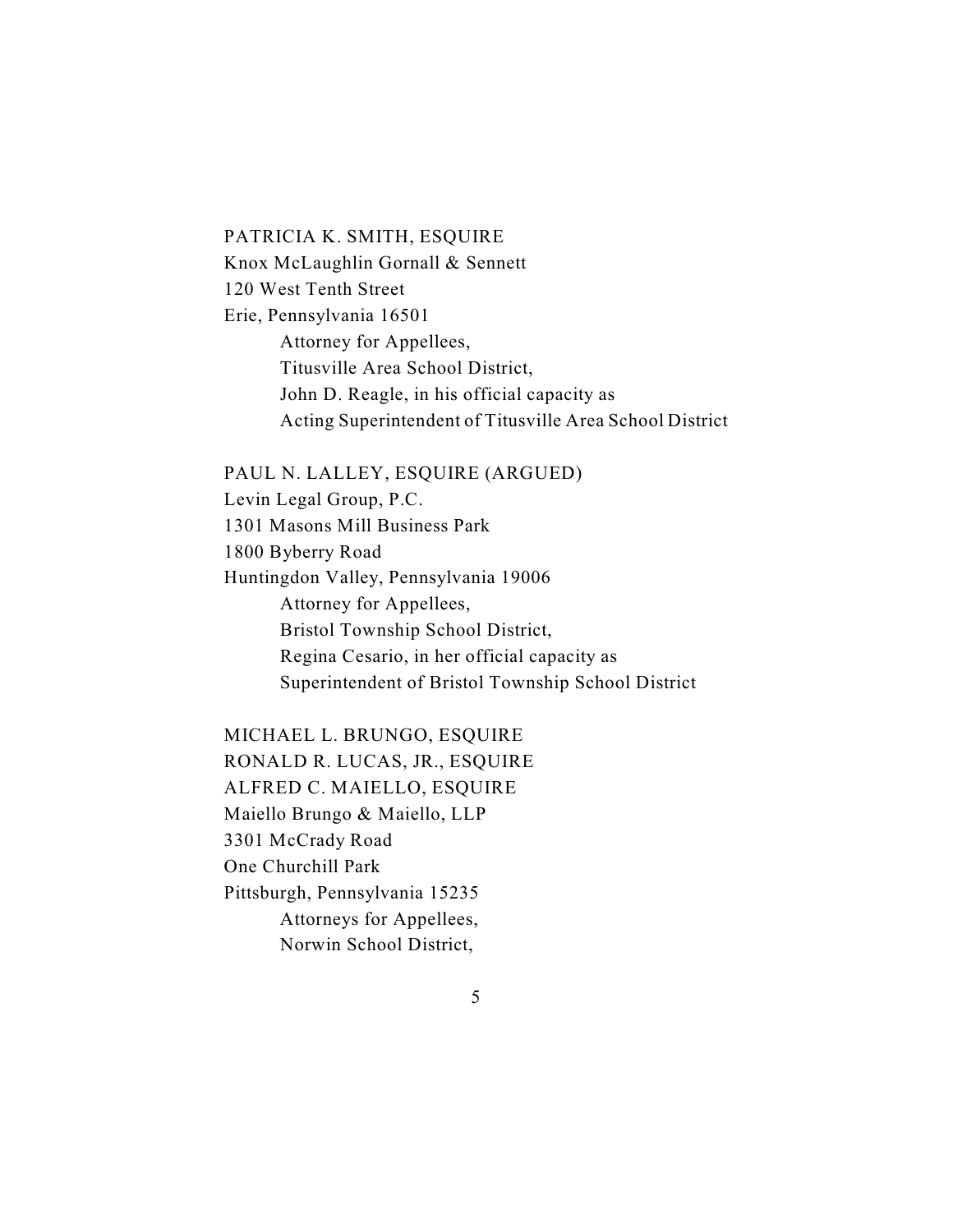#### PATRICIA K. SMITH, ESQUIRE

Knox McLaughlin Gornall & Sennett 120 West Tenth Street Erie, Pennsylvania 16501 Attorney for Appellees, Titusville Area School District, John D. Reagle, in his official capacity as Acting Superintendent of Titusville Area School District

PAUL N. LALLEY, ESQUIRE (ARGUED)

Levin Legal Group, P.C. 1301 Masons Mill Business Park 1800 Byberry Road Huntingdon Valley, Pennsylvania 19006 Attorney for Appellees, Bristol Township School District, Regina Cesario, in her official capacity as Superintendent of Bristol Township School District

MICHAEL L. BRUNGO, ESQUIRE RONALD R. LUCAS, JR., ESQUIRE ALFRED C. MAIELLO, ESQUIRE Maiello Brungo & Maiello, LLP 3301 McCrady Road One Churchill Park Pittsburgh, Pennsylvania 15235 Attorneys for Appellees, Norwin School District,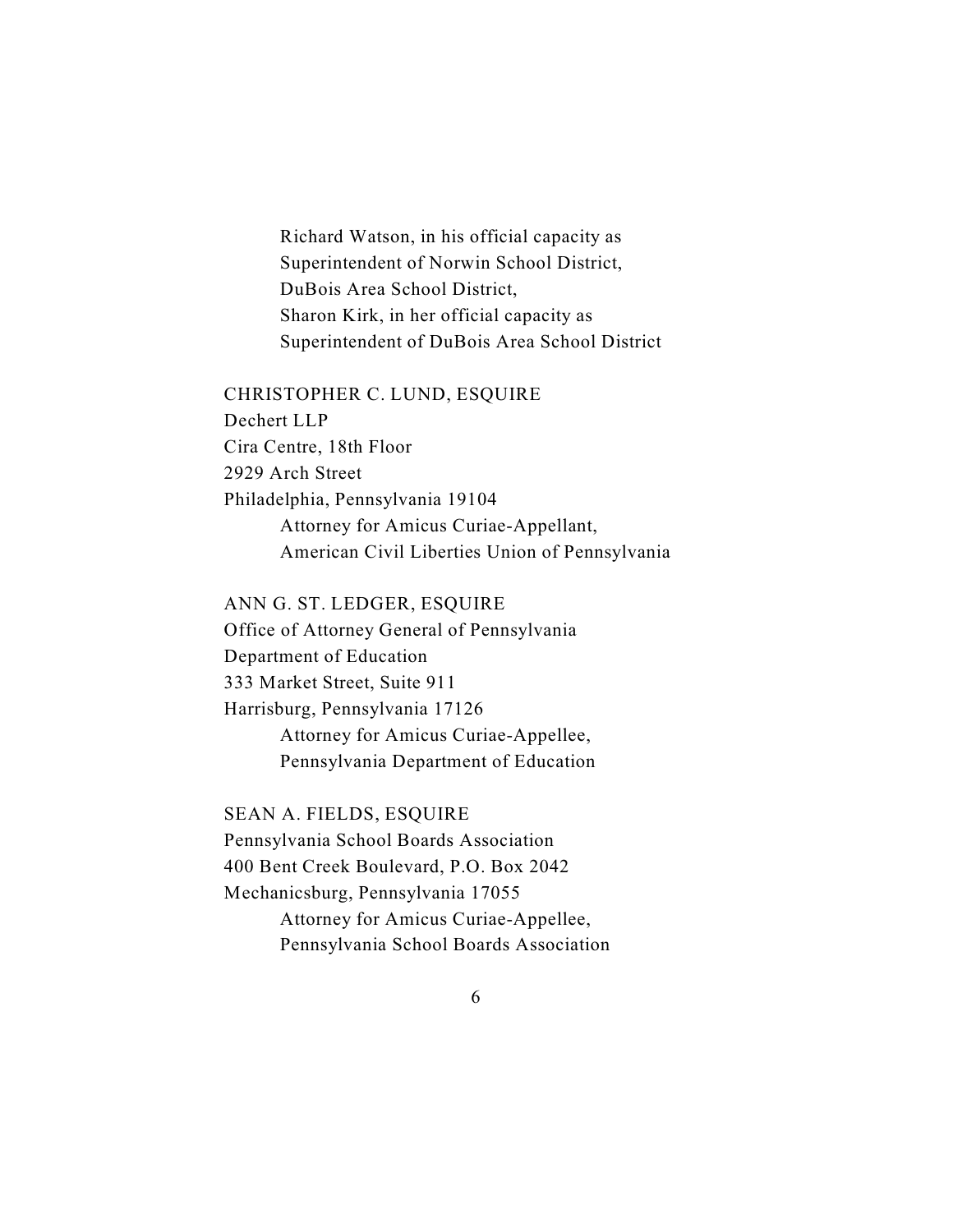Richard Watson, in his official capacity as Superintendent of Norwin School District, DuBois Area School District, Sharon Kirk, in her official capacity as Superintendent of DuBois Area School District

#### CHRISTOPHER C. LUND, ESQUIRE

Dechert LLP Cira Centre, 18th Floor 2929 Arch Street Philadelphia, Pennsylvania 19104 Attorney for Amicus Curiae-Appellant, American Civil Liberties Union of Pennsylvania

ANN G. ST. LEDGER, ESQUIRE

Office of Attorney General of Pennsylvania Department of Education 333 Market Street, Suite 911 Harrisburg, Pennsylvania 17126 Attorney for Amicus Curiae-Appellee, Pennsylvania Department of Education

SEAN A. FIELDS, ESQUIRE

Pennsylvania School Boards Association 400 Bent Creek Boulevard, P.O. Box 2042 Mechanicsburg, Pennsylvania 17055 Attorney for Amicus Curiae-Appellee, Pennsylvania School Boards Association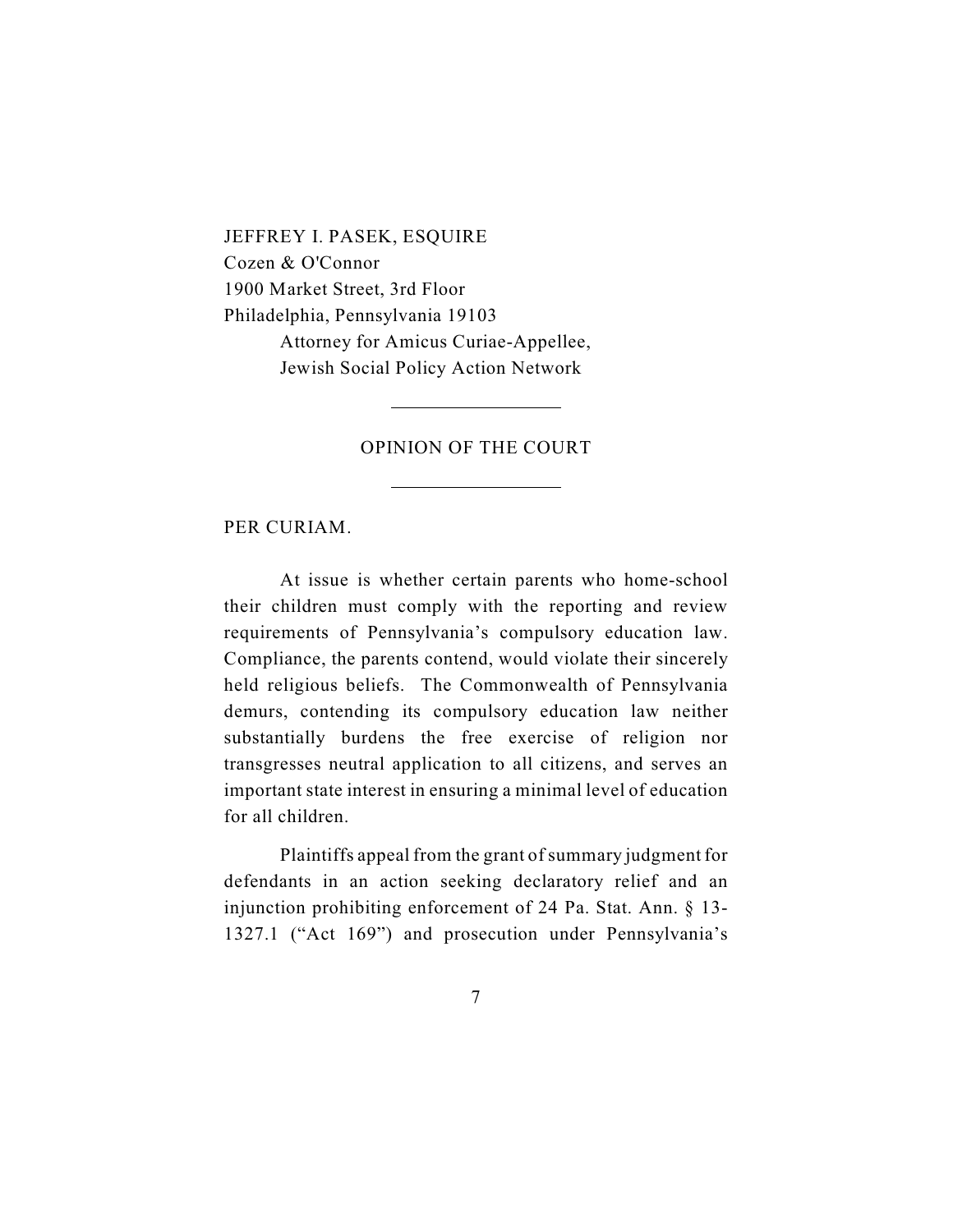JEFFREY I. PASEK, ESQUIRE Cozen & O'Connor 1900 Market Street, 3rd Floor Philadelphia, Pennsylvania 19103 Attorney for Amicus Curiae-Appellee, Jewish Social Policy Action Network

### OPINION OF THE COURT

#### PER CURIAM.

At issue is whether certain parents who home-school their children must comply with the reporting and review requirements of Pennsylvania's compulsory education law. Compliance, the parents contend, would violate their sincerely held religious beliefs. The Commonwealth of Pennsylvania demurs, contending its compulsory education law neither substantially burdens the free exercise of religion nor transgresses neutral application to all citizens, and serves an important state interest in ensuring a minimal level of education for all children.

Plaintiffs appeal from the grant of summary judgment for defendants in an action seeking declaratory relief and an injunction prohibiting enforcement of 24 Pa. Stat. Ann. § 13- 1327.1 ("Act 169") and prosecution under Pennsylvania's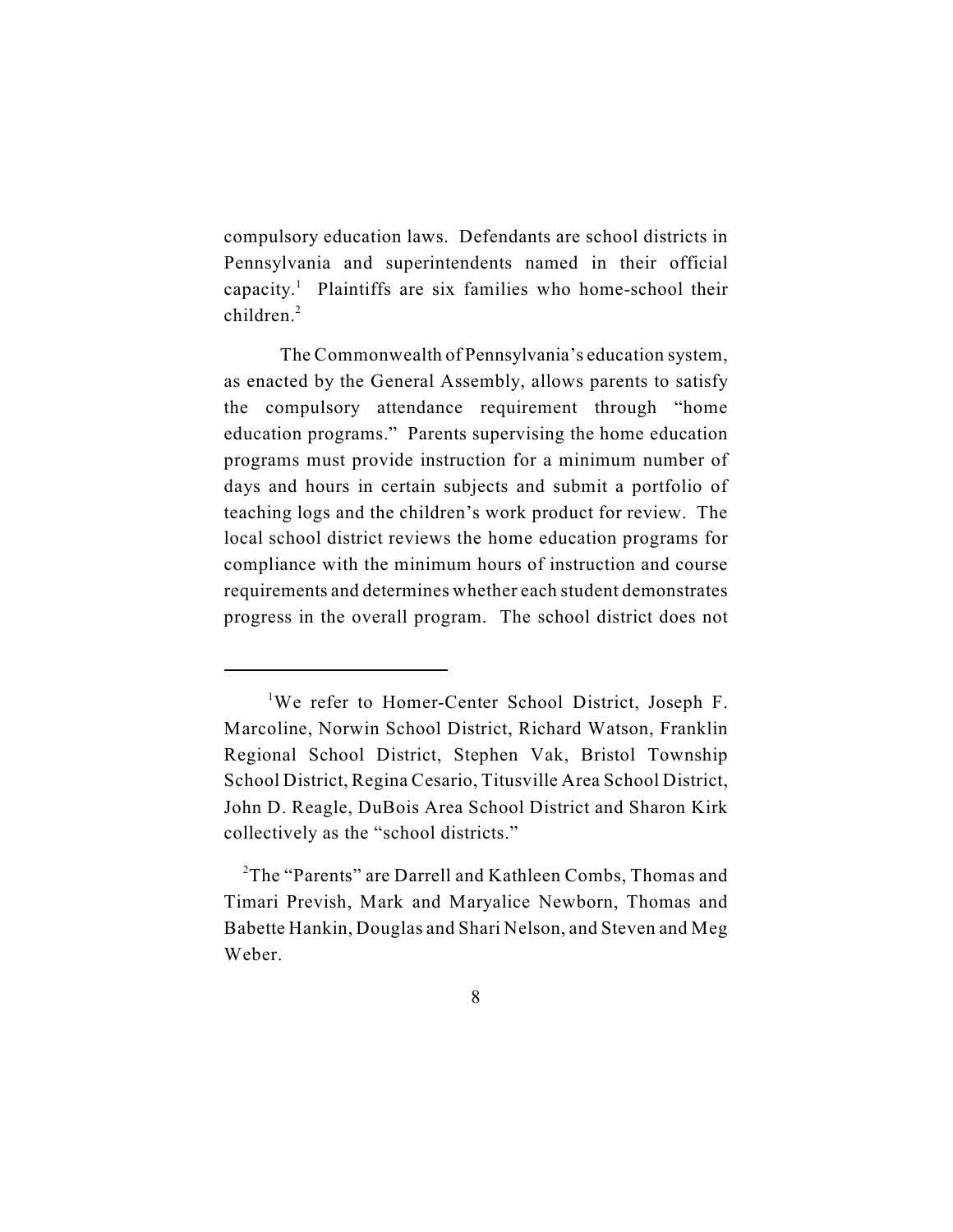compulsory education laws. Defendants are school districts in Pennsylvania and superintendents named in their official capacity.<sup>1</sup> Plaintiffs are six families who home-school their children.<sup>2</sup>

The Commonwealth of Pennsylvania's education system, as enacted by the General Assembly, allows parents to satisfy the compulsory attendance requirement through "home education programs." Parents supervising the home education programs must provide instruction for a minimum number of days and hours in certain subjects and submit a portfolio of teaching logs and the children's work product for review. The local school district reviews the home education programs for compliance with the minimum hours of instruction and course requirements and determines whether each student demonstrates progress in the overall program. The school district does not

<sup>&</sup>lt;sup>1</sup>We refer to Homer-Center School District, Joseph F. Marcoline, Norwin School District, Richard Watson, Franklin Regional School District, Stephen Vak, Bristol Township School District, Regina Cesario, Titusville Area School District, John D. Reagle, DuBois Area School District and Sharon Kirk collectively as the "school districts."

<sup>&</sup>lt;sup>2</sup>The "Parents" are Darrell and Kathleen Combs, Thomas and Timari Prevish, Mark and Maryalice Newborn, Thomas and Babette Hankin, Douglas and Shari Nelson, and Steven and Meg Weber.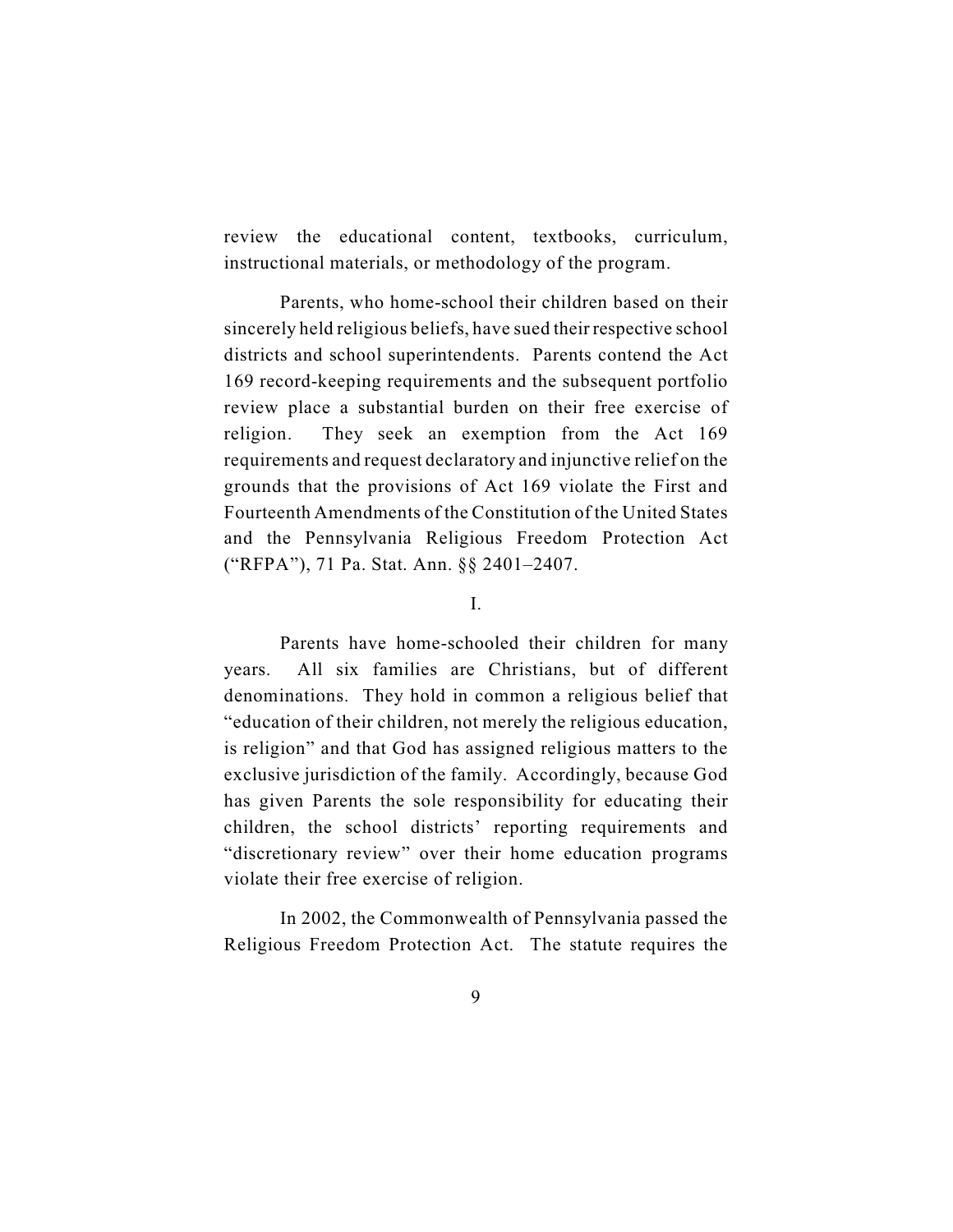review the educational content, textbooks, curriculum, instructional materials, or methodology of the program.

Parents, who home-school their children based on their sincerely held religious beliefs, have sued their respective school districts and school superintendents. Parents contend the Act 169 record-keeping requirements and the subsequent portfolio review place a substantial burden on their free exercise of religion. They seek an exemption from the Act 169 requirements and request declaratory and injunctive relief on the grounds that the provisions of Act 169 violate the First and Fourteenth Amendments of the Constitution of the United States and the Pennsylvania Religious Freedom Protection Act ("RFPA"), 71 Pa. Stat. Ann. §§ 2401–2407.

I.

Parents have home-schooled their children for many years. All six families are Christians, but of different denominations. They hold in common a religious belief that "education of their children, not merely the religious education, is religion" and that God has assigned religious matters to the exclusive jurisdiction of the family. Accordingly, because God has given Parents the sole responsibility for educating their children, the school districts' reporting requirements and "discretionary review" over their home education programs violate their free exercise of religion.

In 2002, the Commonwealth of Pennsylvania passed the Religious Freedom Protection Act. The statute requires the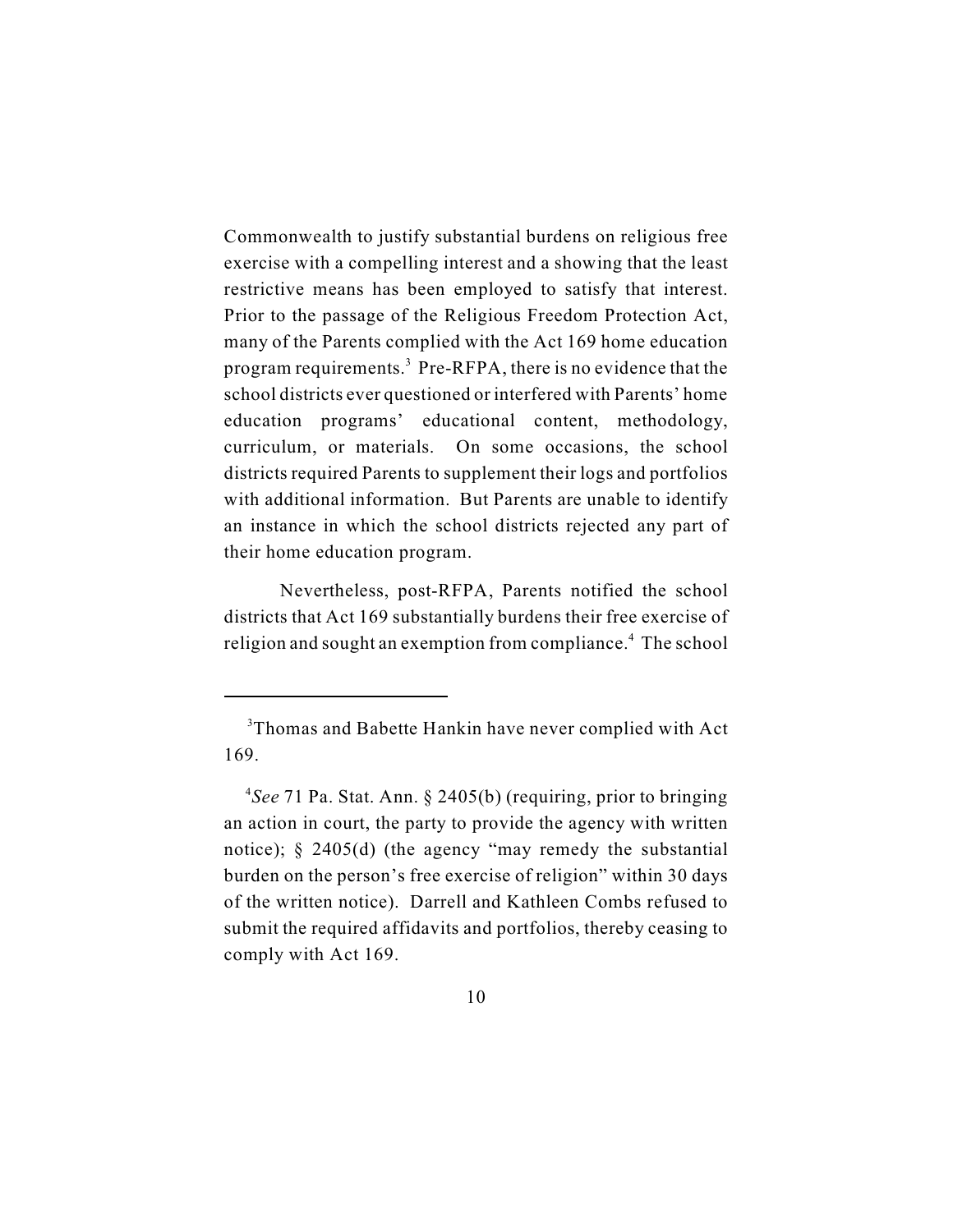Commonwealth to justify substantial burdens on religious free exercise with a compelling interest and a showing that the least restrictive means has been employed to satisfy that interest. Prior to the passage of the Religious Freedom Protection Act, many of the Parents complied with the Act 169 home education program requirements.<sup>3</sup> Pre-RFPA, there is no evidence that the school districts ever questioned or interfered with Parents' home education programs' educational content, methodology, curriculum, or materials. On some occasions, the school districts required Parents to supplement their logs and portfolios with additional information. But Parents are unable to identify an instance in which the school districts rejected any part of their home education program.

Nevertheless, post-RFPA, Parents notified the school districts that Act 169 substantially burdens their free exercise of religion and sought an exemption from compliance.<sup>4</sup> The school

<sup>&</sup>lt;sup>3</sup>Thomas and Babette Hankin have never complied with Act 169.

<sup>&</sup>lt;sup>4</sup>See 71 Pa. Stat. Ann. § 2405(b) (requiring, prior to bringing an action in court, the party to provide the agency with written notice); § 2405(d) (the agency "may remedy the substantial burden on the person's free exercise of religion" within 30 days of the written notice). Darrell and Kathleen Combs refused to submit the required affidavits and portfolios, thereby ceasing to comply with Act 169.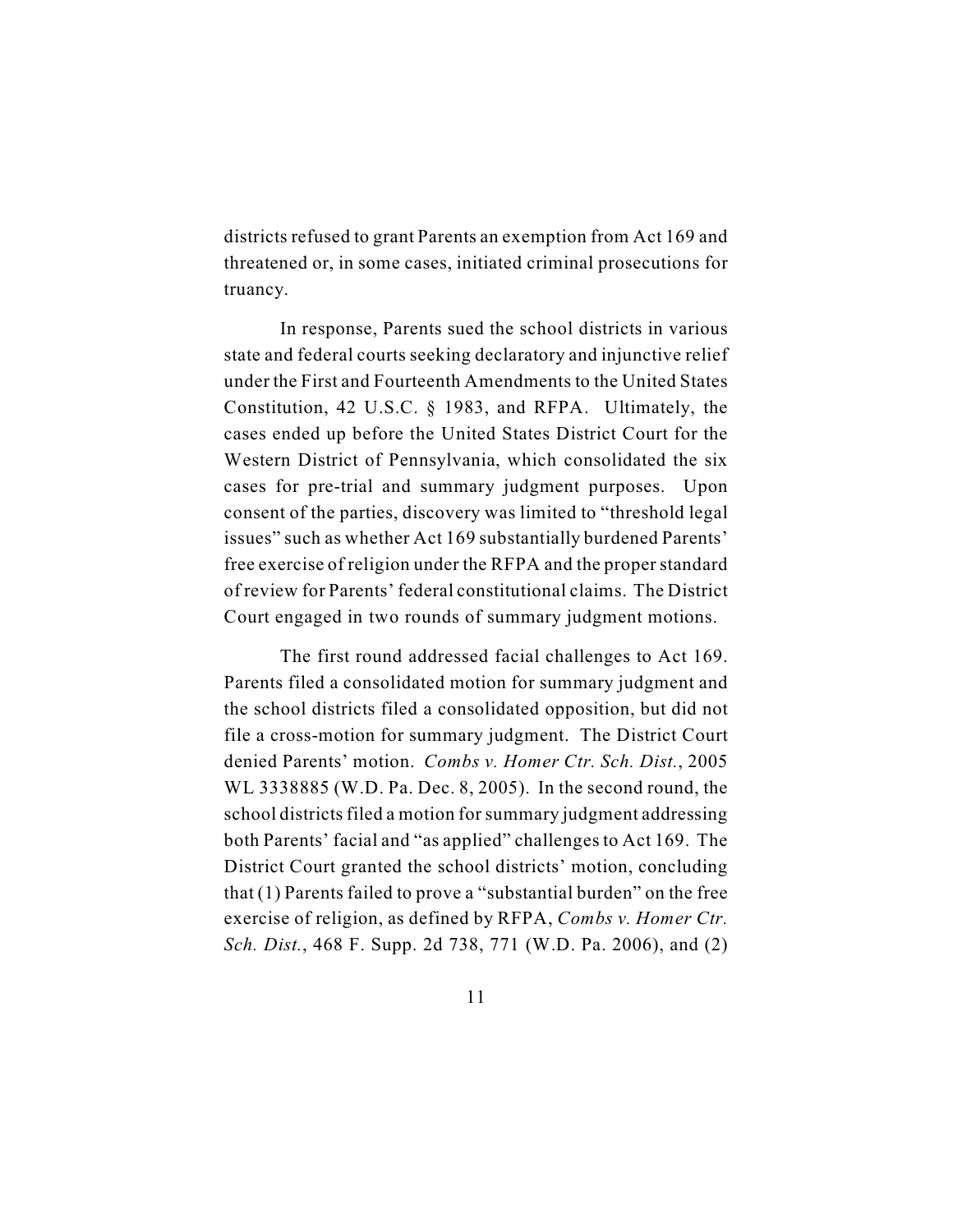districts refused to grant Parents an exemption from Act 169 and threatened or, in some cases, initiated criminal prosecutions for truancy.

In response, Parents sued the school districts in various state and federal courts seeking declaratory and injunctive relief under the First and Fourteenth Amendments to the United States Constitution, 42 U.S.C. § 1983, and RFPA. Ultimately, the cases ended up before the United States District Court for the Western District of Pennsylvania, which consolidated the six cases for pre-trial and summary judgment purposes. Upon consent of the parties, discovery was limited to "threshold legal issues" such as whether Act 169 substantially burdened Parents' free exercise of religion under the RFPA and the proper standard of review for Parents' federal constitutional claims. The District Court engaged in two rounds of summary judgment motions.

The first round addressed facial challenges to Act 169. Parents filed a consolidated motion for summary judgment and the school districts filed a consolidated opposition, but did not file a cross-motion for summary judgment. The District Court denied Parents' motion. *Combs v. Homer Ctr. Sch. Dist.*, 2005 WL 3338885 (W.D. Pa. Dec. 8, 2005). In the second round, the school districts filed a motion for summary judgment addressing both Parents' facial and "as applied" challenges to Act 169. The District Court granted the school districts' motion, concluding that (1) Parents failed to prove a "substantial burden" on the free exercise of religion, as defined by RFPA, *Combs v. Homer Ctr. Sch. Dist.*, 468 F. Supp. 2d 738, 771 (W.D. Pa. 2006), and (2)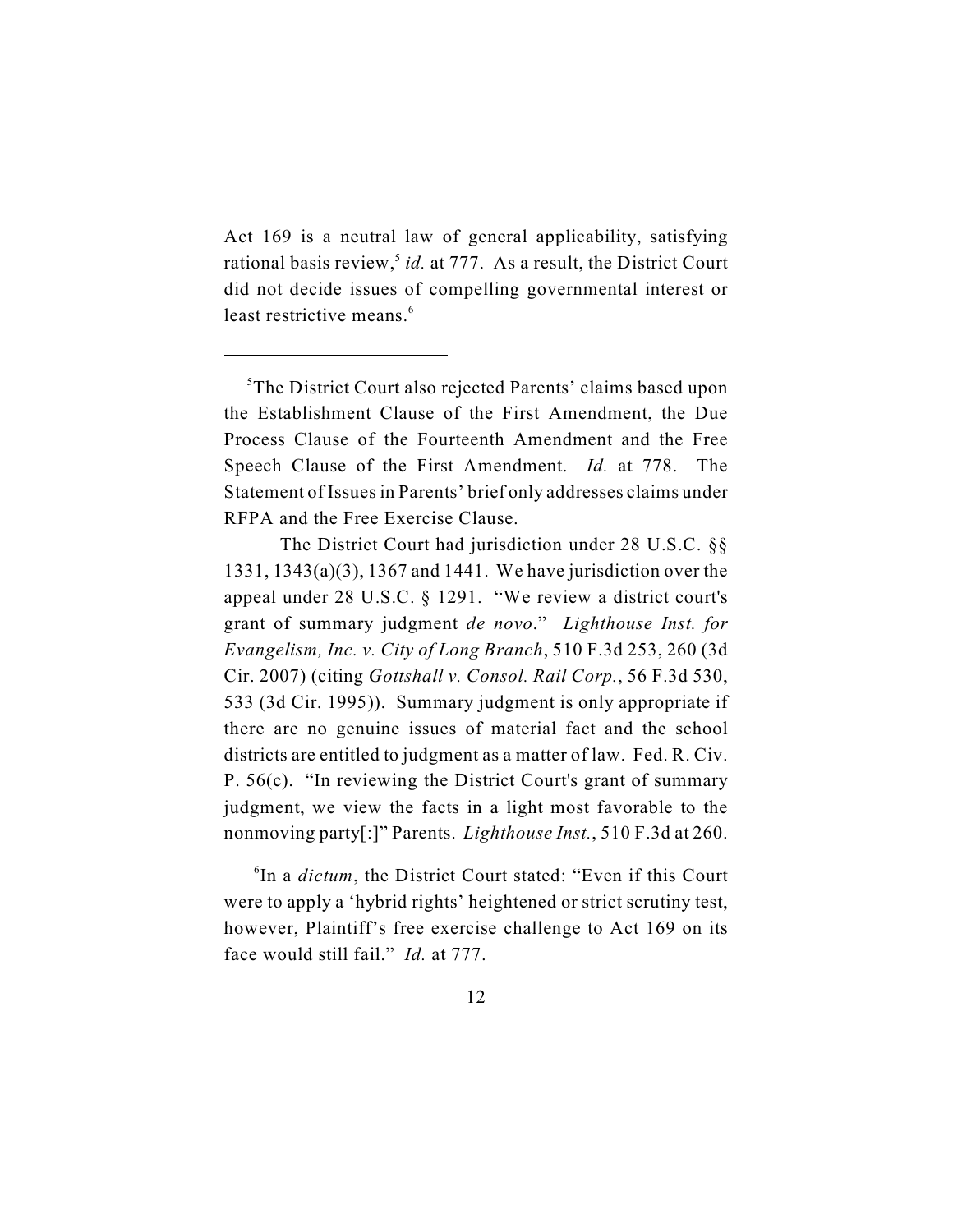Act 169 is a neutral law of general applicability, satisfying rational basis review,<sup>5</sup> id. at 777. As a result, the District Court did not decide issues of compelling governmental interest or least restrictive means.<sup>6</sup>

 ${}^6$ In a *dictum*, the District Court stated: "Even if this Court were to apply a 'hybrid rights' heightened or strict scrutiny test, however, Plaintiff's free exercise challenge to Act 169 on its face would still fail." *Id.* at 777.

 ${}^5$ The District Court also rejected Parents' claims based upon the Establishment Clause of the First Amendment, the Due Process Clause of the Fourteenth Amendment and the Free Speech Clause of the First Amendment. *Id.* at 778. The Statement of Issues in Parents' brief only addresses claims under RFPA and the Free Exercise Clause.

The District Court had jurisdiction under 28 U.S.C. §§ 1331, 1343(a)(3), 1367 and 1441. We have jurisdiction over the appeal under 28 U.S.C. § 1291. "We review a district court's grant of summary judgment *de novo*." *Lighthouse Inst. for Evangelism, Inc. v. City of Long Branch*, 510 F.3d 253, 260 (3d Cir. 2007) (citing *Gottshall v. Consol. Rail Corp.*, 56 F.3d 530, 533 (3d Cir. 1995)). Summary judgment is only appropriate if there are no genuine issues of material fact and the school districts are entitled to judgment as a matter of law. Fed. R. Civ. P. 56(c). "In reviewing the District Court's grant of summary judgment, we view the facts in a light most favorable to the nonmoving party[:]" Parents. *Lighthouse Inst.*, 510 F.3d at 260.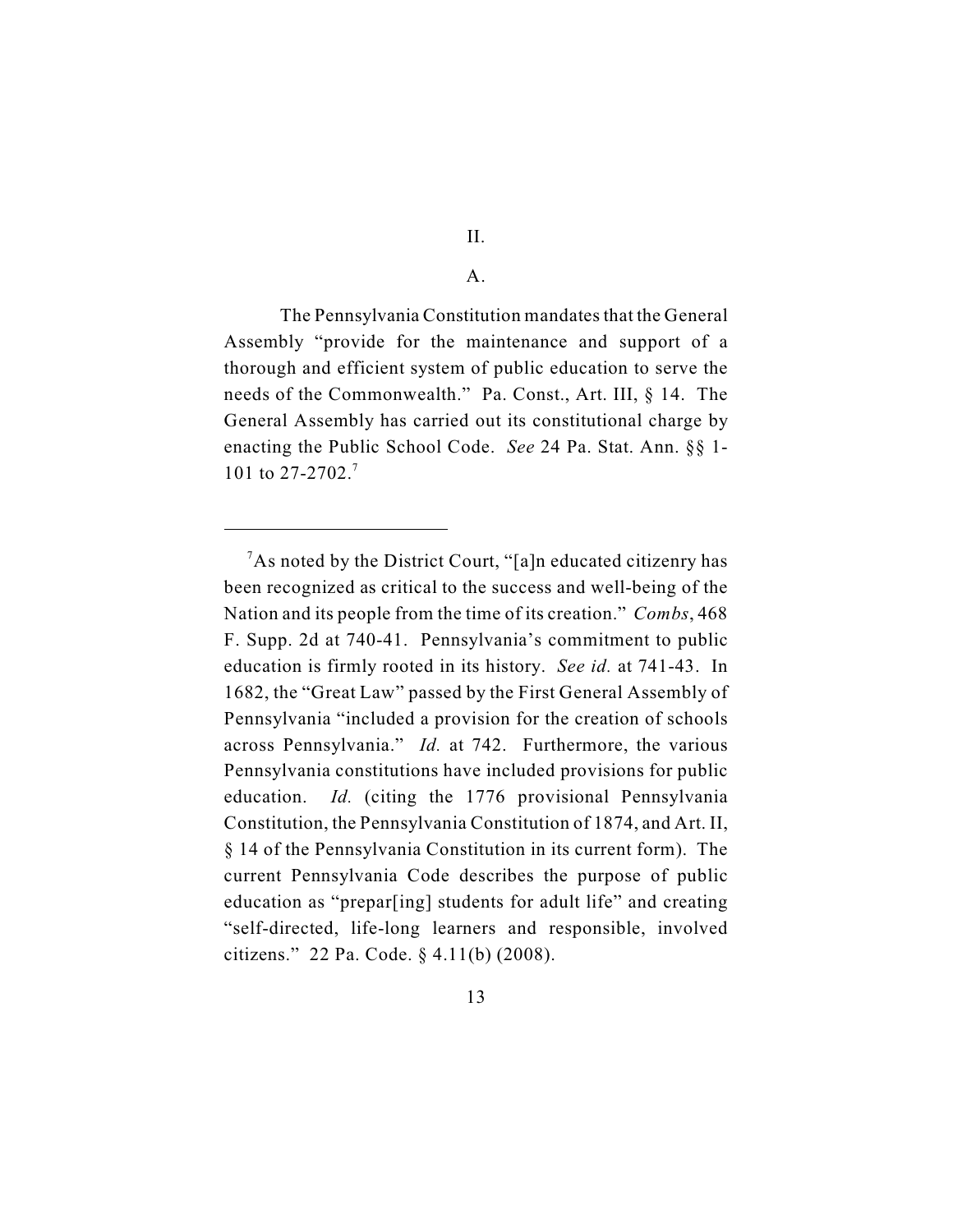#### A.

The Pennsylvania Constitution mandates that the General Assembly "provide for the maintenance and support of a thorough and efficient system of public education to serve the needs of the Commonwealth." Pa. Const., Art. III, § 14. The General Assembly has carried out its constitutional charge by enacting the Public School Code. *See* 24 Pa. Stat. Ann. §§ 1- 101 to 27-2702.<sup>7</sup>

<sup>&</sup>lt;sup>7</sup>As noted by the District Court, "[a]n educated citizenry has been recognized as critical to the success and well-being of the Nation and its people from the time of its creation." *Combs*, 468 F. Supp. 2d at 740-41. Pennsylvania's commitment to public education is firmly rooted in its history. *See id.* at 741-43. In 1682, the "Great Law" passed by the First General Assembly of Pennsylvania "included a provision for the creation of schools across Pennsylvania." *Id.* at 742. Furthermore, the various Pennsylvania constitutions have included provisions for public education. *Id.* (citing the 1776 provisional Pennsylvania Constitution, the Pennsylvania Constitution of 1874, and Art. II, § 14 of the Pennsylvania Constitution in its current form). The current Pennsylvania Code describes the purpose of public education as "prepar[ing] students for adult life" and creating "self-directed, life-long learners and responsible, involved citizens." 22 Pa. Code. § 4.11(b) (2008).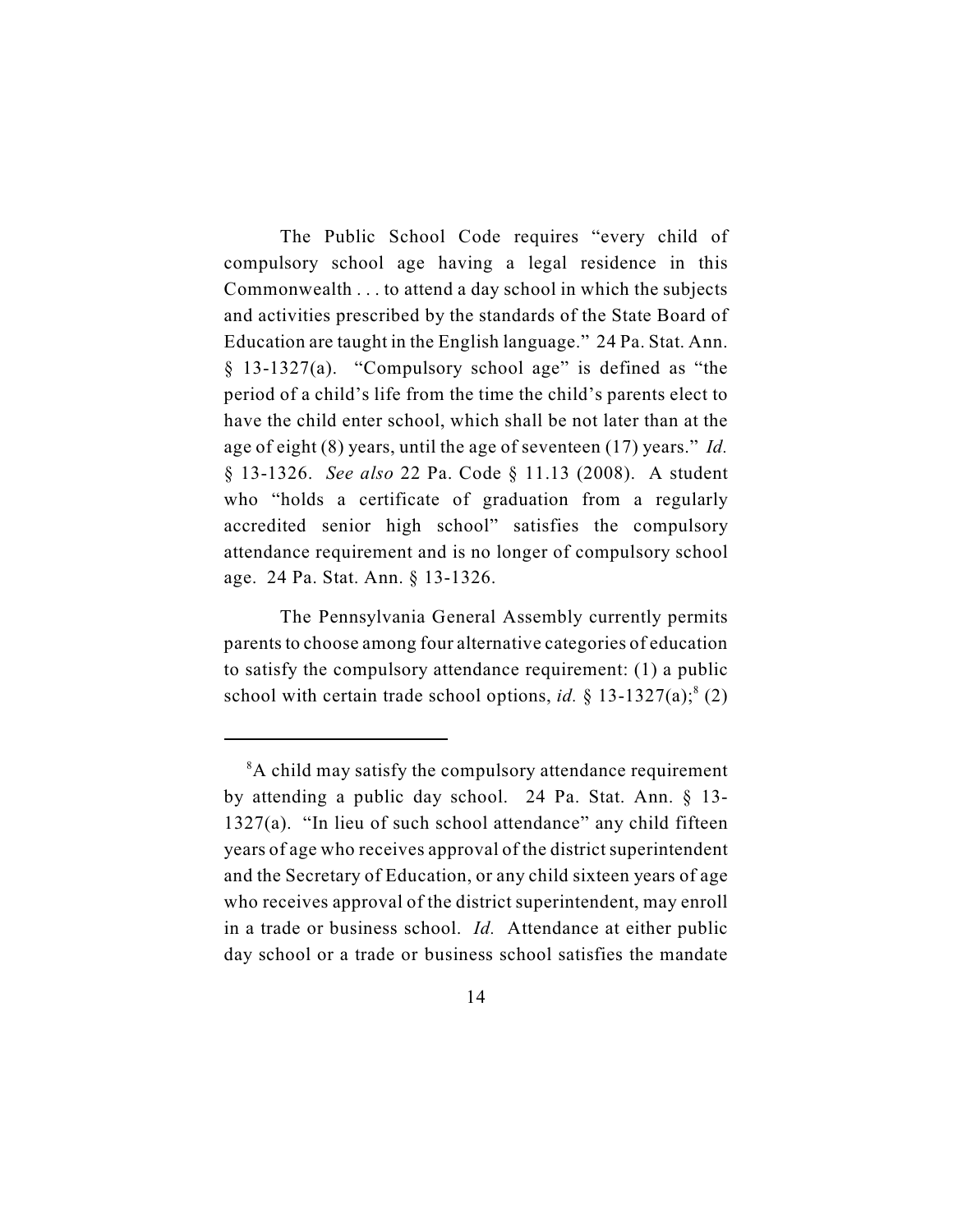The Public School Code requires "every child of compulsory school age having a legal residence in this Commonwealth . . . to attend a day school in which the subjects and activities prescribed by the standards of the State Board of Education are taught in the English language." 24 Pa. Stat. Ann. § 13-1327(a). "Compulsory school age" is defined as "the period of a child's life from the time the child's parents elect to have the child enter school, which shall be not later than at the age of eight (8) years, until the age of seventeen (17) years." *Id.* § 13-1326. *See also* 22 Pa. Code § 11.13 (2008). A student who "holds a certificate of graduation from a regularly accredited senior high school" satisfies the compulsory attendance requirement and is no longer of compulsory school age. 24 Pa. Stat. Ann. § 13-1326.

The Pennsylvania General Assembly currently permits parents to choose among four alternative categories of education to satisfy the compulsory attendance requirement: (1) a public school with certain trade school options, *id.*  $\S$  13-1327(a);<sup>8</sup> (2)

<sup>&</sup>lt;sup>8</sup>A child may satisfy the compulsory attendance requirement by attending a public day school. 24 Pa. Stat. Ann. § 13- 1327(a). "In lieu of such school attendance" any child fifteen years of age who receives approval of the district superintendent and the Secretary of Education, or any child sixteen years of age who receives approval of the district superintendent, may enroll in a trade or business school. *Id.* Attendance at either public day school or a trade or business school satisfies the mandate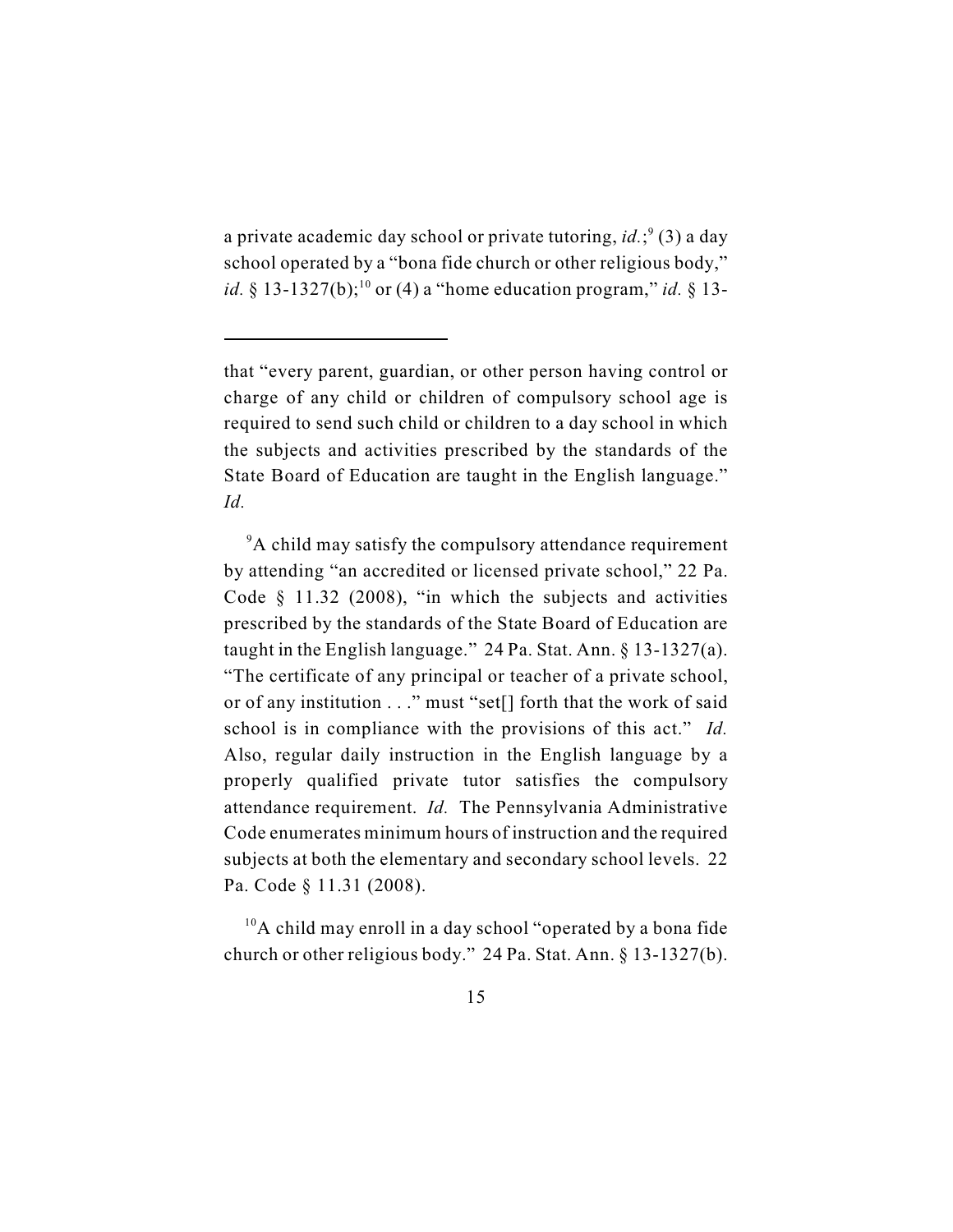a private academic day school or private tutoring,  $id$ ;  $\left(3\right)$  a day school operated by a "bona fide church or other religious body," *id.*  $§ 13-1327(b)$ ;<sup>10</sup> or (4) a "home education program," *id.*  $§ 13-100$ 

 $10A$  child may enroll in a day school "operated by a bona fide church or other religious body." 24 Pa. Stat. Ann. § 13-1327(b).

that "every parent, guardian, or other person having control or charge of any child or children of compulsory school age is required to send such child or children to a day school in which the subjects and activities prescribed by the standards of the State Board of Education are taught in the English language." *Id.*

<sup>&</sup>lt;sup>9</sup>A child may satisfy the compulsory attendance requirement by attending "an accredited or licensed private school," 22 Pa. Code § 11.32 (2008), "in which the subjects and activities prescribed by the standards of the State Board of Education are taught in the English language." 24 Pa. Stat. Ann. § 13-1327(a). "The certificate of any principal or teacher of a private school, or of any institution . . ." must "set[] forth that the work of said school is in compliance with the provisions of this act." *Id.* Also, regular daily instruction in the English language by a properly qualified private tutor satisfies the compulsory attendance requirement. *Id.* The Pennsylvania Administrative Code enumerates minimum hours of instruction and the required subjects at both the elementary and secondary school levels. 22 Pa. Code § 11.31 (2008).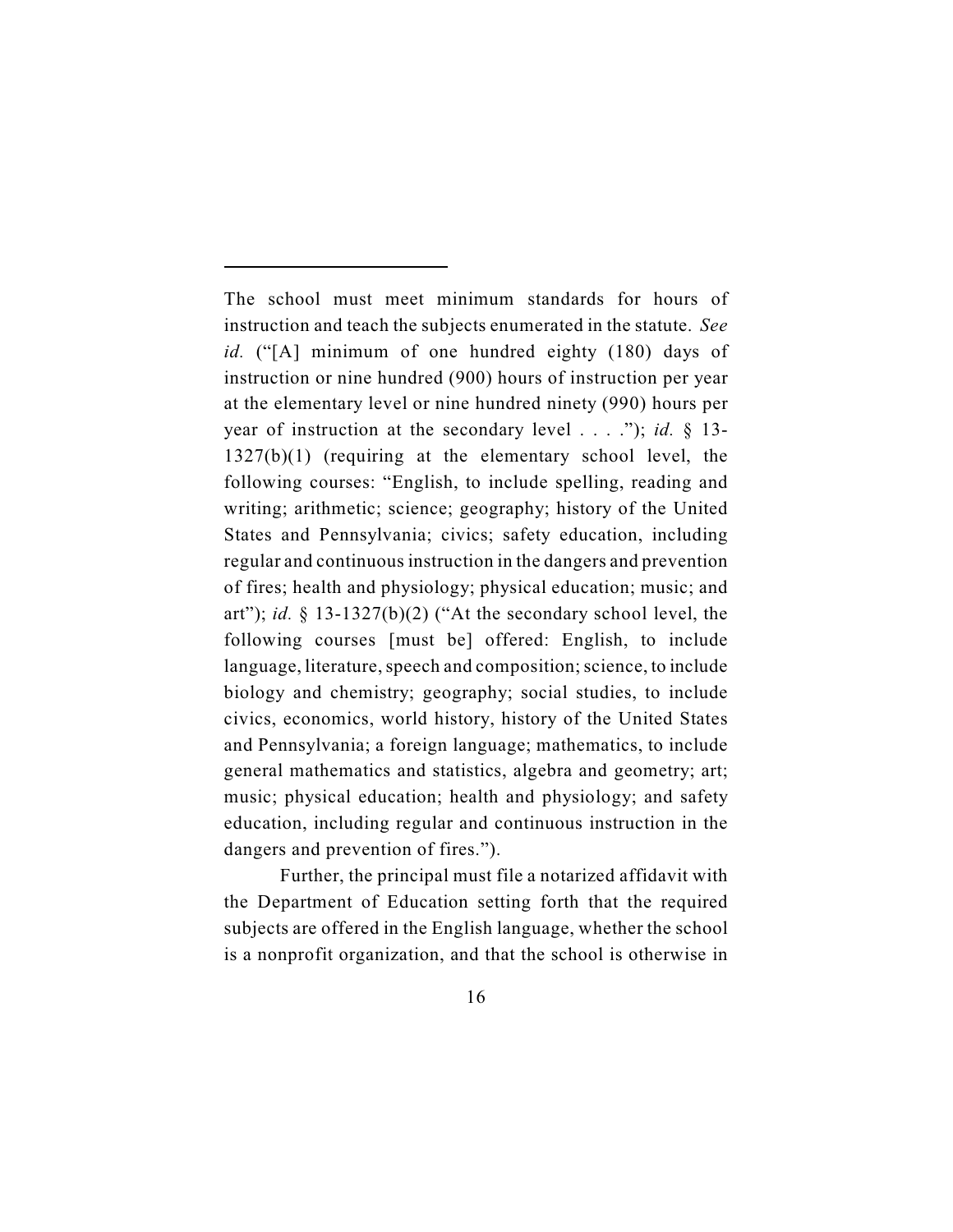The school must meet minimum standards for hours of instruction and teach the subjects enumerated in the statute. *See id.* ("[A] minimum of one hundred eighty (180) days of instruction or nine hundred (900) hours of instruction per year at the elementary level or nine hundred ninety (990) hours per year of instruction at the secondary level . . . ."); *id.* § 13- 1327(b)(1) (requiring at the elementary school level, the following courses: "English, to include spelling, reading and writing; arithmetic; science; geography; history of the United States and Pennsylvania; civics; safety education, including regular and continuous instruction in the dangers and prevention of fires; health and physiology; physical education; music; and art"); *id.* § 13-1327(b)(2) ("At the secondary school level, the following courses [must be] offered: English, to include language, literature, speech and composition; science, to include biology and chemistry; geography; social studies, to include civics, economics, world history, history of the United States and Pennsylvania; a foreign language; mathematics, to include general mathematics and statistics, algebra and geometry; art; music; physical education; health and physiology; and safety education, including regular and continuous instruction in the dangers and prevention of fires.").

Further, the principal must file a notarized affidavit with the Department of Education setting forth that the required subjects are offered in the English language, whether the school is a nonprofit organization, and that the school is otherwise in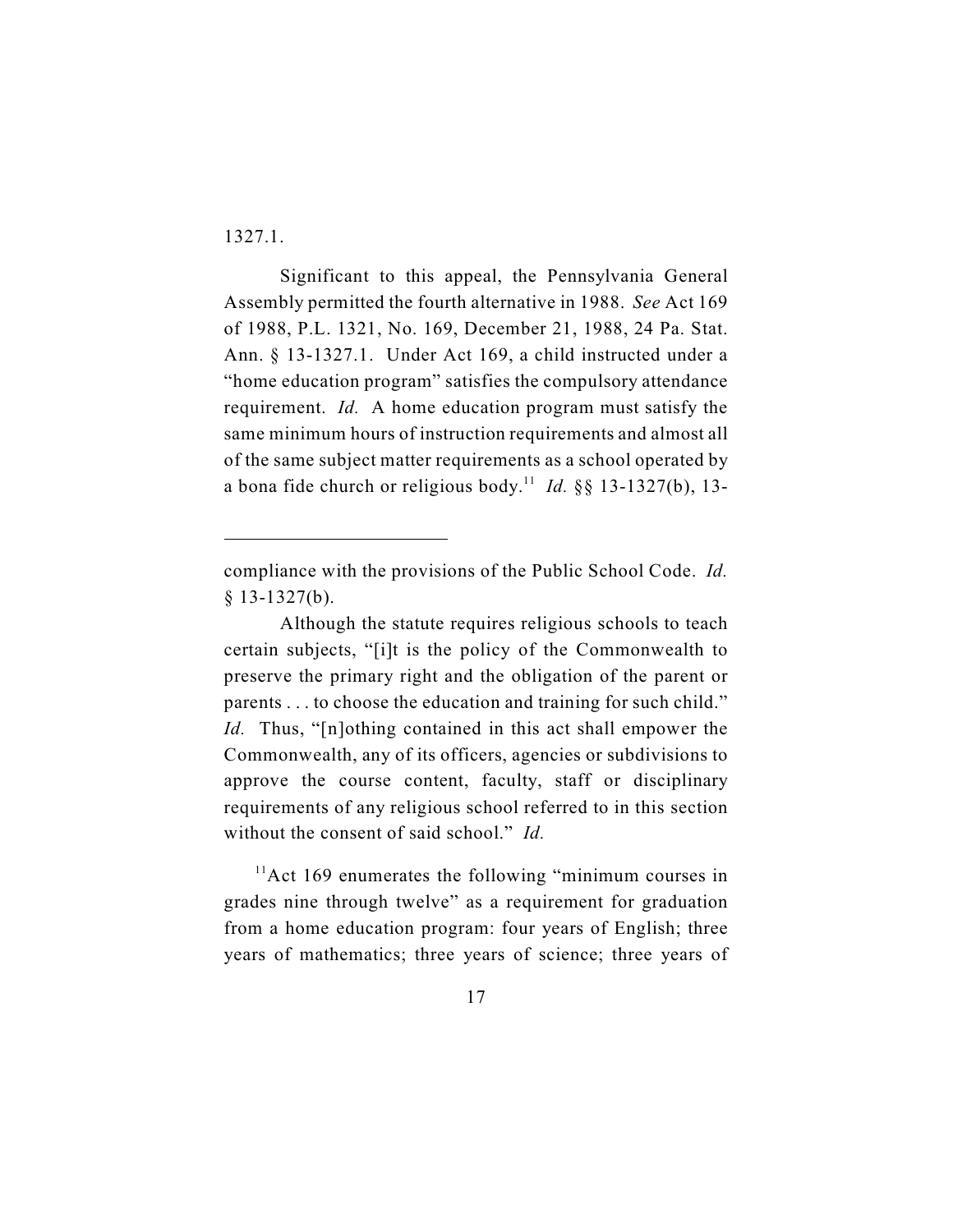1327.1.

Significant to this appeal, the Pennsylvania General Assembly permitted the fourth alternative in 1988. *See* Act 169 of 1988, P.L. 1321, No. 169, December 21, 1988, 24 Pa. Stat. Ann. § 13-1327.1. Under Act 169, a child instructed under a "home education program" satisfies the compulsory attendance requirement. *Id.* A home education program must satisfy the same minimum hours of instruction requirements and almost all of the same subject matter requirements as a school operated by a bona fide church or religious body.<sup>11</sup> *Id.* §§ 13-1327(b), 13-

 $11$ Act 169 enumerates the following "minimum courses in grades nine through twelve" as a requirement for graduation from a home education program: four years of English; three years of mathematics; three years of science; three years of

compliance with the provisions of the Public School Code. *Id.*  $§$  13-1327(b).

Although the statute requires religious schools to teach certain subjects, "[i]t is the policy of the Commonwealth to preserve the primary right and the obligation of the parent or parents . . . to choose the education and training for such child." *Id.* Thus, "[n]othing contained in this act shall empower the Commonwealth, any of its officers, agencies or subdivisions to approve the course content, faculty, staff or disciplinary requirements of any religious school referred to in this section without the consent of said school." *Id.*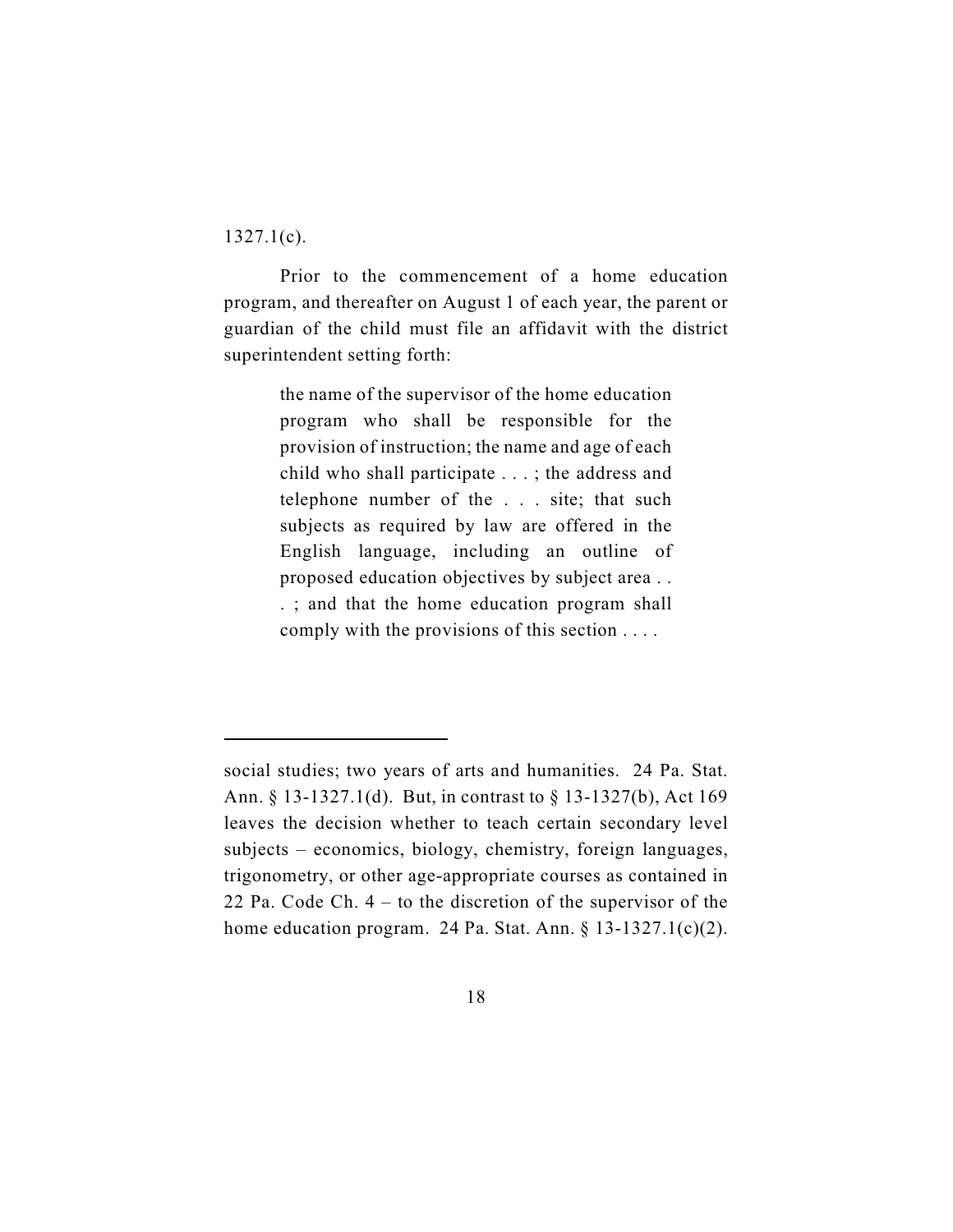$1327.1(c)$ .

Prior to the commencement of a home education program, and thereafter on August 1 of each year, the parent or guardian of the child must file an affidavit with the district superintendent setting forth:

> the name of the supervisor of the home education program who shall be responsible for the provision of instruction; the name and age of each child who shall participate . . . ; the address and telephone number of the . . . site; that such subjects as required by law are offered in the English language, including an outline of proposed education objectives by subject area . . . ; and that the home education program shall comply with the provisions of this section . . . .

social studies; two years of arts and humanities. 24 Pa. Stat. Ann. § 13-1327.1(d). But, in contrast to § 13-1327(b), Act 169 leaves the decision whether to teach certain secondary level subjects – economics, biology, chemistry, foreign languages, trigonometry, or other age-appropriate courses as contained in 22 Pa. Code Ch. 4 – to the discretion of the supervisor of the home education program. 24 Pa. Stat. Ann. § 13-1327.1(c)(2).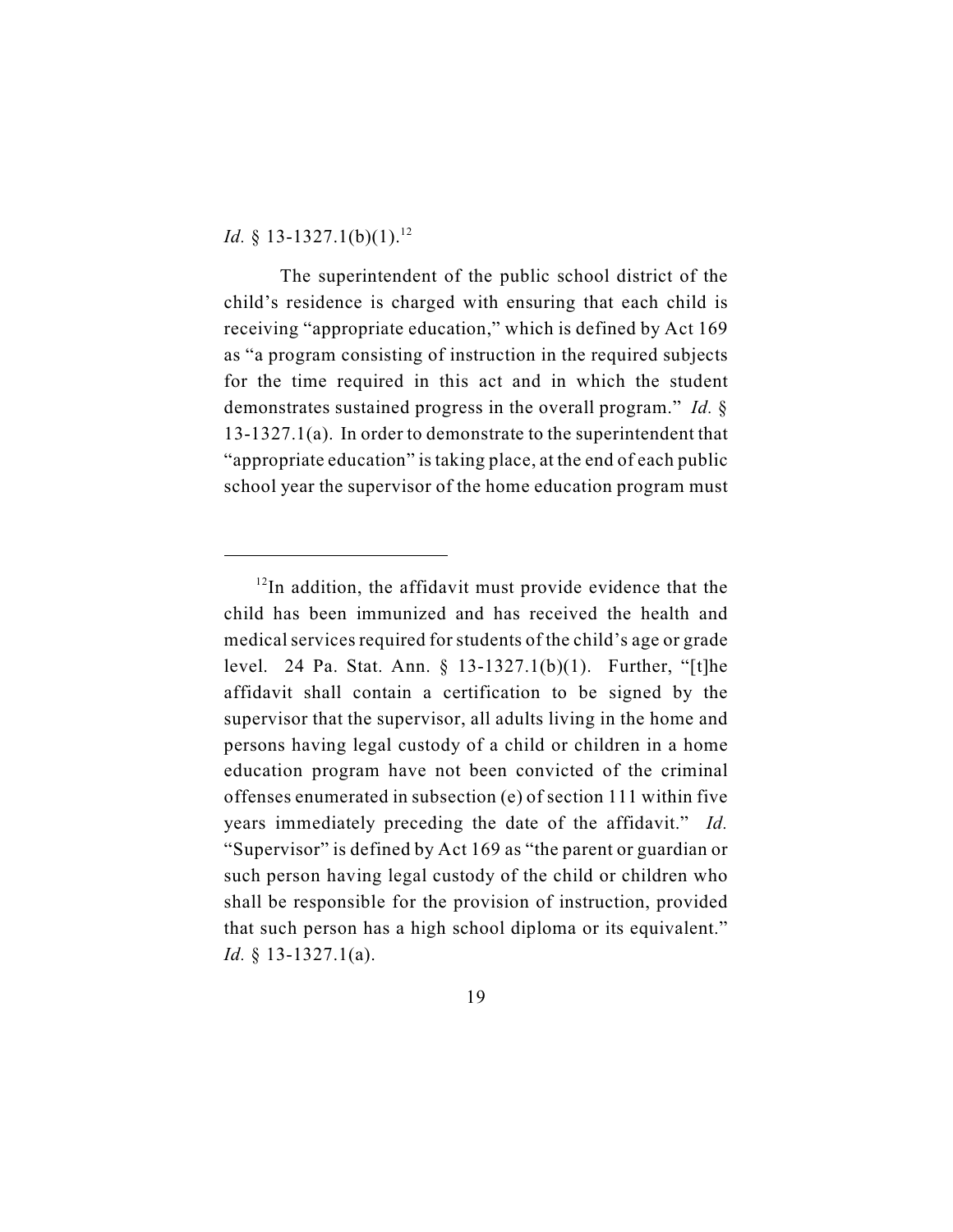*Id.* § 13-1327.1(b)(1).<sup>12</sup>

The superintendent of the public school district of the child's residence is charged with ensuring that each child is receiving "appropriate education," which is defined by Act 169 as "a program consisting of instruction in the required subjects for the time required in this act and in which the student demonstrates sustained progress in the overall program." *Id.* § 13-1327.1(a). In order to demonstrate to the superintendent that "appropriate education" is taking place, at the end of each public school year the supervisor of the home education program must

 $12$ In addition, the affidavit must provide evidence that the child has been immunized and has received the health and medical services required for students of the child's age or grade level. 24 Pa. Stat. Ann. § 13-1327.1(b)(1). Further, "[t]he affidavit shall contain a certification to be signed by the supervisor that the supervisor, all adults living in the home and persons having legal custody of a child or children in a home education program have not been convicted of the criminal offenses enumerated in subsection (e) of section 111 within five years immediately preceding the date of the affidavit." *Id.* "Supervisor" is defined by Act 169 as "the parent or guardian or such person having legal custody of the child or children who shall be responsible for the provision of instruction, provided that such person has a high school diploma or its equivalent." *Id.* § 13-1327.1(a).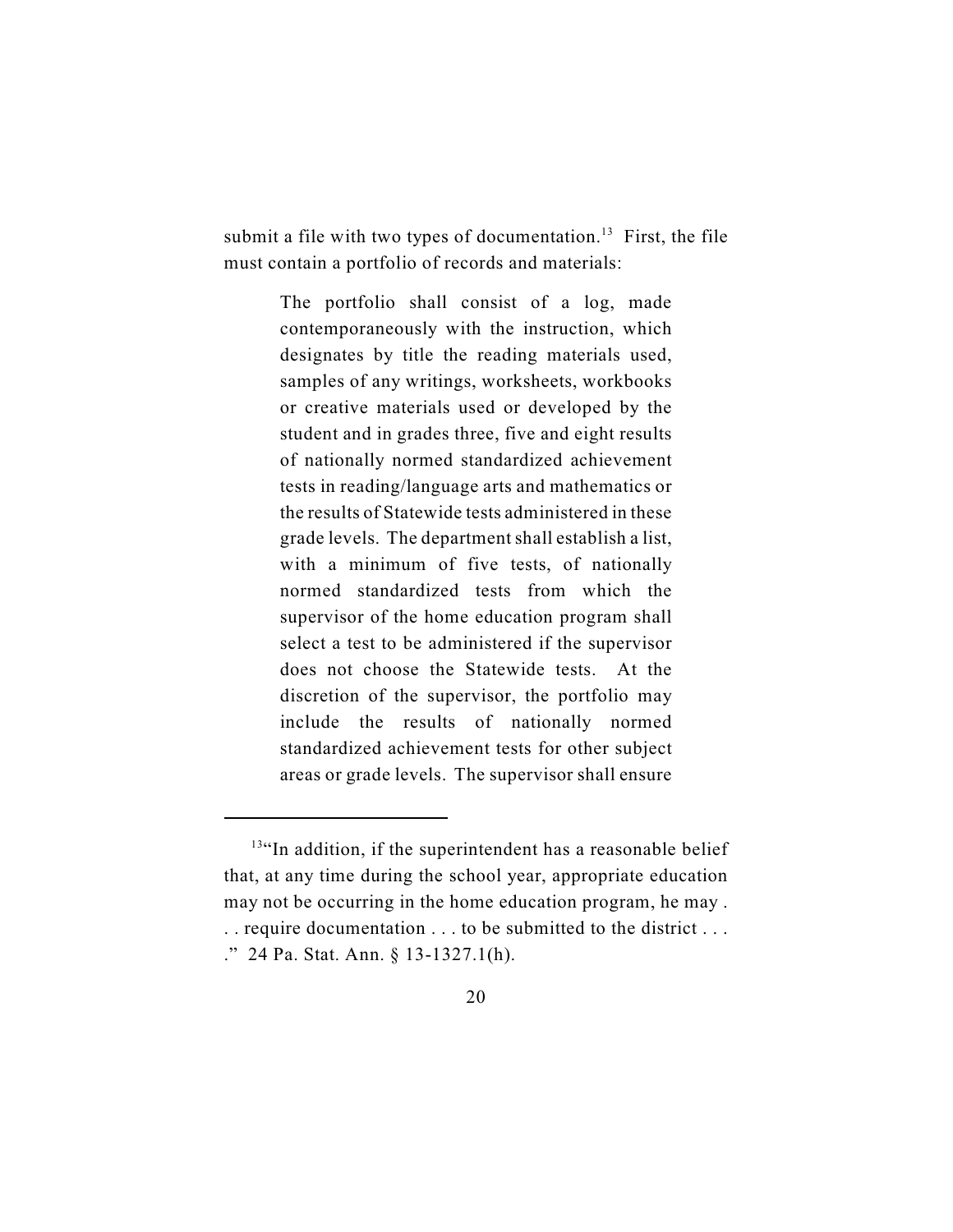submit a file with two types of documentation.<sup>13</sup> First, the file must contain a portfolio of records and materials:

> The portfolio shall consist of a log, made contemporaneously with the instruction, which designates by title the reading materials used, samples of any writings, worksheets, workbooks or creative materials used or developed by the student and in grades three, five and eight results of nationally normed standardized achievement tests in reading/language arts and mathematics or the results of Statewide tests administered in these grade levels. The department shall establish a list, with a minimum of five tests, of nationally normed standardized tests from which the supervisor of the home education program shall select a test to be administered if the supervisor does not choose the Statewide tests. At the discretion of the supervisor, the portfolio may include the results of nationally normed standardized achievement tests for other subject areas or grade levels. The supervisor shall ensure

 $13\text{°}$  In addition, if the superintendent has a reasonable belief that, at any time during the school year, appropriate education may not be occurring in the home education program, he may . . . require documentation . . . to be submitted to the district . . . ." 24 Pa. Stat. Ann. § 13-1327.1(h).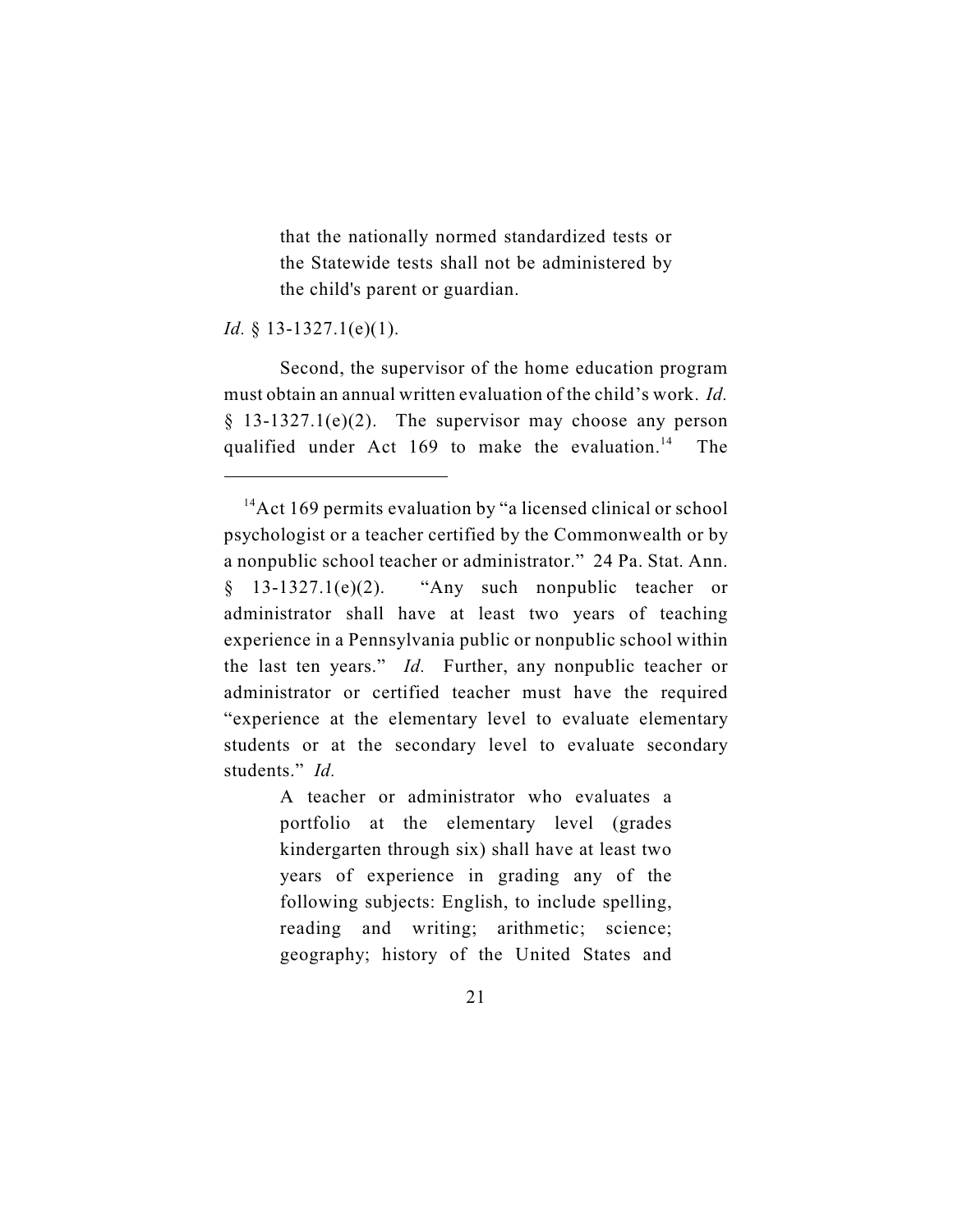that the nationally normed standardized tests or the Statewide tests shall not be administered by the child's parent or guardian.

*Id.* § 13-1327.1(e)(1).

Second, the supervisor of the home education program must obtain an annual written evaluation of the child's work. *Id.*  $§$  13-1327.1(e)(2). The supervisor may choose any person qualified under Act 169 to make the evaluation.<sup>14</sup> The

A teacher or administrator who evaluates a portfolio at the elementary level (grades kindergarten through six) shall have at least two years of experience in grading any of the following subjects: English, to include spelling, reading and writing; arithmetic; science; geography; history of the United States and

 $^{14}$ Act 169 permits evaluation by "a licensed clinical or school psychologist or a teacher certified by the Commonwealth or by a nonpublic school teacher or administrator." 24 Pa. Stat. Ann.  $§$  13-1327.1(e)(2). "Any such nonpublic teacher or administrator shall have at least two years of teaching experience in a Pennsylvania public or nonpublic school within the last ten years." *Id.* Further, any nonpublic teacher or administrator or certified teacher must have the required "experience at the elementary level to evaluate elementary students or at the secondary level to evaluate secondary students." *Id.*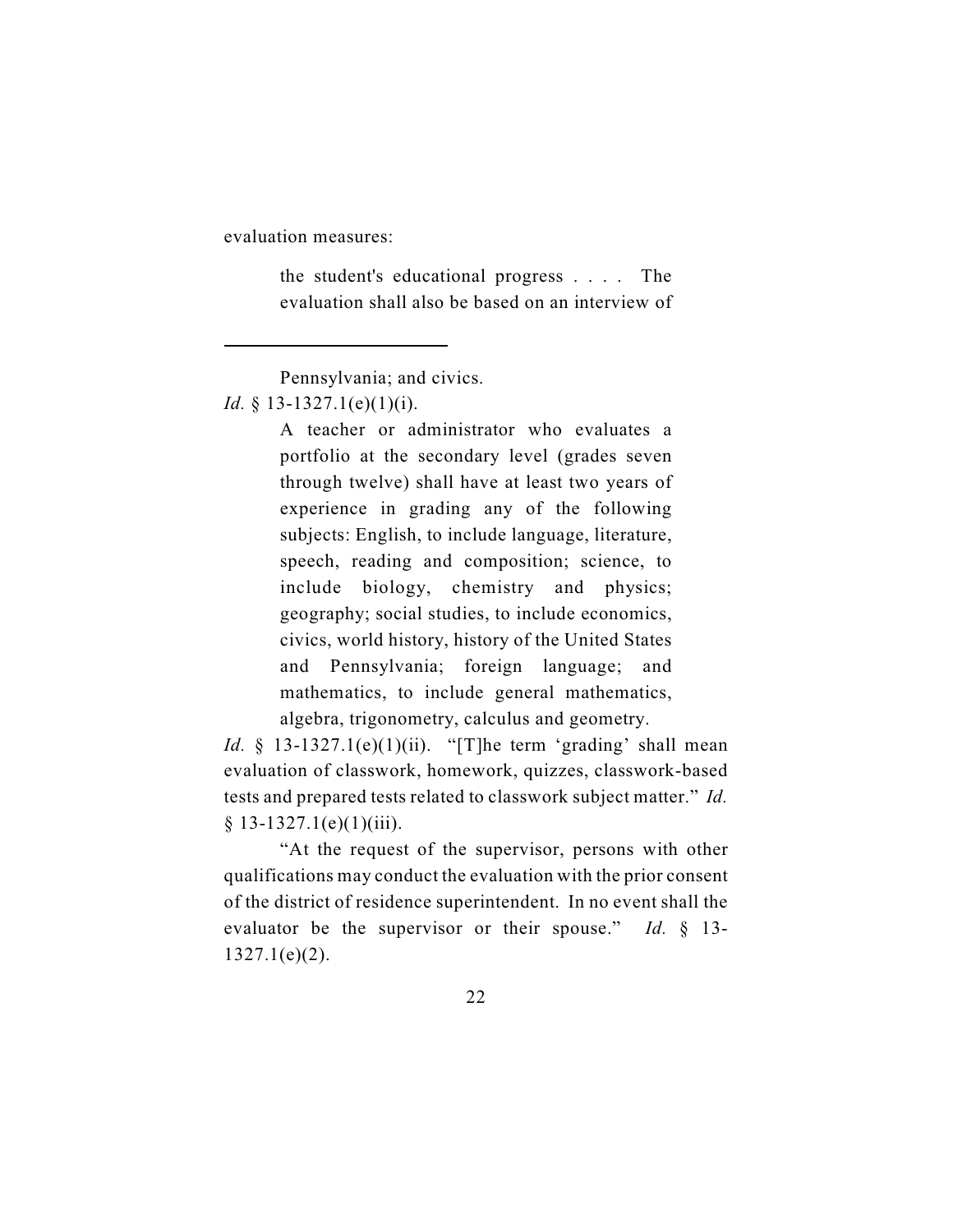evaluation measures:

the student's educational progress . . . . The evaluation shall also be based on an interview of

Pennsylvania; and civics.

## *Id.* § 13-1327.1(e)(1)(i).

A teacher or administrator who evaluates a portfolio at the secondary level (grades seven through twelve) shall have at least two years of experience in grading any of the following subjects: English, to include language, literature, speech, reading and composition; science, to include biology, chemistry and physics; geography; social studies, to include economics, civics, world history, history of the United States and Pennsylvania; foreign language; and mathematics, to include general mathematics, algebra, trigonometry, calculus and geometry.

*Id.*  $\S$  13-1327.1(e)(1)(ii). "[T]he term 'grading' shall mean evaluation of classwork, homework, quizzes, classwork-based tests and prepared tests related to classwork subject matter." *Id.*  $§ 13-1327.1(e)(1)(iii).$ 

"At the request of the supervisor, persons with other qualifications may conduct the evaluation with the prior consent of the district of residence superintendent. In no event shall the evaluator be the supervisor or their spouse." *Id.* § 13- 1327.1(e)(2).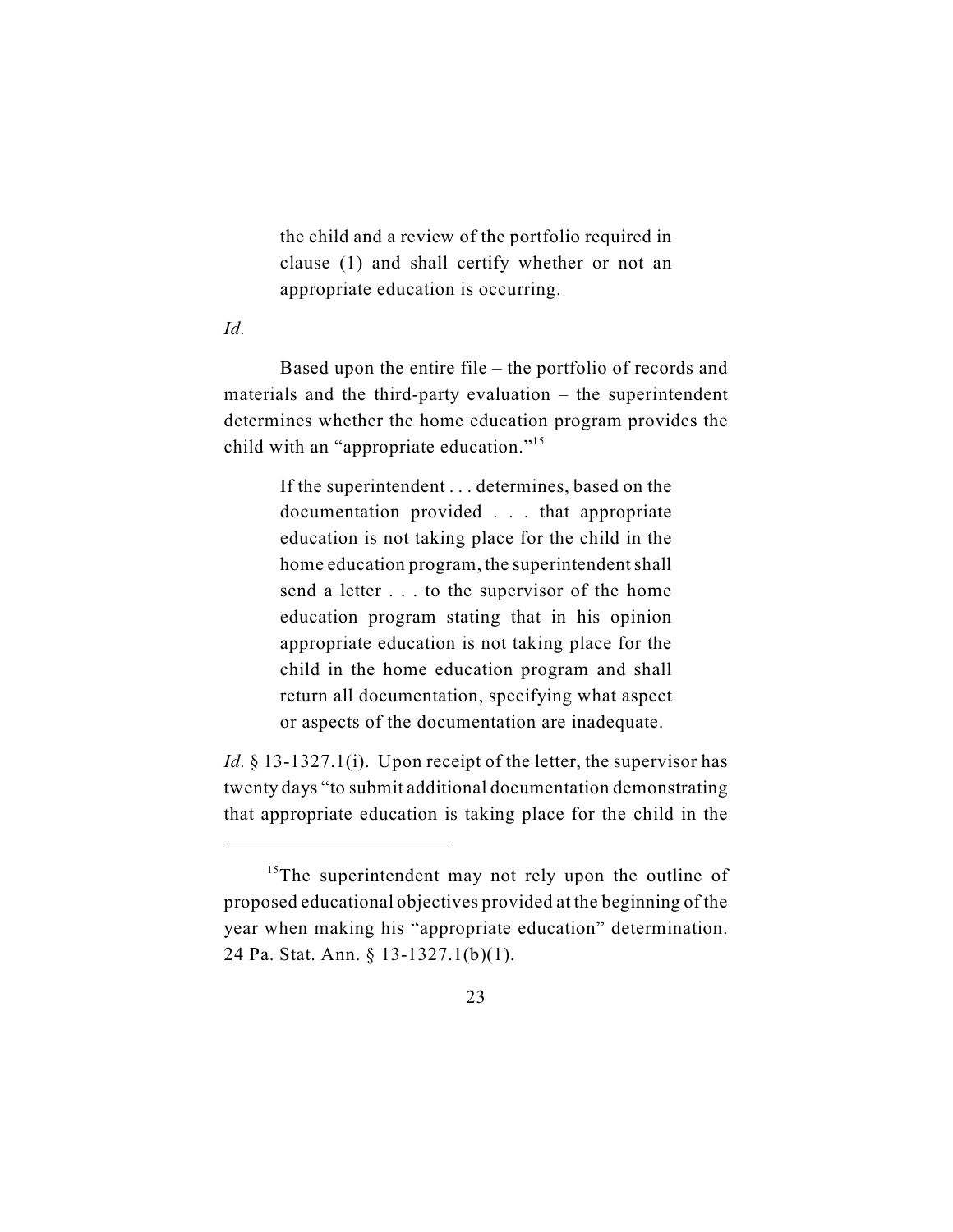the child and a review of the portfolio required in clause (1) and shall certify whether or not an appropriate education is occurring.

*Id.*

Based upon the entire file – the portfolio of records and materials and the third-party evaluation – the superintendent determines whether the home education program provides the child with an "appropriate education."<sup>15</sup>

> If the superintendent . . . determines, based on the documentation provided . . . that appropriate education is not taking place for the child in the home education program, the superintendent shall send a letter . . . to the supervisor of the home education program stating that in his opinion appropriate education is not taking place for the child in the home education program and shall return all documentation, specifying what aspect or aspects of the documentation are inadequate.

*Id.* § 13-1327.1(i). Upon receipt of the letter, the supervisor has twenty days "to submit additional documentation demonstrating that appropriate education is taking place for the child in the

 $15$ The superintendent may not rely upon the outline of proposed educational objectives provided at the beginning of the year when making his "appropriate education" determination. 24 Pa. Stat. Ann. § 13-1327.1(b)(1).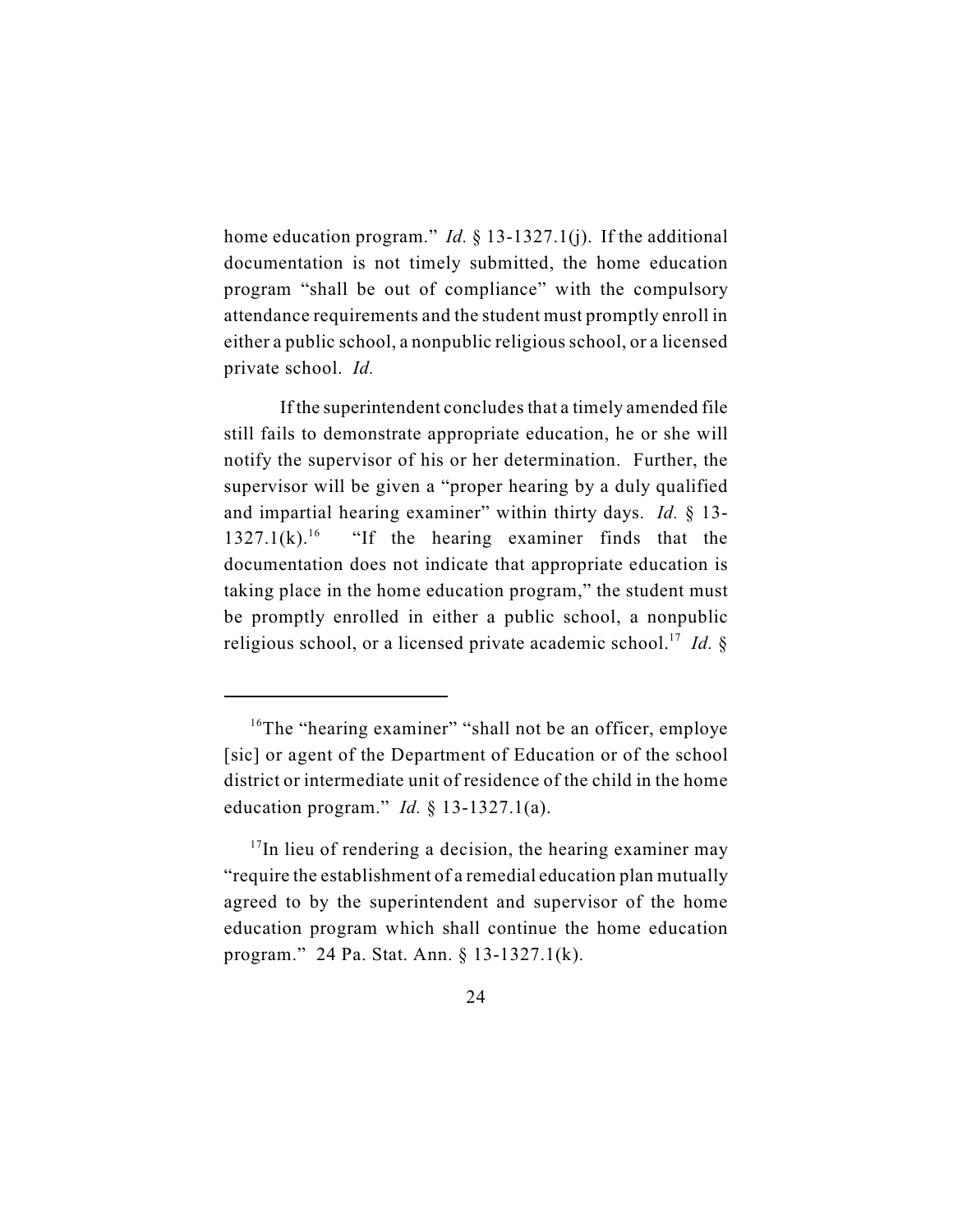home education program." *Id.* § 13-1327.1(j). If the additional documentation is not timely submitted, the home education program "shall be out of compliance" with the compulsory attendance requirements and the student must promptly enroll in either a public school, a nonpublic religious school, or a licensed private school. *Id.*

If the superintendent concludes that a timely amended file still fails to demonstrate appropriate education, he or she will notify the supervisor of his or her determination. Further, the supervisor will be given a "proper hearing by a duly qualified and impartial hearing examiner" within thirty days. *Id.* § 13-  $1327.1(k).$ <sup>16</sup> "If the hearing examiner finds that the documentation does not indicate that appropriate education is taking place in the home education program," the student must be promptly enrolled in either a public school, a nonpublic religious school, or a licensed private academic school.<sup>17</sup> *Id.* §

 $16$ <sup>16</sup>The "hearing examiner" "shall not be an officer, employe [sic] or agent of the Department of Education or of the school district or intermediate unit of residence of the child in the home education program." *Id.* § 13-1327.1(a).

 $17$ In lieu of rendering a decision, the hearing examiner may "require the establishment of a remedial education plan mutually agreed to by the superintendent and supervisor of the home education program which shall continue the home education program." 24 Pa. Stat. Ann. § 13-1327.1(k).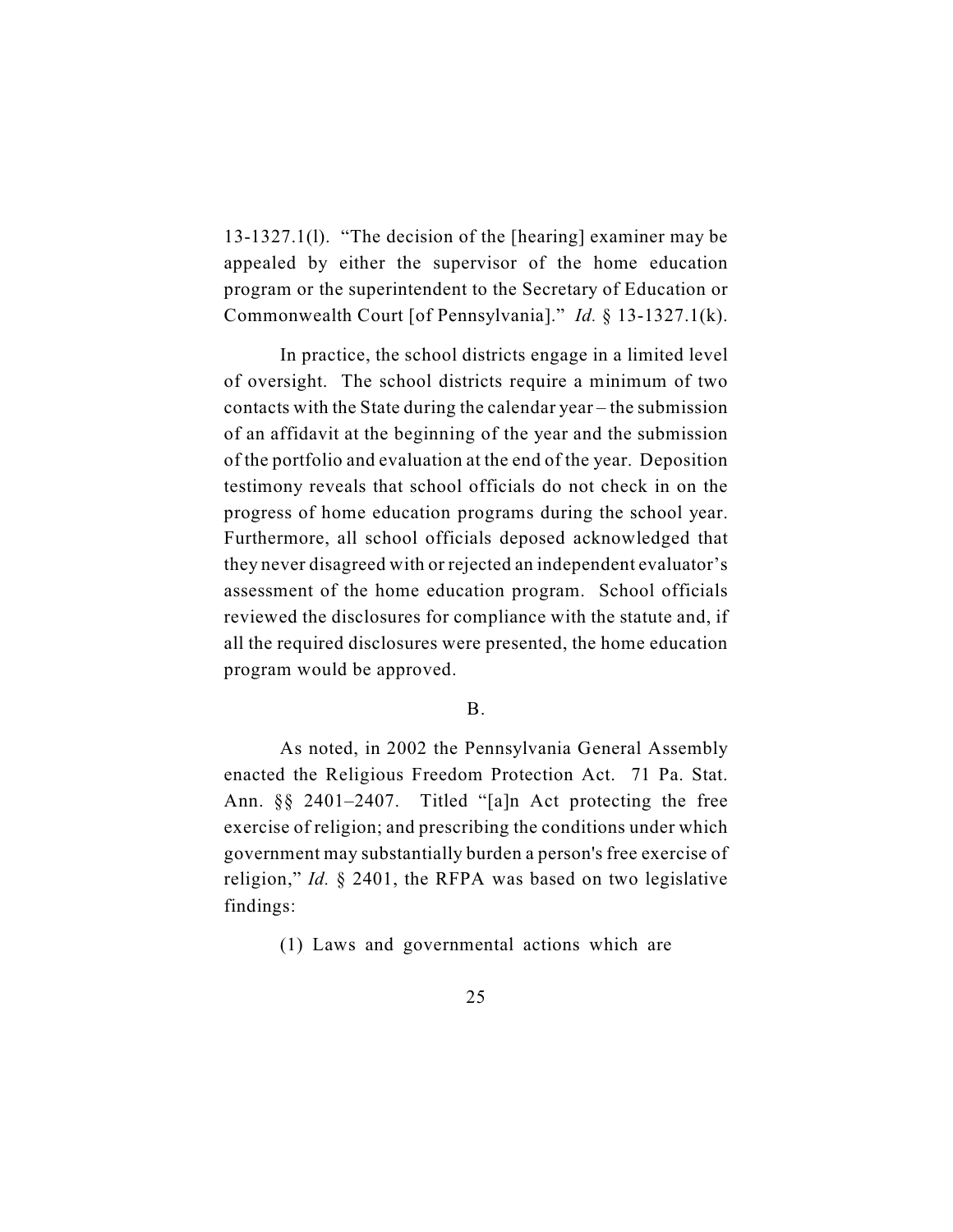13-1327.1(l). "The decision of the [hearing] examiner may be appealed by either the supervisor of the home education program or the superintendent to the Secretary of Education or Commonwealth Court [of Pennsylvania]." *Id.* § 13-1327.1(k).

In practice, the school districts engage in a limited level of oversight. The school districts require a minimum of two contacts with the State during the calendar year – the submission of an affidavit at the beginning of the year and the submission of the portfolio and evaluation at the end of the year. Deposition testimony reveals that school officials do not check in on the progress of home education programs during the school year. Furthermore, all school officials deposed acknowledged that they never disagreed with or rejected an independent evaluator's assessment of the home education program. School officials reviewed the disclosures for compliance with the statute and, if all the required disclosures were presented, the home education program would be approved.

### B.

As noted, in 2002 the Pennsylvania General Assembly enacted the Religious Freedom Protection Act. 71 Pa. Stat. Ann. §§ 2401–2407. Titled "[a]n Act protecting the free exercise of religion; and prescribing the conditions under which government may substantially burden a person's free exercise of religion," *Id.* § 2401, the RFPA was based on two legislative findings:

(1) Laws and governmental actions which are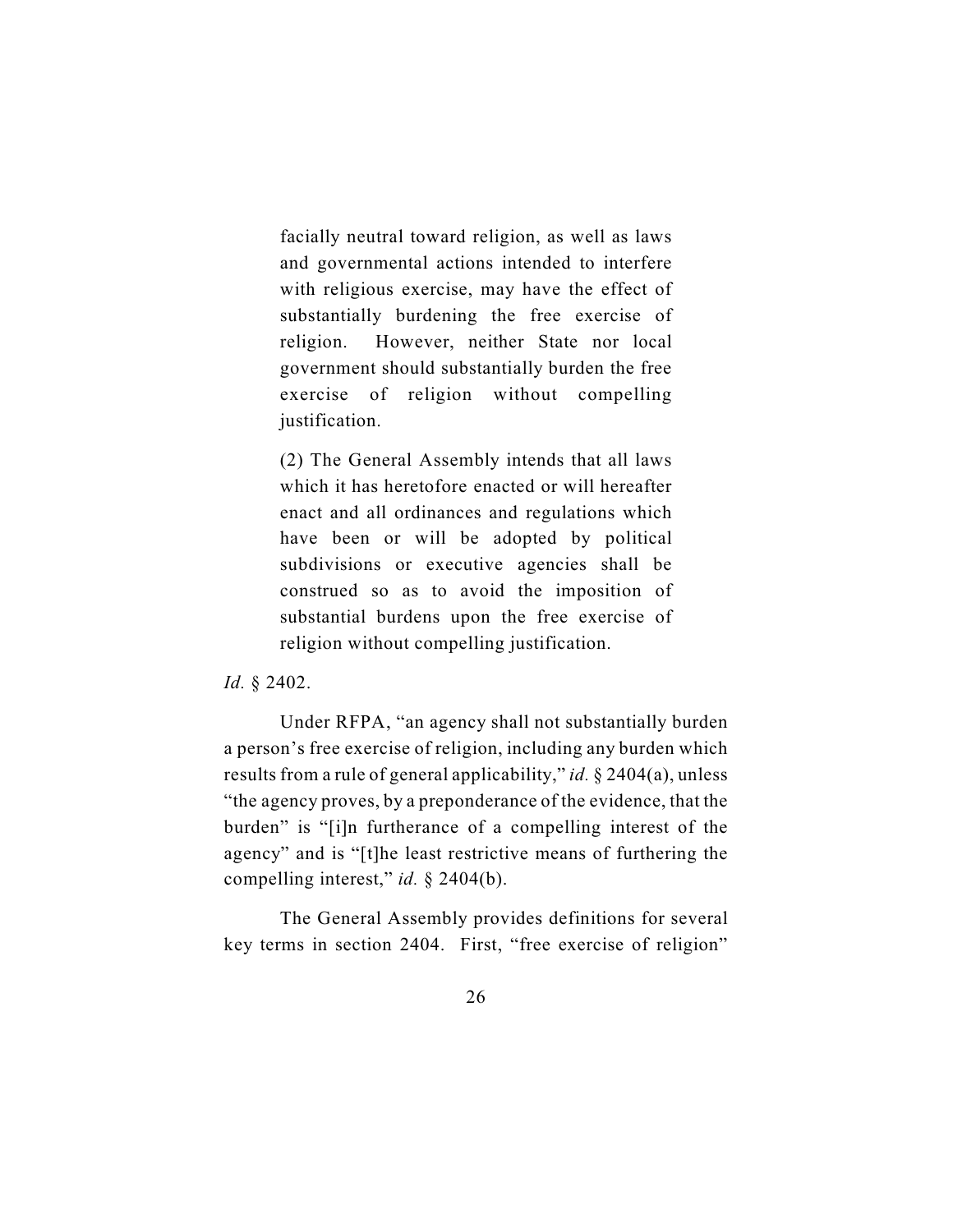facially neutral toward religion, as well as laws and governmental actions intended to interfere with religious exercise, may have the effect of substantially burdening the free exercise of religion. However, neither State nor local government should substantially burden the free exercise of religion without compelling justification.

(2) The General Assembly intends that all laws which it has heretofore enacted or will hereafter enact and all ordinances and regulations which have been or will be adopted by political subdivisions or executive agencies shall be construed so as to avoid the imposition of substantial burdens upon the free exercise of religion without compelling justification.

*Id.* § 2402.

Under RFPA, "an agency shall not substantially burden a person's free exercise of religion, including any burden which results from a rule of general applicability," *id.* § 2404(a), unless "the agency proves, by a preponderance of the evidence, that the burden" is "[i]n furtherance of a compelling interest of the agency" and is "[t]he least restrictive means of furthering the compelling interest," *id.* § 2404(b).

The General Assembly provides definitions for several key terms in section 2404. First, "free exercise of religion"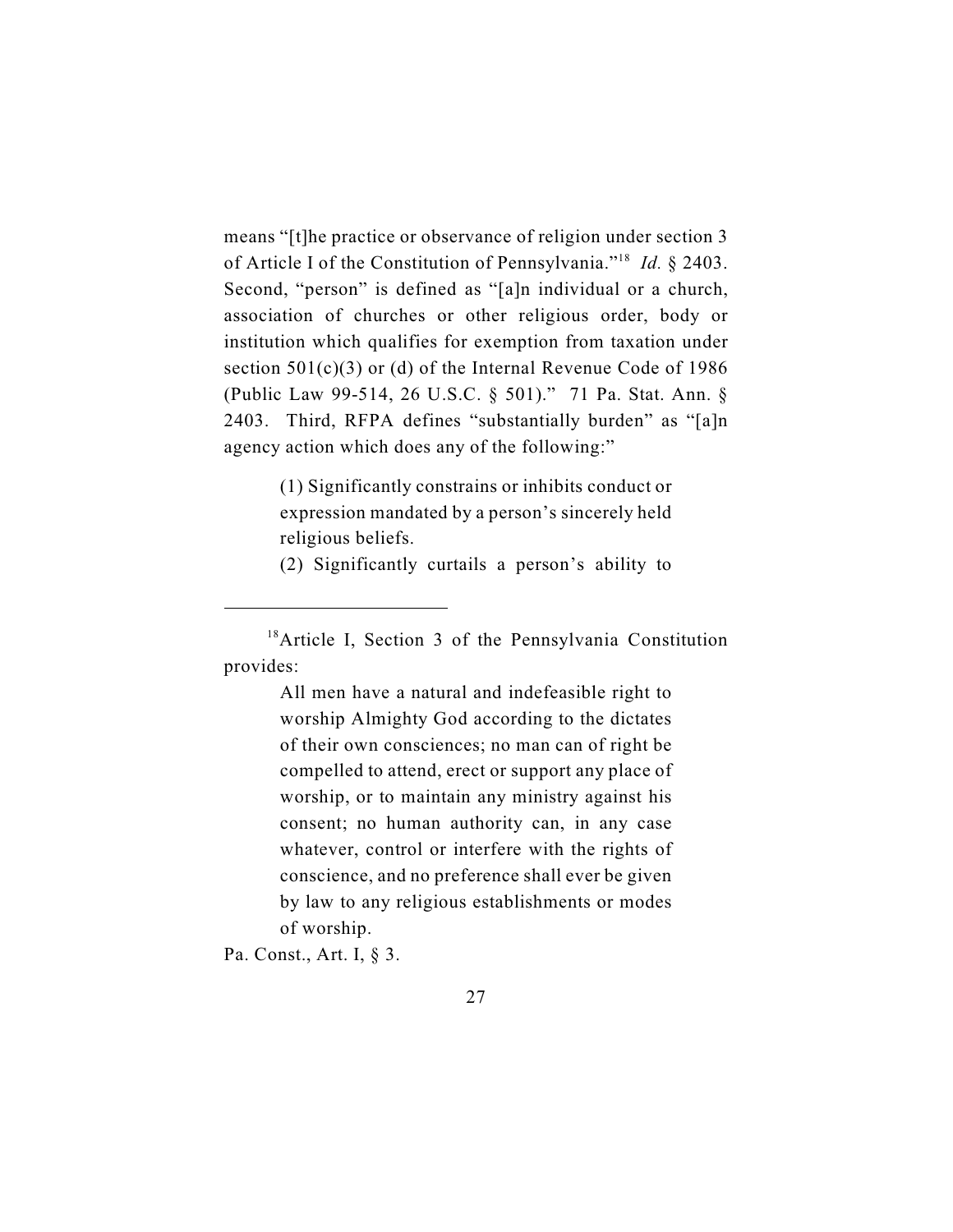means "[t]he practice or observance of religion under section 3 of Article I of the Constitution of Pennsylvania."<sup>18</sup> Id. § 2403. Second, "person" is defined as "[a]n individual or a church, association of churches or other religious order, body or institution which qualifies for exemption from taxation under section 501(c)(3) or (d) of the Internal Revenue Code of 1986 (Public Law 99-514, 26 U.S.C. § 501)." 71 Pa. Stat. Ann. § 2403. Third, RFPA defines "substantially burden" as "[a]n agency action which does any of the following:"

> (1) Significantly constrains or inhibits conduct or expression mandated by a person's sincerely held religious beliefs.

> (2) Significantly curtails a person's ability to

All men have a natural and indefeasible right to worship Almighty God according to the dictates of their own consciences; no man can of right be compelled to attend, erect or support any place of worship, or to maintain any ministry against his consent; no human authority can, in any case whatever, control or interfere with the rights of conscience, and no preference shall ever be given by law to any religious establishments or modes of worship.

Pa. Const., Art. I, § 3.

 $18$ Article I, Section 3 of the Pennsylvania Constitution provides: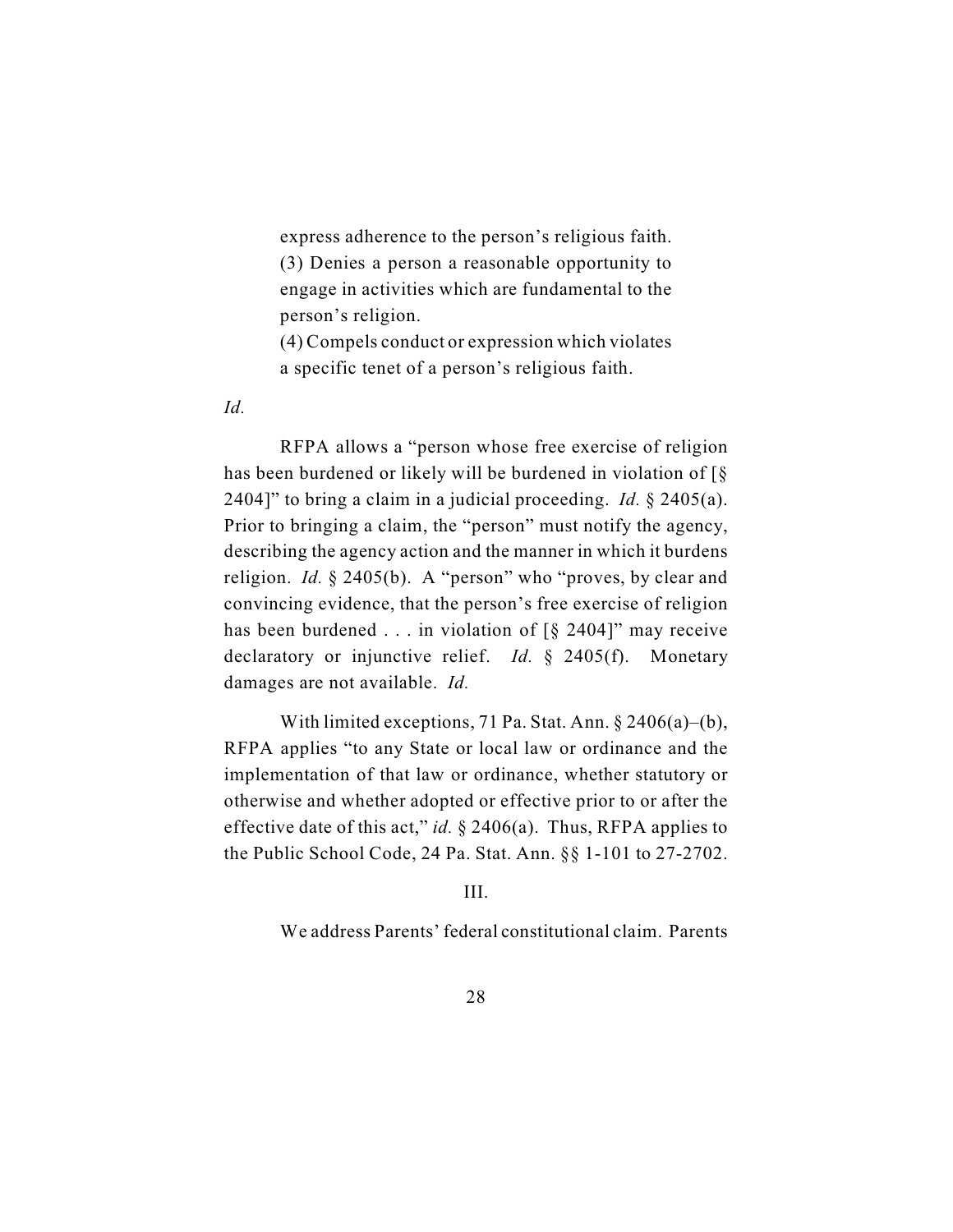express adherence to the person's religious faith. (3) Denies a person a reasonable opportunity to engage in activities which are fundamental to the person's religion.

(4) Compels conduct or expression which violates a specific tenet of a person's religious faith.

*Id.*

RFPA allows a "person whose free exercise of religion has been burdened or likely will be burdened in violation of [§ 2404]" to bring a claim in a judicial proceeding. *Id.* § 2405(a). Prior to bringing a claim, the "person" must notify the agency, describing the agency action and the manner in which it burdens religion. *Id.* § 2405(b). A "person" who "proves, by clear and convincing evidence, that the person's free exercise of religion has been burdened  $\dots$  in violation of [§ 2404]" may receive declaratory or injunctive relief. *Id.* § 2405(f). Monetary damages are not available. *Id.*

With limited exceptions, 71 Pa. Stat. Ann. § 2406(a)–(b), RFPA applies "to any State or local law or ordinance and the implementation of that law or ordinance, whether statutory or otherwise and whether adopted or effective prior to or after the effective date of this act," *id.*  $\S$  2406(a). Thus, RFPA applies to the Public School Code, 24 Pa. Stat. Ann. §§ 1-101 to 27-2702.

III.

We address Parents' federal constitutional claim. Parents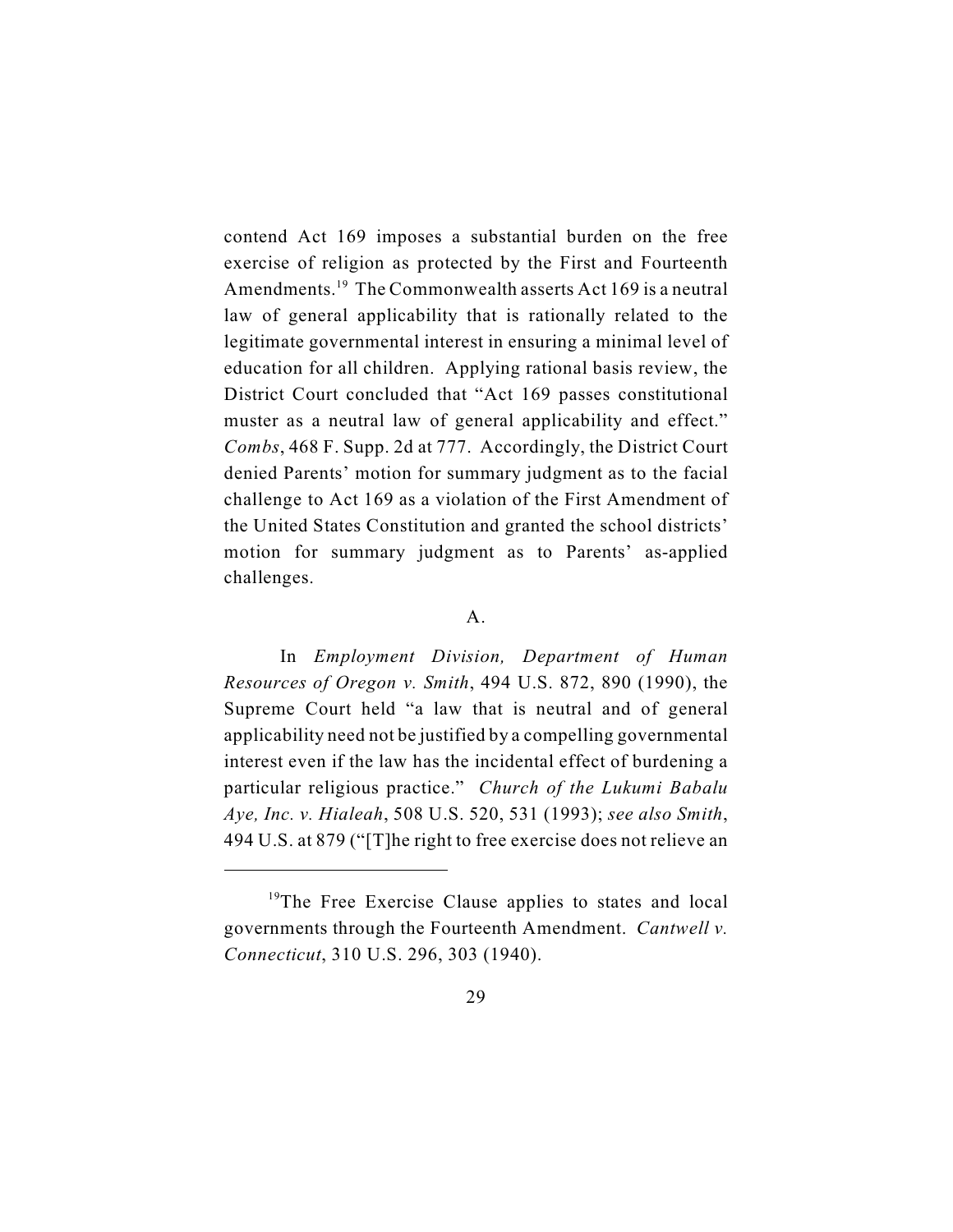contend Act 169 imposes a substantial burden on the free exercise of religion as protected by the First and Fourteenth Amendments.<sup>19</sup> The Commonwealth asserts Act 169 is a neutral law of general applicability that is rationally related to the legitimate governmental interest in ensuring a minimal level of education for all children. Applying rational basis review, the District Court concluded that "Act 169 passes constitutional muster as a neutral law of general applicability and effect." *Combs*, 468 F. Supp. 2d at 777. Accordingly, the District Court denied Parents' motion for summary judgment as to the facial challenge to Act 169 as a violation of the First Amendment of the United States Constitution and granted the school districts' motion for summary judgment as to Parents' as-applied challenges.

### A.

In *Employment Division, Department of Human Resources of Oregon v. Smith*, 494 U.S. 872, 890 (1990), the Supreme Court held "a law that is neutral and of general applicability need not be justified by a compelling governmental interest even if the law has the incidental effect of burdening a particular religious practice." *Church of the Lukumi Babalu Aye, Inc. v. Hialeah*, 508 U.S. 520, 531 (1993); *see also Smith*, 494 U.S. at 879 ("[T]he right to free exercise does not relieve an

 $19$ <sup>19</sup>The Free Exercise Clause applies to states and local governments through the Fourteenth Amendment. *Cantwell v. Connecticut*, 310 U.S. 296, 303 (1940).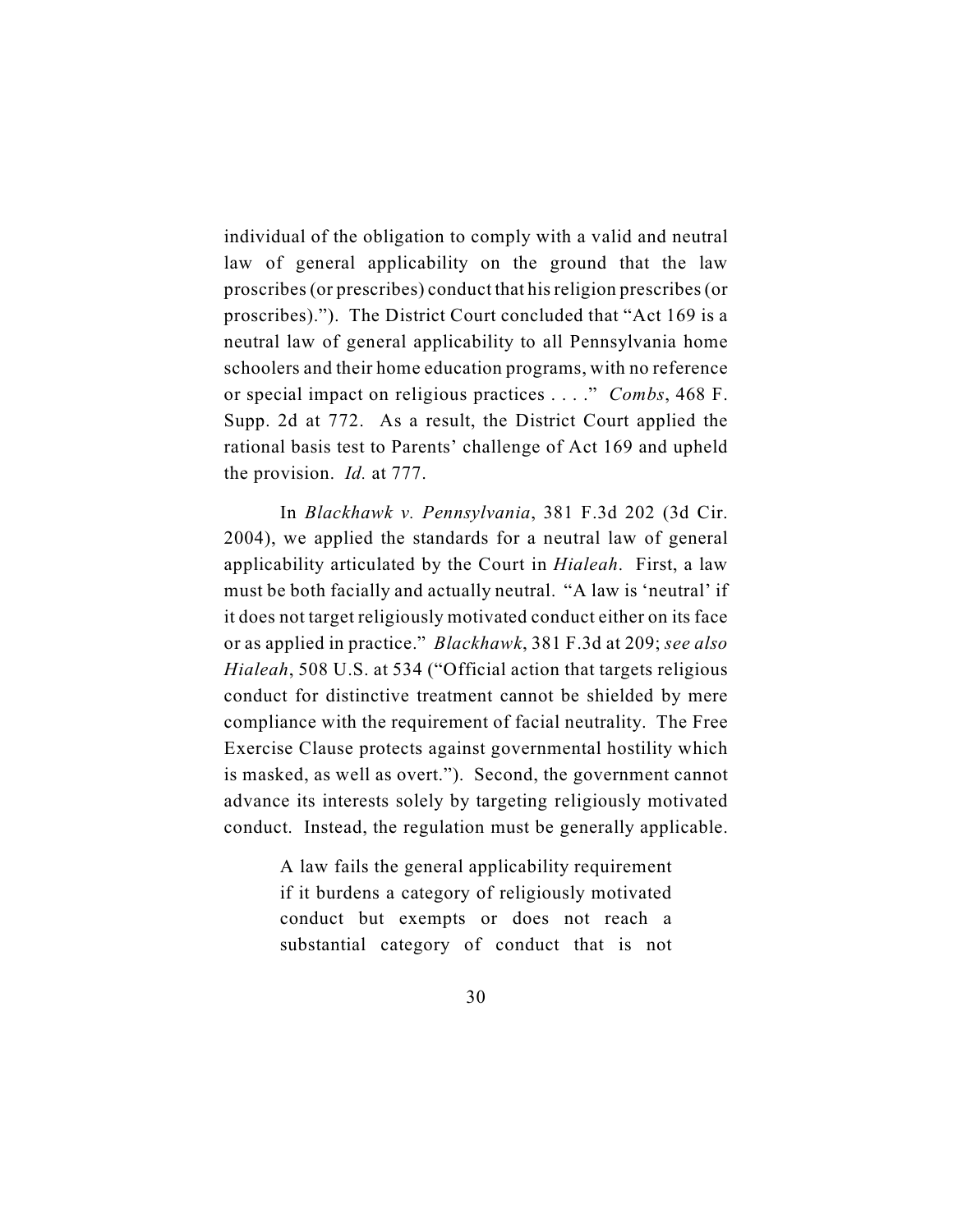individual of the obligation to comply with a valid and neutral law of general applicability on the ground that the law proscribes (or prescribes) conduct that his religion prescribes (or proscribes)."). The District Court concluded that "Act 169 is a neutral law of general applicability to all Pennsylvania home schoolers and their home education programs, with no reference or special impact on religious practices . . . ." *Combs*, 468 F. Supp. 2d at 772. As a result, the District Court applied the rational basis test to Parents' challenge of Act 169 and upheld the provision. *Id.* at 777.

In *Blackhawk v. Pennsylvania*, 381 F.3d 202 (3d Cir. 2004), we applied the standards for a neutral law of general applicability articulated by the Court in *Hialeah*. First, a law must be both facially and actually neutral. "A law is 'neutral' if it does not target religiously motivated conduct either on its face or as applied in practice." *Blackhawk*, 381 F.3d at 209; *see also Hialeah*, 508 U.S. at 534 ("Official action that targets religious conduct for distinctive treatment cannot be shielded by mere compliance with the requirement of facial neutrality. The Free Exercise Clause protects against governmental hostility which is masked, as well as overt."). Second, the government cannot advance its interests solely by targeting religiously motivated conduct. Instead, the regulation must be generally applicable.

> A law fails the general applicability requirement if it burdens a category of religiously motivated conduct but exempts or does not reach a substantial category of conduct that is not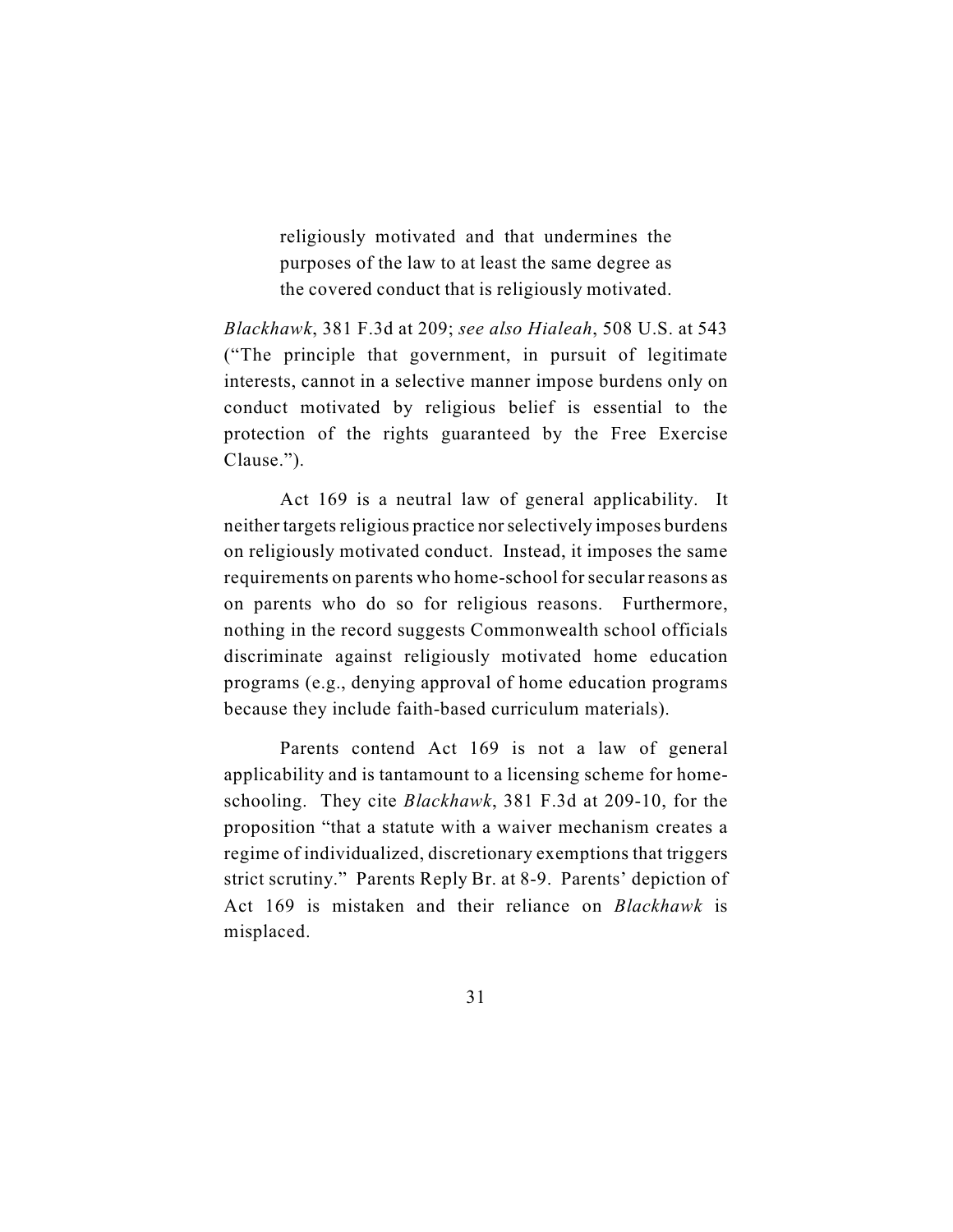religiously motivated and that undermines the purposes of the law to at least the same degree as the covered conduct that is religiously motivated.

*Blackhawk*, 381 F.3d at 209; *see also Hialeah*, 508 U.S. at 543 ("The principle that government, in pursuit of legitimate interests, cannot in a selective manner impose burdens only on conduct motivated by religious belief is essential to the protection of the rights guaranteed by the Free Exercise Clause.").

Act 169 is a neutral law of general applicability. It neither targets religious practice nor selectively imposes burdens on religiously motivated conduct. Instead, it imposes the same requirements on parents who home-school for secular reasons as on parents who do so for religious reasons. Furthermore, nothing in the record suggests Commonwealth school officials discriminate against religiously motivated home education programs (e.g., denying approval of home education programs because they include faith-based curriculum materials).

Parents contend Act 169 is not a law of general applicability and is tantamount to a licensing scheme for homeschooling. They cite *Blackhawk*, 381 F.3d at 209-10, for the proposition "that a statute with a waiver mechanism creates a regime of individualized, discretionary exemptions that triggers strict scrutiny." Parents Reply Br. at 8-9. Parents' depiction of Act 169 is mistaken and their reliance on *Blackhawk* is misplaced.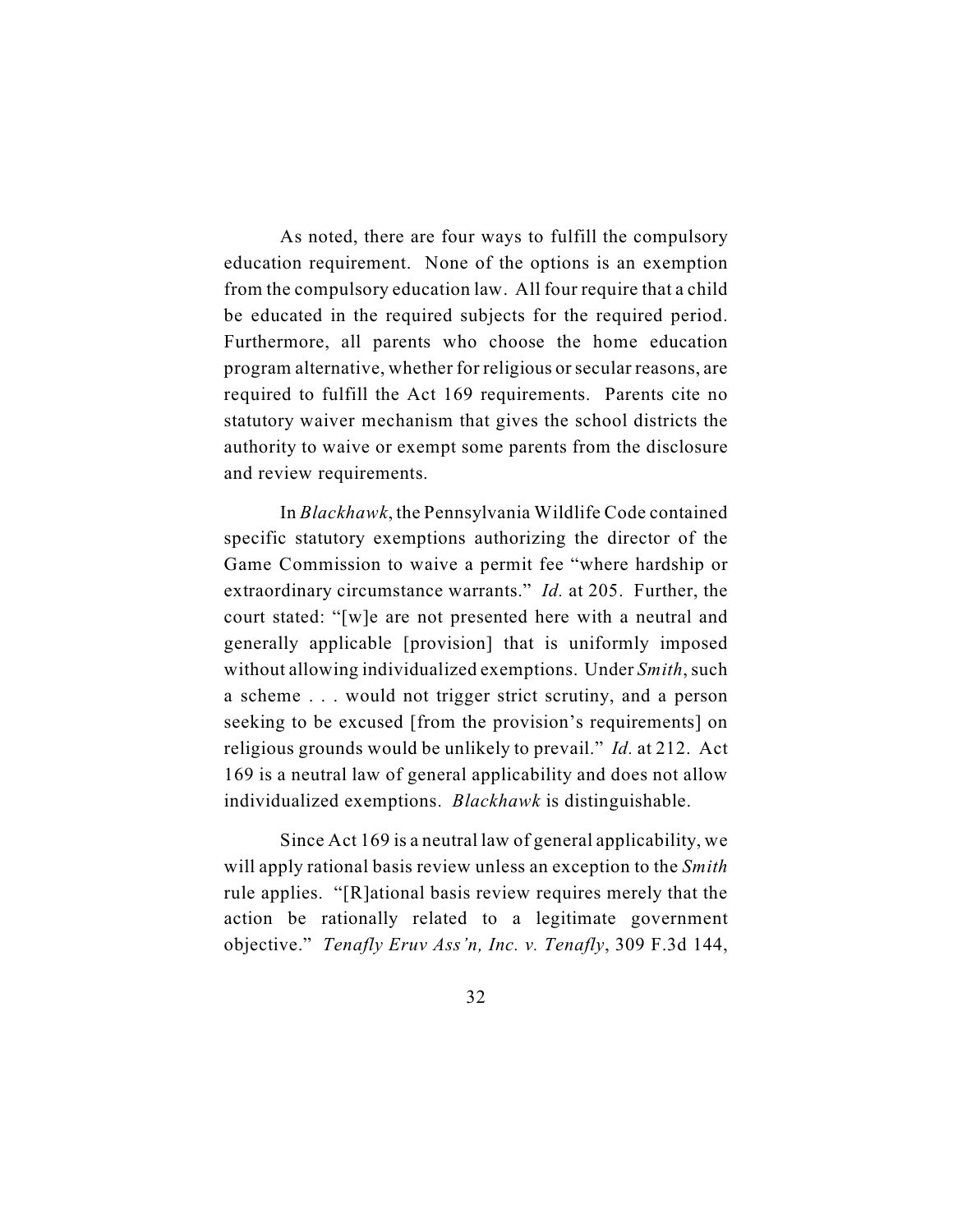As noted, there are four ways to fulfill the compulsory education requirement. None of the options is an exemption from the compulsory education law. All four require that a child be educated in the required subjects for the required period. Furthermore, all parents who choose the home education program alternative, whether for religious or secular reasons, are required to fulfill the Act 169 requirements. Parents cite no statutory waiver mechanism that gives the school districts the authority to waive or exempt some parents from the disclosure and review requirements.

In *Blackhawk*, the Pennsylvania Wildlife Code contained specific statutory exemptions authorizing the director of the Game Commission to waive a permit fee "where hardship or extraordinary circumstance warrants." *Id.* at 205. Further, the court stated: "[w]e are not presented here with a neutral and generally applicable [provision] that is uniformly imposed without allowing individualized exemptions. Under *Smith*, such a scheme . . . would not trigger strict scrutiny, and a person seeking to be excused [from the provision's requirements] on religious grounds would be unlikely to prevail." *Id.* at 212. Act 169 is a neutral law of general applicability and does not allow individualized exemptions. *Blackhawk* is distinguishable.

Since Act 169 is a neutral law of general applicability, we will apply rational basis review unless an exception to the *Smith* rule applies. "[R]ational basis review requires merely that the action be rationally related to a legitimate government objective." *Tenafly Eruv Ass'n, Inc. v. Tenafly*, 309 F.3d 144,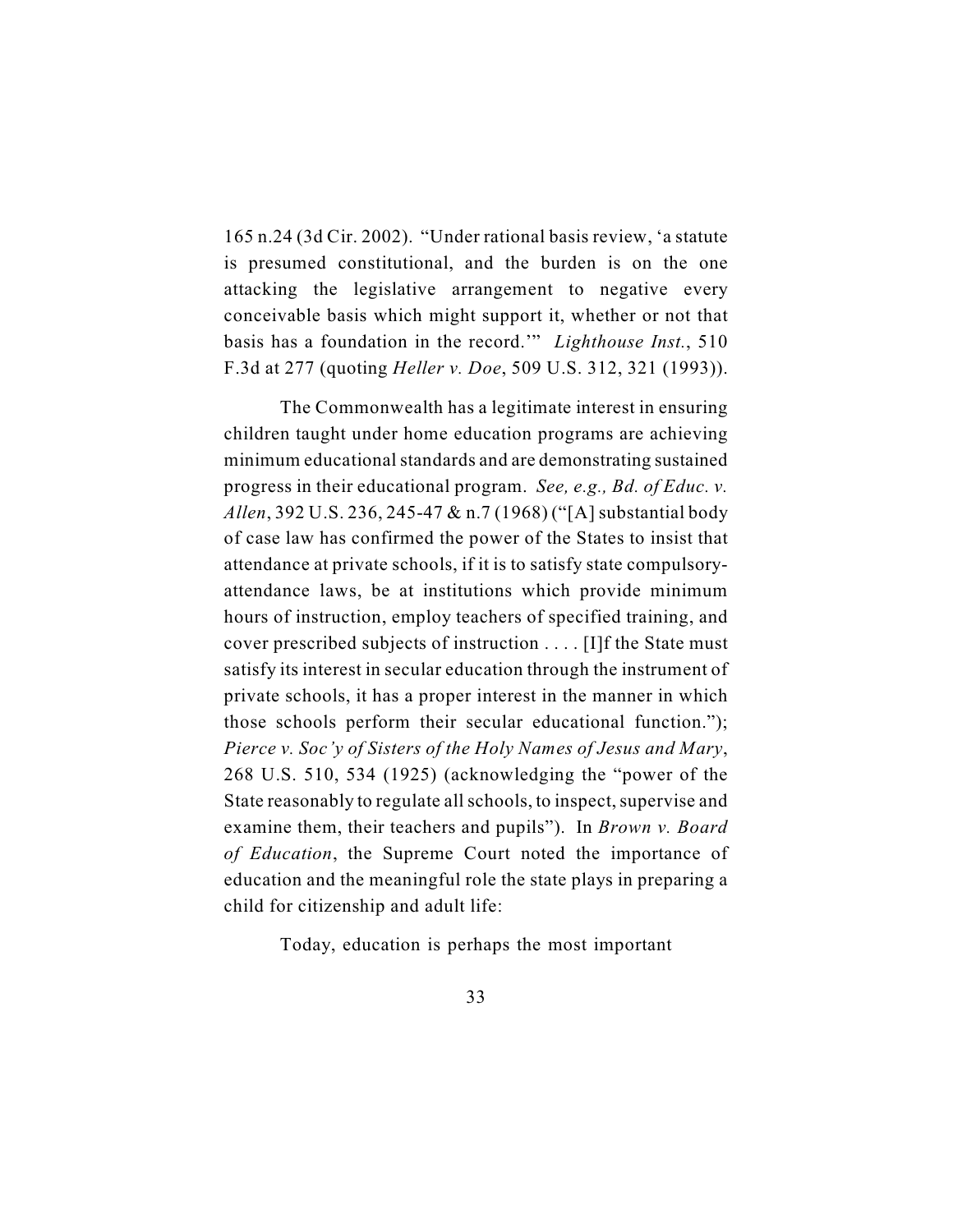165 n.24 (3d Cir. 2002). "Under rational basis review, 'a statute is presumed constitutional, and the burden is on the one attacking the legislative arrangement to negative every conceivable basis which might support it, whether or not that basis has a foundation in the record.'" *Lighthouse Inst.*, 510 F.3d at 277 (quoting *Heller v. Doe*, 509 U.S. 312, 321 (1993)).

The Commonwealth has a legitimate interest in ensuring children taught under home education programs are achieving minimum educational standards and are demonstrating sustained progress in their educational program. *See, e.g., Bd. of Educ. v. Allen*, 392 U.S. 236, 245-47 & n.7 (1968) ("[A] substantial body of case law has confirmed the power of the States to insist that attendance at private schools, if it is to satisfy state compulsoryattendance laws, be at institutions which provide minimum hours of instruction, employ teachers of specified training, and cover prescribed subjects of instruction . . . . [I]f the State must satisfy its interest in secular education through the instrument of private schools, it has a proper interest in the manner in which those schools perform their secular educational function."); *Pierce v. Soc'y of Sisters of the Holy Names of Jesus and Mary*, 268 U.S. 510, 534 (1925) (acknowledging the "power of the State reasonably to regulate allschools, to inspect, supervise and examine them, their teachers and pupils"). In *Brown v. Board of Education*, the Supreme Court noted the importance of education and the meaningful role the state plays in preparing a child for citizenship and adult life:

Today, education is perhaps the most important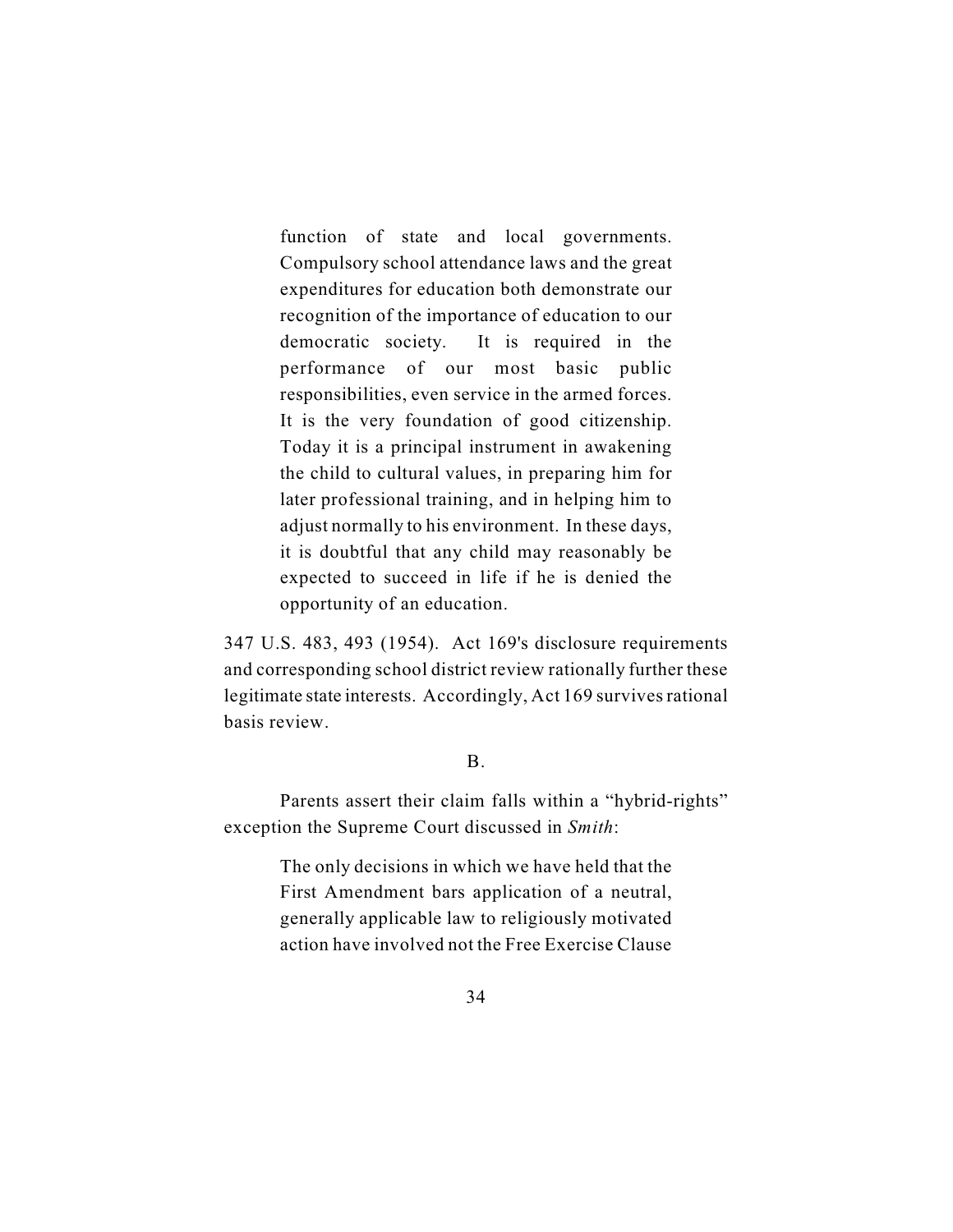function of state and local governments. Compulsory school attendance laws and the great expenditures for education both demonstrate our recognition of the importance of education to our democratic society. It is required in the performance of our most basic public responsibilities, even service in the armed forces. It is the very foundation of good citizenship. Today it is a principal instrument in awakening the child to cultural values, in preparing him for later professional training, and in helping him to adjust normally to his environment. In these days, it is doubtful that any child may reasonably be expected to succeed in life if he is denied the opportunity of an education.

347 U.S. 483, 493 (1954). Act 169's disclosure requirements and corresponding school district review rationally further these legitimate state interests. Accordingly, Act 169 survives rational basis review.

### B.

Parents assert their claim falls within a "hybrid-rights" exception the Supreme Court discussed in *Smith*:

> The only decisions in which we have held that the First Amendment bars application of a neutral, generally applicable law to religiously motivated action have involved not the Free Exercise Clause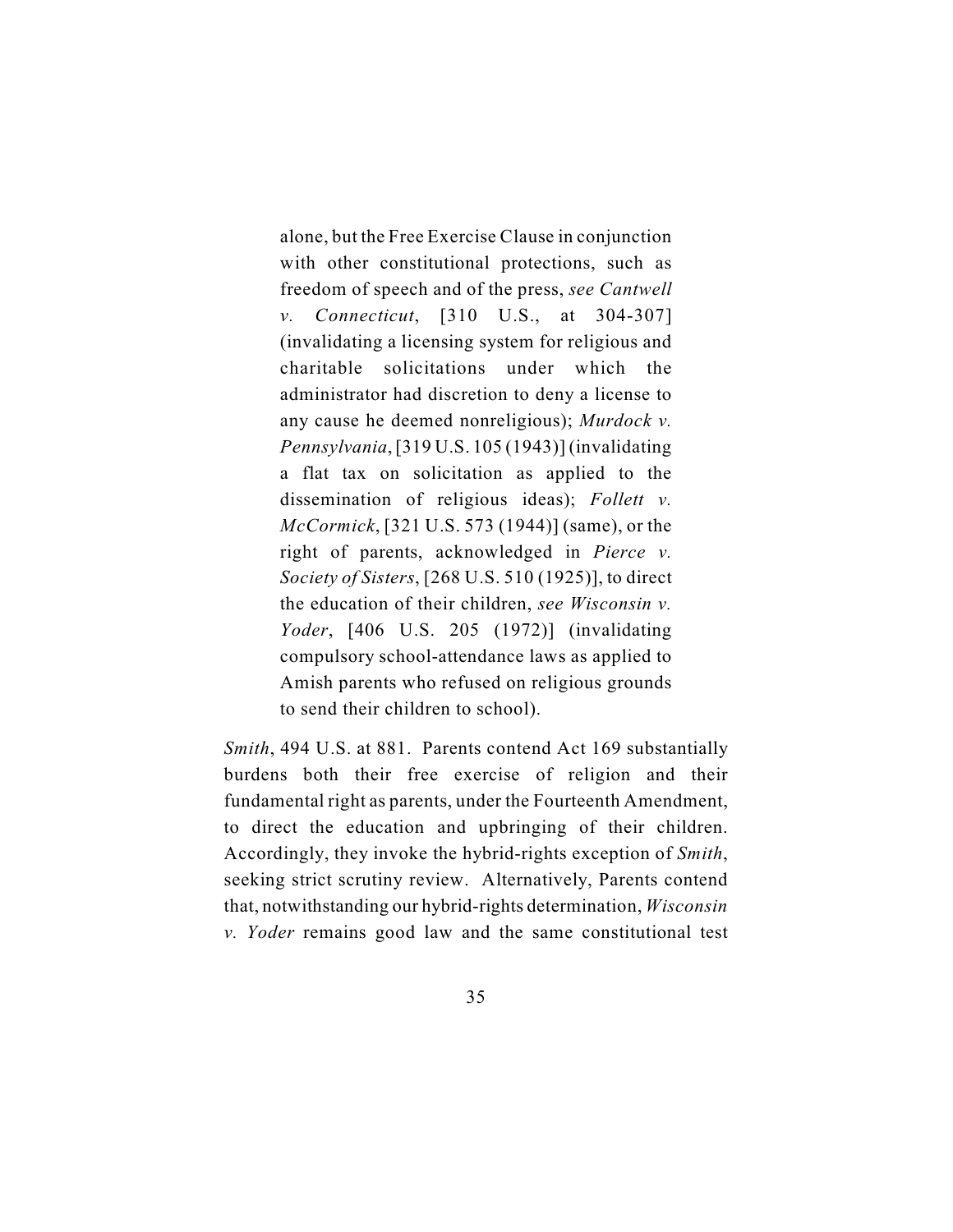alone, but the Free Exercise Clause in conjunction with other constitutional protections, such as freedom of speech and of the press, *see Cantwell v. Connecticut*, [310 U.S., at 304-307] (invalidating a licensing system for religious and charitable solicitations under which the administrator had discretion to deny a license to any cause he deemed nonreligious); *Murdock v. Pennsylvania*, [319 U.S. 105 (1943)] (invalidating a flat tax on solicitation as applied to the dissemination of religious ideas); *Follett v. McCormick*, [321 U.S. 573 (1944)] (same), or the right of parents, acknowledged in *Pierce v. Society of Sisters*, [268 U.S. 510 (1925)], to direct the education of their children, *see Wisconsin v. Yoder*, [406 U.S. 205 (1972)] (invalidating compulsory school-attendance laws as applied to Amish parents who refused on religious grounds to send their children to school).

*Smith*, 494 U.S. at 881. Parents contend Act 169 substantially burdens both their free exercise of religion and their fundamental right as parents, under the Fourteenth Amendment, to direct the education and upbringing of their children. Accordingly, they invoke the hybrid-rights exception of *Smith*, seeking strict scrutiny review. Alternatively, Parents contend that, notwithstanding our hybrid-rights determination, *Wisconsin v. Yoder* remains good law and the same constitutional test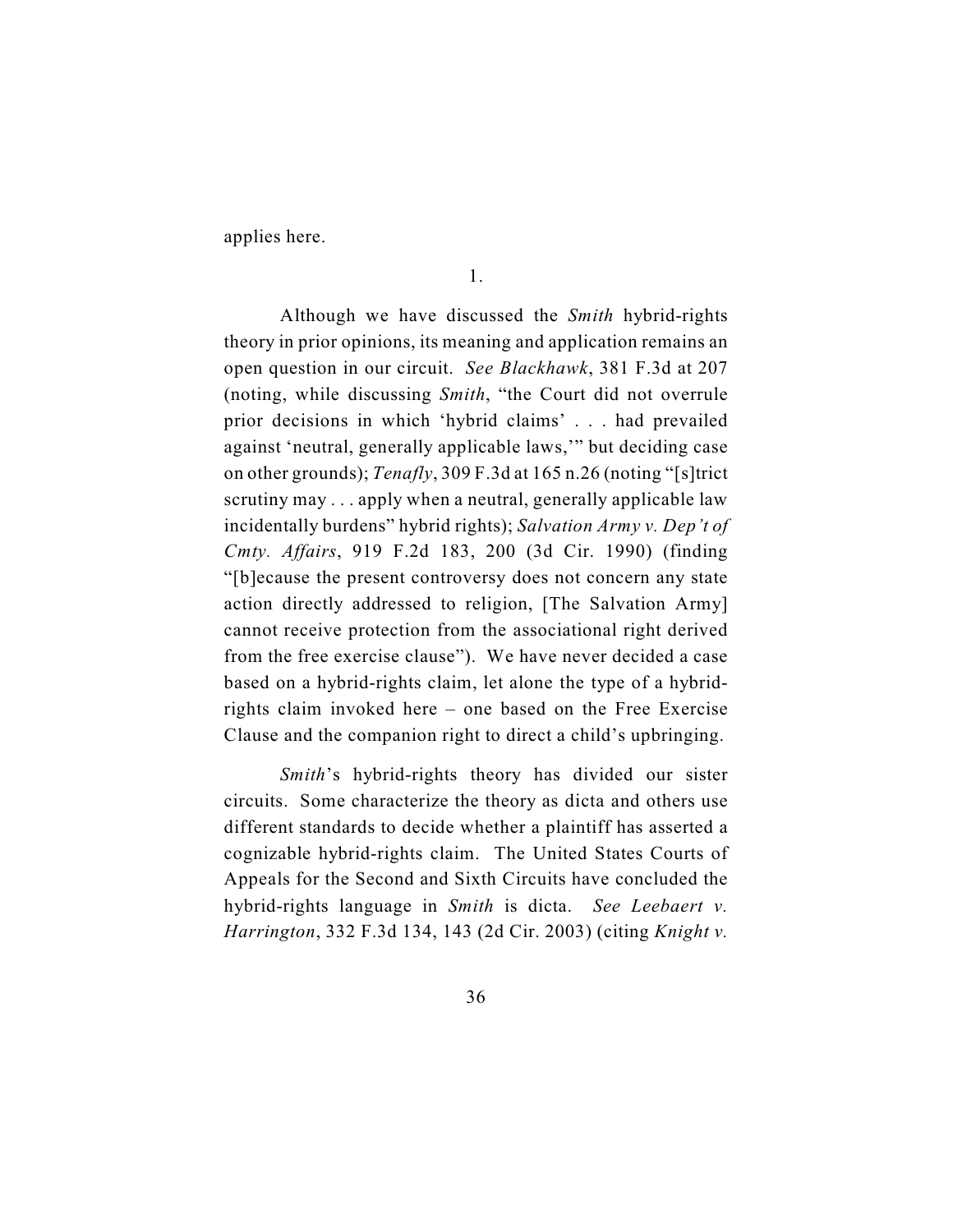applies here.

Although we have discussed the *Smith* hybrid-rights theory in prior opinions, its meaning and application remains an open question in our circuit. *See Blackhawk*, 381 F.3d at 207 (noting, while discussing *Smith*, "the Court did not overrule prior decisions in which 'hybrid claims' . . . had prevailed against 'neutral, generally applicable laws,'" but deciding case on other grounds); *Tenafly*, 309 F.3d at 165 n.26 (noting "[s]trict scrutiny may . . . apply when a neutral, generally applicable law incidentally burdens" hybrid rights); *Salvation Army v. Dep't of Cmty. Affairs*, 919 F.2d 183, 200 (3d Cir. 1990) (finding "[b]ecause the present controversy does not concern any state action directly addressed to religion, [The Salvation Army] cannot receive protection from the associational right derived from the free exercise clause"). We have never decided a case based on a hybrid-rights claim, let alone the type of a hybridrights claim invoked here – one based on the Free Exercise Clause and the companion right to direct a child's upbringing.

*Smith*'s hybrid-rights theory has divided our sister circuits. Some characterize the theory as dicta and others use different standards to decide whether a plaintiff has asserted a cognizable hybrid-rights claim. The United States Courts of Appeals for the Second and Sixth Circuits have concluded the hybrid-rights language in *Smith* is dicta. *See Leebaert v. Harrington*, 332 F.3d 134, 143 (2d Cir. 2003) (citing *Knight v.*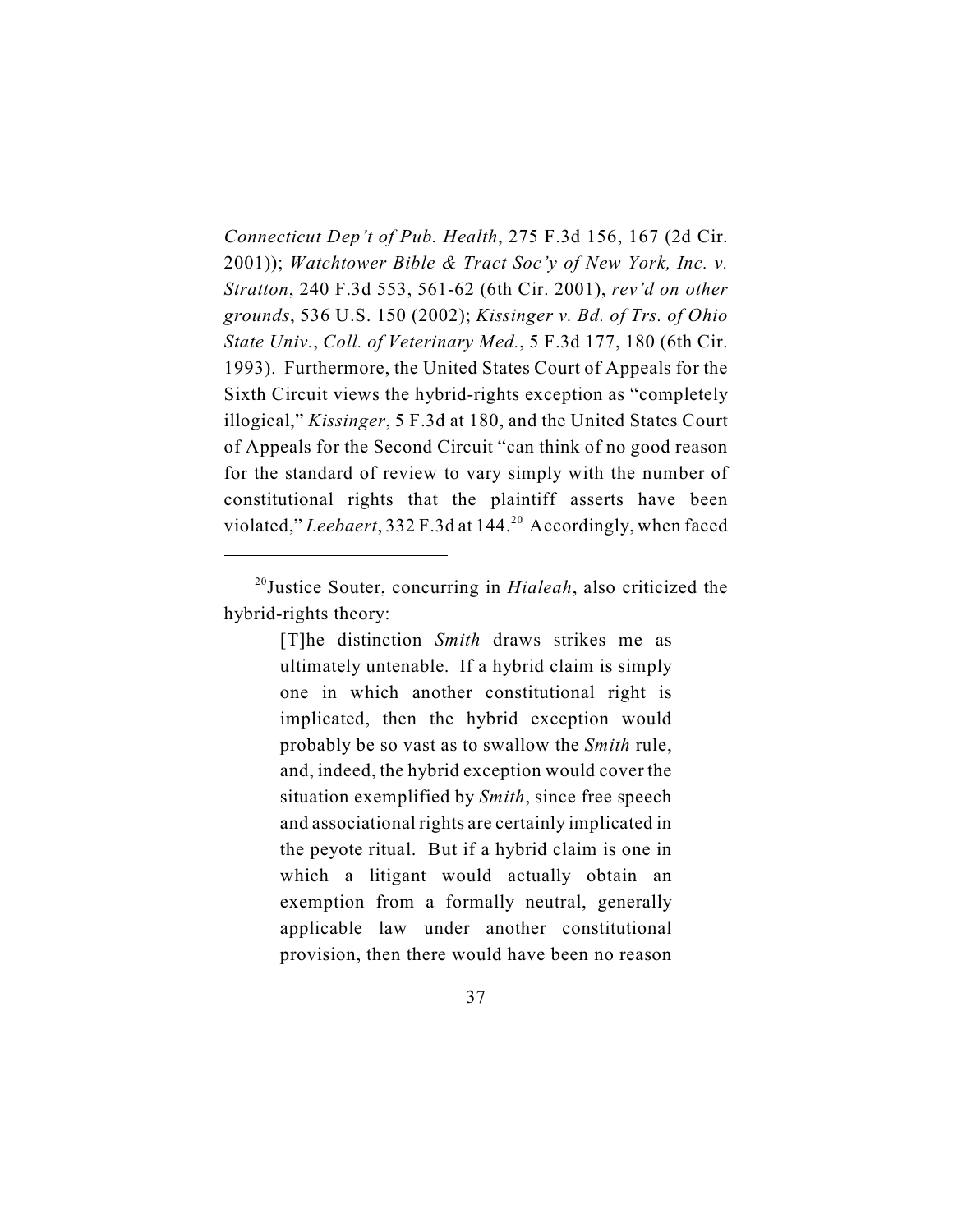*Connecticut Dep't of Pub. Health*, 275 F.3d 156, 167 (2d Cir. 2001)); *Watchtower Bible & Tract Soc'y of New York, Inc. v. Stratton*, 240 F.3d 553, 561-62 (6th Cir. 2001), *rev'd on other grounds*, 536 U.S. 150 (2002); *Kissinger v. Bd. of Trs. of Ohio State Univ.*, *Coll. of Veterinary Med.*, 5 F.3d 177, 180 (6th Cir. 1993). Furthermore, the United States Court of Appeals for the Sixth Circuit views the hybrid-rights exception as "completely illogical," *Kissinger*, 5 F.3d at 180, and the United States Court of Appeals for the Second Circuit "can think of no good reason for the standard of review to vary simply with the number of constitutional rights that the plaintiff asserts have been violated," Leebaert, 332 F.3d at 144.<sup>20</sup> Accordingly, when faced

[T]he distinction *Smith* draws strikes me as ultimately untenable. If a hybrid claim is simply one in which another constitutional right is implicated, then the hybrid exception would probably be so vast as to swallow the *Smith* rule, and, indeed, the hybrid exception would cover the situation exemplified by *Smith*, since free speech and associational rights are certainly implicated in the peyote ritual. But if a hybrid claim is one in which a litigant would actually obtain an exemption from a formally neutral, generally applicable law under another constitutional provision, then there would have been no reason

<sup>&</sup>lt;sup>20</sup> Justice Souter, concurring in *Hialeah*, also criticized the hybrid-rights theory: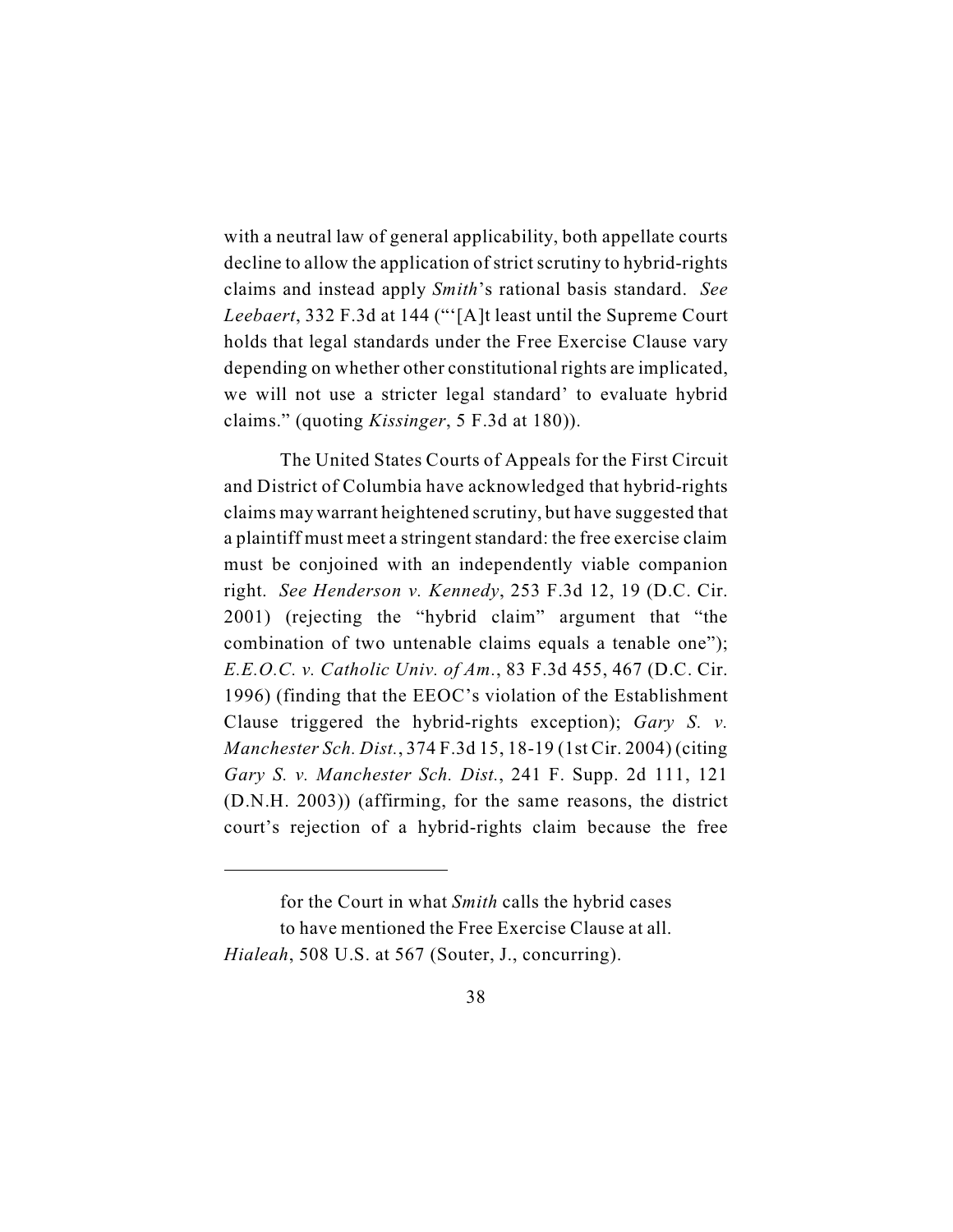with a neutral law of general applicability, both appellate courts decline to allow the application of strict scrutiny to hybrid-rights claims and instead apply *Smith*'s rational basis standard. *See Leebaert*, 332 F.3d at 144 ("'[A]t least until the Supreme Court holds that legal standards under the Free Exercise Clause vary depending on whether other constitutional rights are implicated, we will not use a stricter legal standard' to evaluate hybrid claims." (quoting *Kissinger*, 5 F.3d at 180)).

The United States Courts of Appeals for the First Circuit and District of Columbia have acknowledged that hybrid-rights claims may warrant heightened scrutiny, but have suggested that a plaintiff must meet a stringent standard: the free exercise claim must be conjoined with an independently viable companion right. *See Henderson v. Kennedy*, 253 F.3d 12, 19 (D.C. Cir. 2001) (rejecting the "hybrid claim" argument that "the combination of two untenable claims equals a tenable one"); *E.E.O.C. v. Catholic Univ. of Am.*, 83 F.3d 455, 467 (D.C. Cir. 1996) (finding that the EEOC's violation of the Establishment Clause triggered the hybrid-rights exception); *Gary S. v. Manchester Sch. Dist.*, 374 F.3d 15, 18-19 (1st Cir. 2004) (citing *Gary S. v. Manchester Sch. Dist.*, 241 F. Supp. 2d 111, 121 (D.N.H. 2003)) (affirming, for the same reasons, the district court's rejection of a hybrid-rights claim because the free

for the Court in what *Smith* calls the hybrid cases to have mentioned the Free Exercise Clause at all. *Hialeah*, 508 U.S. at 567 (Souter, J., concurring).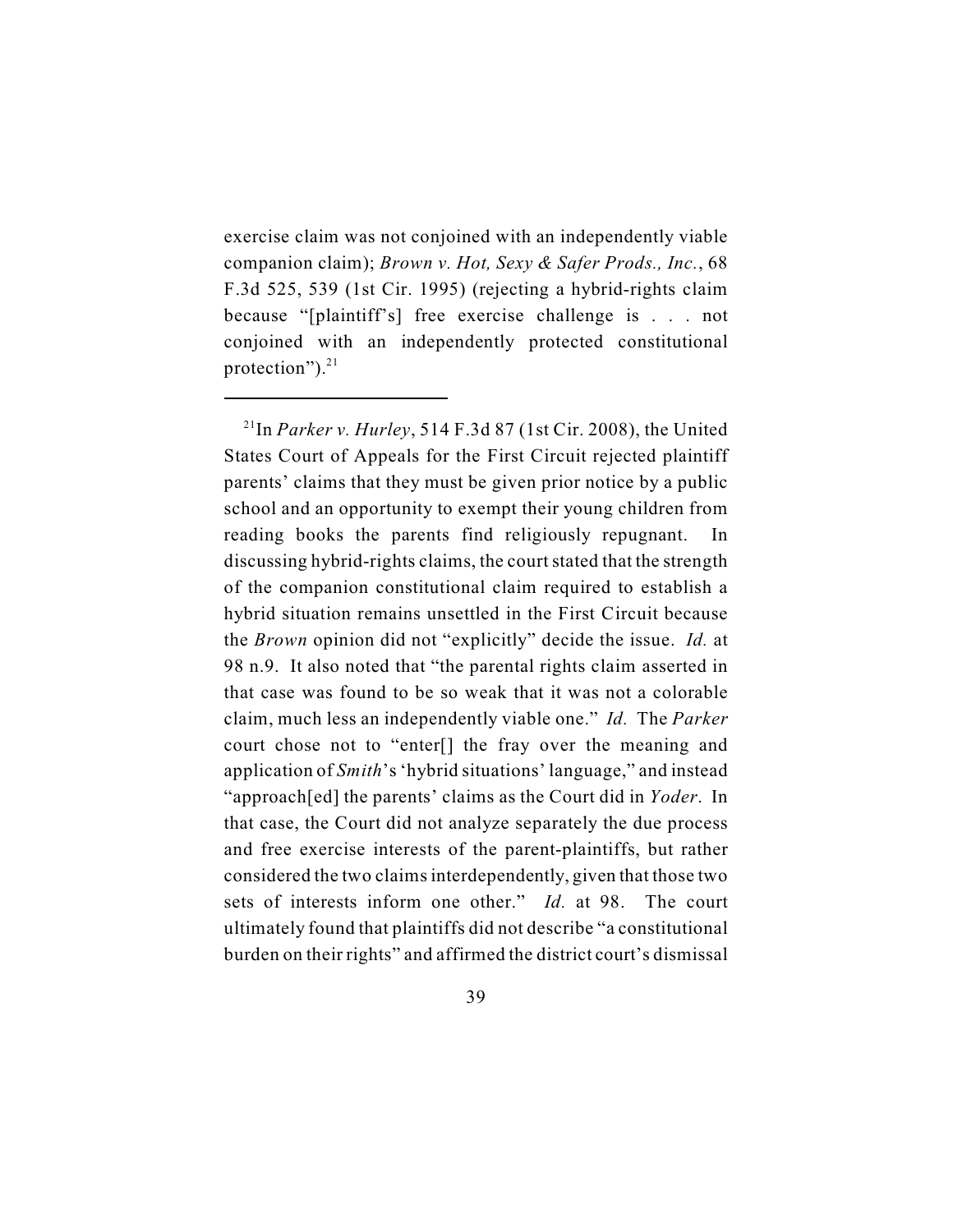exercise claim was not conjoined with an independently viable companion claim); *Brown v. Hot, Sexy & Safer Prods., Inc.*, 68 F.3d 525, 539 (1st Cir. 1995) (rejecting a hybrid-rights claim because "[plaintiff's] free exercise challenge is . . . not conjoined with an independently protected constitutional protection"). $^{21}$ 

 $^{21}$ In *Parker v. Hurley*, 514 F.3d 87 (1st Cir. 2008), the United States Court of Appeals for the First Circuit rejected plaintiff parents' claims that they must be given prior notice by a public school and an opportunity to exempt their young children from reading books the parents find religiously repugnant. In discussing hybrid-rights claims, the court stated that the strength of the companion constitutional claim required to establish a hybrid situation remains unsettled in the First Circuit because the *Brown* opinion did not "explicitly" decide the issue. *Id.* at 98 n.9. It also noted that "the parental rights claim asserted in that case was found to be so weak that it was not a colorable claim, much less an independently viable one." *Id.* The *Parker* court chose not to "enter[] the fray over the meaning and application of *Smith*'s'hybrid situations' language," and instead "approach[ed] the parents' claims as the Court did in *Yoder*. In that case, the Court did not analyze separately the due process and free exercise interests of the parent-plaintiffs, but rather considered the two claims interdependently, given that those two sets of interests inform one other." *Id.* at 98.The court ultimately found that plaintiffs did not describe "a constitutional burden on their rights" and affirmed the district court's dismissal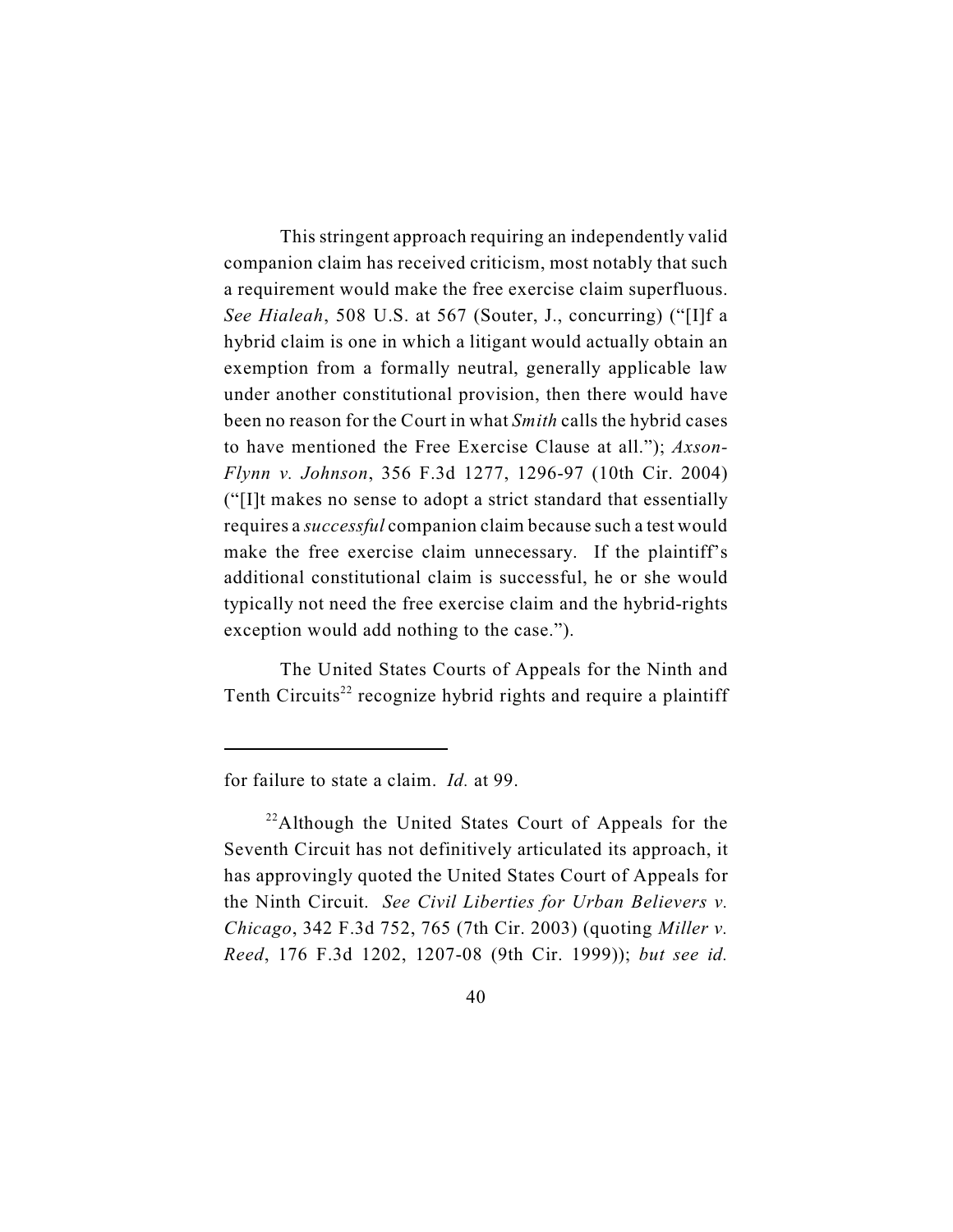This stringent approach requiring an independently valid companion claim has received criticism, most notably that such a requirement would make the free exercise claim superfluous. *See Hialeah*, 508 U.S. at 567 (Souter, J., concurring) ("[I]f a hybrid claim is one in which a litigant would actually obtain an exemption from a formally neutral, generally applicable law under another constitutional provision, then there would have been no reason for the Court in what *Smith* calls the hybrid cases to have mentioned the Free Exercise Clause at all."); *Axson-Flynn v. Johnson*, 356 F.3d 1277, 1296-97 (10th Cir. 2004) ("[I]t makes no sense to adopt a strict standard that essentially requires a *successful* companion claim because such a test would make the free exercise claim unnecessary. If the plaintiff's additional constitutional claim is successful, he or she would typically not need the free exercise claim and the hybrid-rights exception would add nothing to the case.").

The United States Courts of Appeals for the Ninth and Tenth Circuits<sup>22</sup> recognize hybrid rights and require a plaintiff

for failure to state a claim. *Id.* at 99.

 $^{22}$ Although the United States Court of Appeals for the Seventh Circuit has not definitively articulated its approach, it has approvingly quoted the United States Court of Appeals for the Ninth Circuit. *See Civil Liberties for Urban Believers v. Chicago*, 342 F.3d 752, 765 (7th Cir. 2003) (quoting *Miller v. Reed*, 176 F.3d 1202, 1207-08 (9th Cir. 1999)); *but see id.*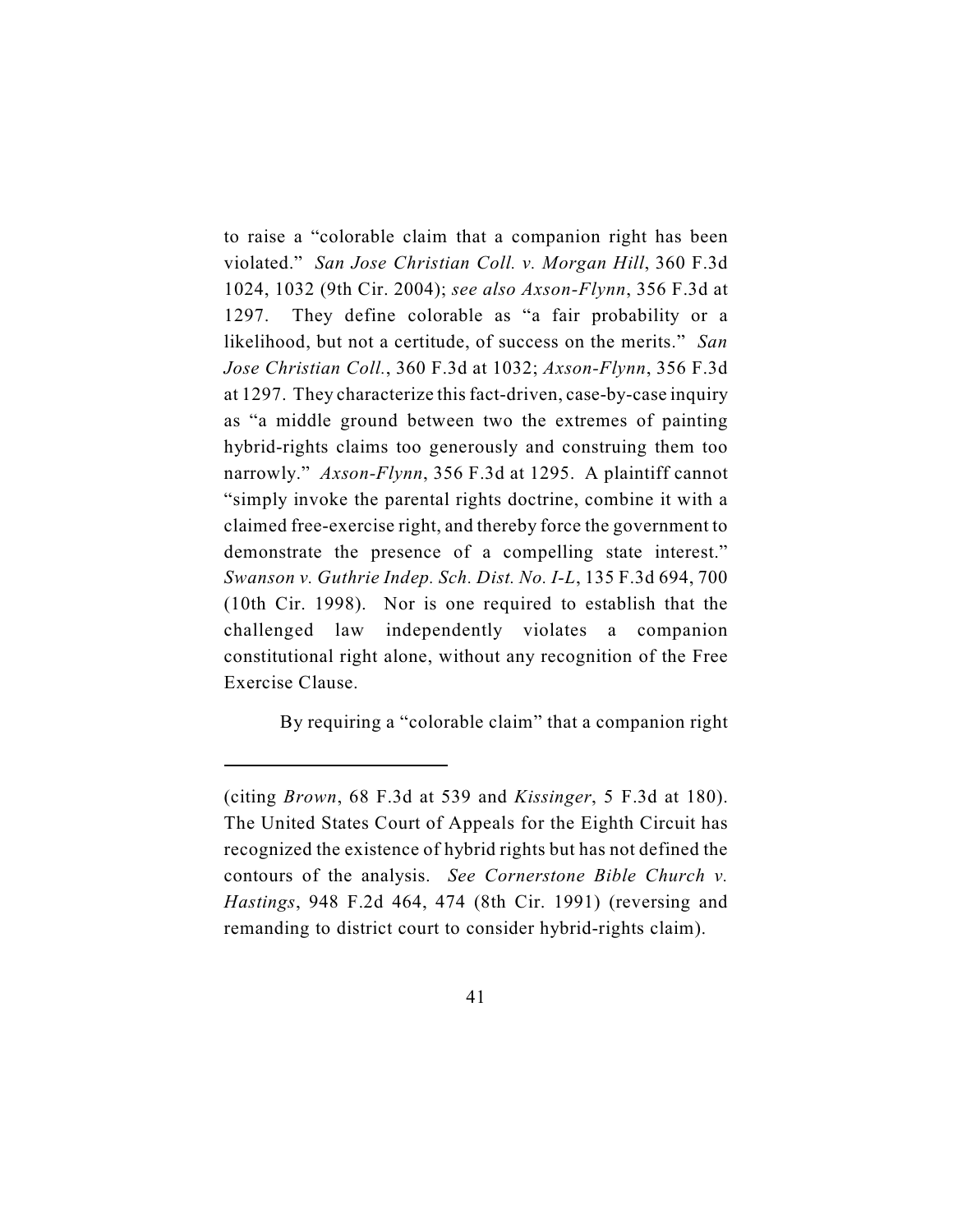to raise a "colorable claim that a companion right has been violated." *San Jose Christian Coll. v. Morgan Hill*, 360 F.3d 1024, 1032 (9th Cir. 2004); *see also Axson-Flynn*, 356 F.3d at 1297. They define colorable as "a fair probability or a likelihood, but not a certitude, of success on the merits." *San Jose Christian Coll.*, 360 F.3d at 1032; *Axson-Flynn*, 356 F.3d at 1297.They characterize this fact-driven, case-by-case inquiry as "a middle ground between two the extremes of painting hybrid-rights claims too generously and construing them too narrowly." *Axson-Flynn*, 356 F.3d at 1295. A plaintiff cannot "simply invoke the parental rights doctrine, combine it with a claimed free-exercise right, and thereby force the government to demonstrate the presence of a compelling state interest." *Swanson v. Guthrie Indep. Sch. Dist. No. I-L*, 135 F.3d 694, 700 (10th Cir. 1998). Nor is one required to establish that the challenged law independently violates a companion constitutional right alone, without any recognition of the Free Exercise Clause.

By requiring a "colorable claim" that a companion right

<sup>(</sup>citing *Brown*, 68 F.3d at 539 and *Kissinger*, 5 F.3d at 180). The United States Court of Appeals for the Eighth Circuit has recognized the existence of hybrid rights but has not defined the contours of the analysis. *See Cornerstone Bible Church v. Hastings*, 948 F.2d 464, 474 (8th Cir. 1991) (reversing and remanding to district court to consider hybrid-rights claim).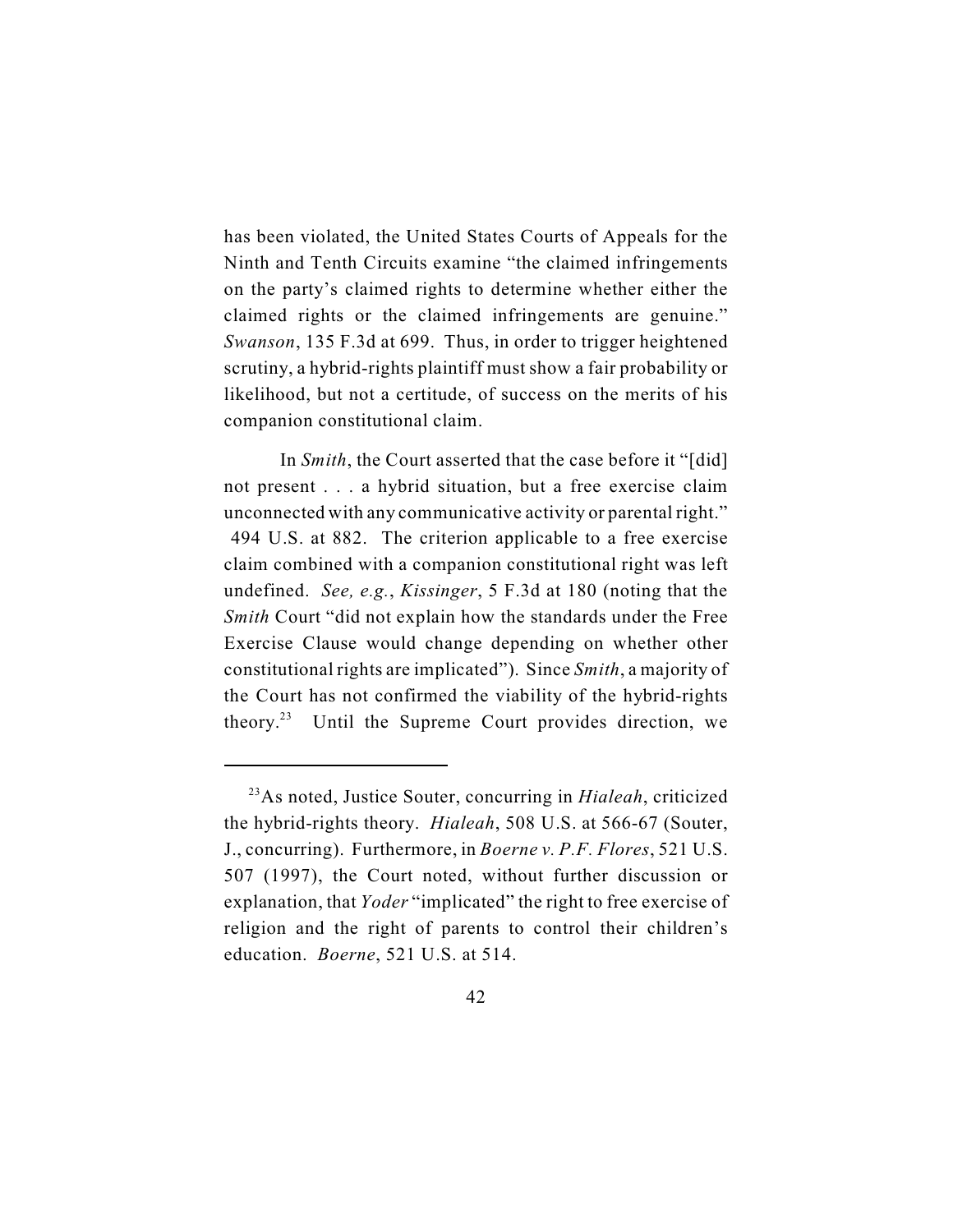has been violated, the United States Courts of Appeals for the Ninth and Tenth Circuits examine "the claimed infringements on the party's claimed rights to determine whether either the claimed rights or the claimed infringements are genuine." *Swanson*, 135 F.3d at 699. Thus, in order to trigger heightened scrutiny, a hybrid-rights plaintiff must show a fair probability or likelihood, but not a certitude, of success on the merits of his companion constitutional claim.

In *Smith*, the Court asserted that the case before it "[did] not present . . . a hybrid situation, but a free exercise claim unconnected with any communicative activity or parental right." 494 U.S. at 882. The criterion applicable to a free exercise claim combined with a companion constitutional right was left undefined. *See, e.g.*, *Kissinger*, 5 F.3d at 180 (noting that the *Smith* Court "did not explain how the standards under the Free Exercise Clause would change depending on whether other constitutional rights are implicated"). Since *Smith*, a majority of the Court has not confirmed the viability of the hybrid-rights theory.<sup>23</sup> Until the Supreme Court provides direction, we

<sup>&</sup>lt;sup>23</sup>As noted, Justice Souter, concurring in *Hialeah*, criticized the hybrid-rights theory. *Hialeah*, 508 U.S. at 566-67 (Souter, J., concurring). Furthermore, in *Boerne v. P.F. Flores*, 521 U.S. 507 (1997), the Court noted, without further discussion or explanation, that *Yoder* "implicated" the right to free exercise of religion and the right of parents to control their children's education. *Boerne*, 521 U.S. at 514.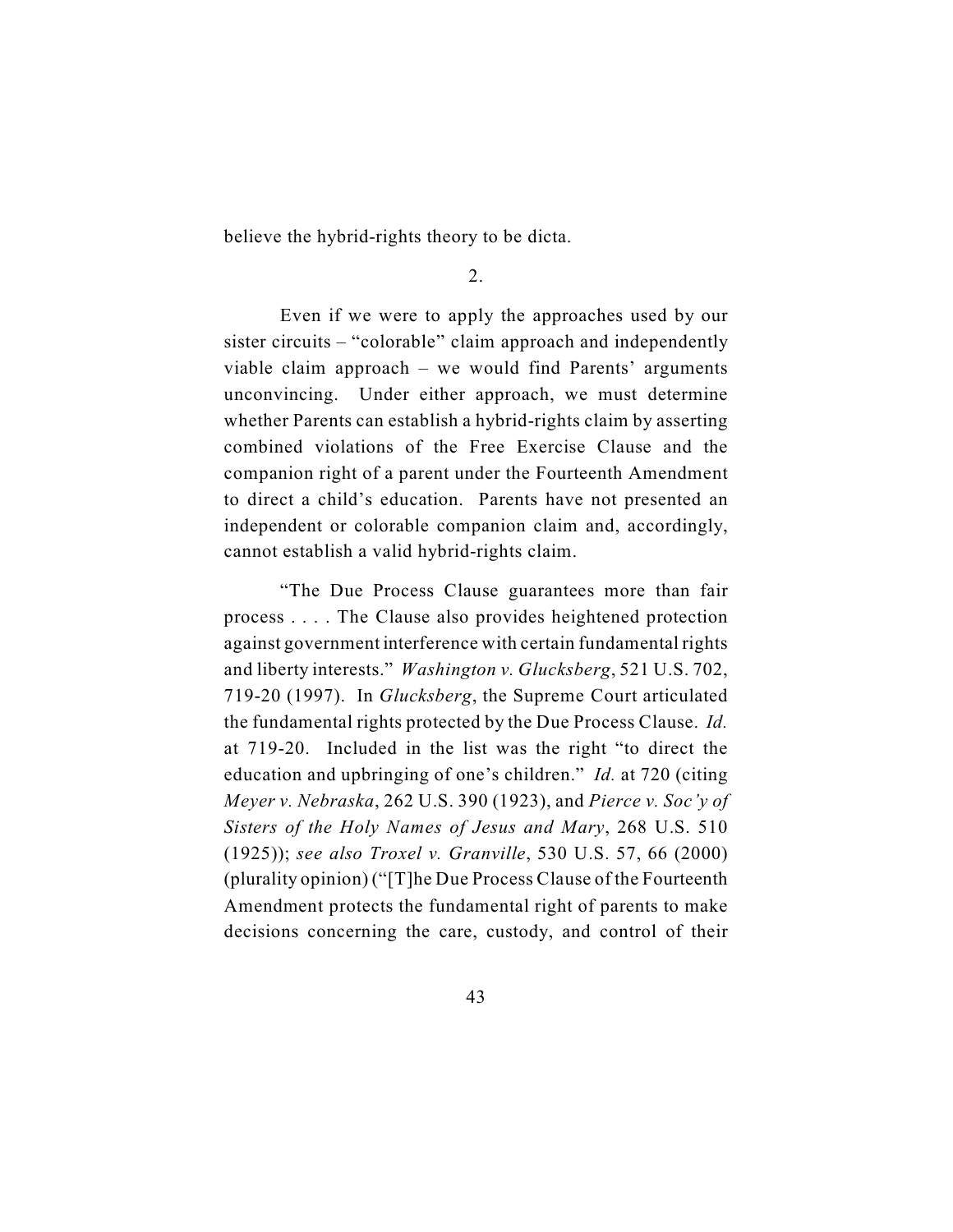believe the hybrid-rights theory to be dicta.

2.

Even if we were to apply the approaches used by our sister circuits – "colorable" claim approach and independently viable claim approach – we would find Parents' arguments unconvincing. Under either approach, we must determine whether Parents can establish a hybrid-rights claim by asserting combined violations of the Free Exercise Clause and the companion right of a parent under the Fourteenth Amendment to direct a child's education. Parents have not presented an independent or colorable companion claim and, accordingly, cannot establish a valid hybrid-rights claim.

"The Due Process Clause guarantees more than fair process . . . . The Clause also provides heightened protection against government interference with certain fundamental rights and liberty interests." *Washington v. Glucksberg*, 521 U.S. 702, 719-20 (1997). In *Glucksberg*, the Supreme Court articulated the fundamental rights protected by the Due Process Clause. *Id.* at 719-20. Included in the list was the right "to direct the education and upbringing of one's children." *Id.* at 720 (citing *Meyer v. Nebraska*, 262 U.S. 390 (1923), and *Pierce v. Soc'y of Sisters of the Holy Names of Jesus and Mary*, 268 U.S. 510 (1925)); *see also Troxel v. Granville*, 530 U.S. 57, 66 (2000) (plurality opinion) ("[T]he Due Process Clause of the Fourteenth Amendment protects the fundamental right of parents to make decisions concerning the care, custody, and control of their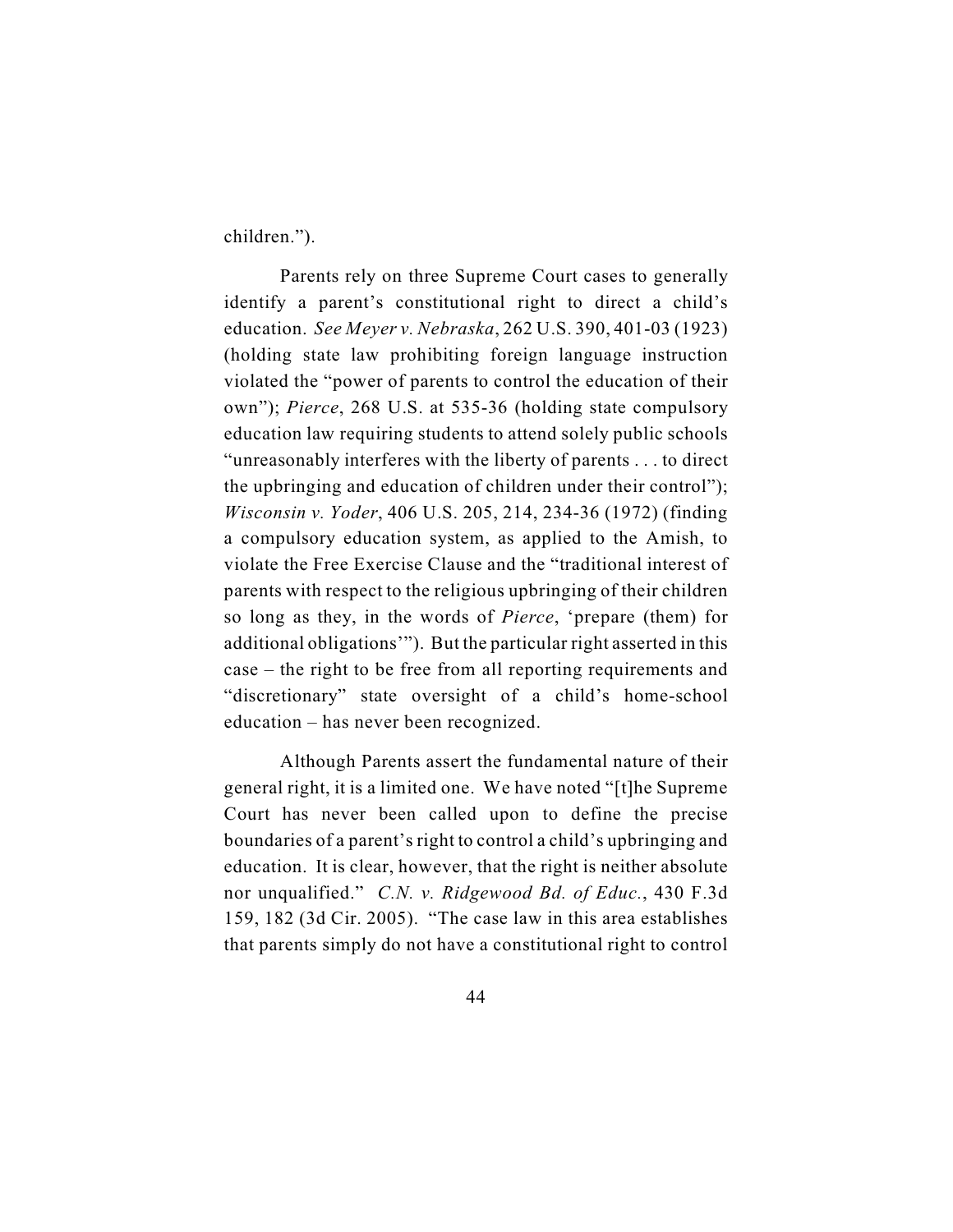children.").

Parents rely on three Supreme Court cases to generally identify a parent's constitutional right to direct a child's education. *See Meyer v. Nebraska*, 262 U.S. 390, 401-03 (1923) (holding state law prohibiting foreign language instruction violated the "power of parents to control the education of their own"); *Pierce*, 268 U.S. at 535-36 (holding state compulsory education law requiring students to attend solely public schools "unreasonably interferes with the liberty of parents . . . to direct the upbringing and education of children under their control"); *Wisconsin v. Yoder*, 406 U.S. 205, 214, 234-36 (1972) (finding a compulsory education system, as applied to the Amish, to violate the Free Exercise Clause and the "traditional interest of parents with respect to the religious upbringing of their children so long as they, in the words of *Pierce*, 'prepare (them) for additional obligations'"). But the particular right asserted in this case – the right to be free from all reporting requirements and "discretionary" state oversight of a child's home-school education – has never been recognized.

Although Parents assert the fundamental nature of their general right, it is a limited one. We have noted "[t]he Supreme Court has never been called upon to define the precise boundaries of a parent's right to control a child's upbringing and education. It is clear, however, that the right is neither absolute nor unqualified." *C.N. v. Ridgewood Bd. of Educ.*, 430 F.3d 159, 182 (3d Cir. 2005). "The case law in this area establishes that parents simply do not have a constitutional right to control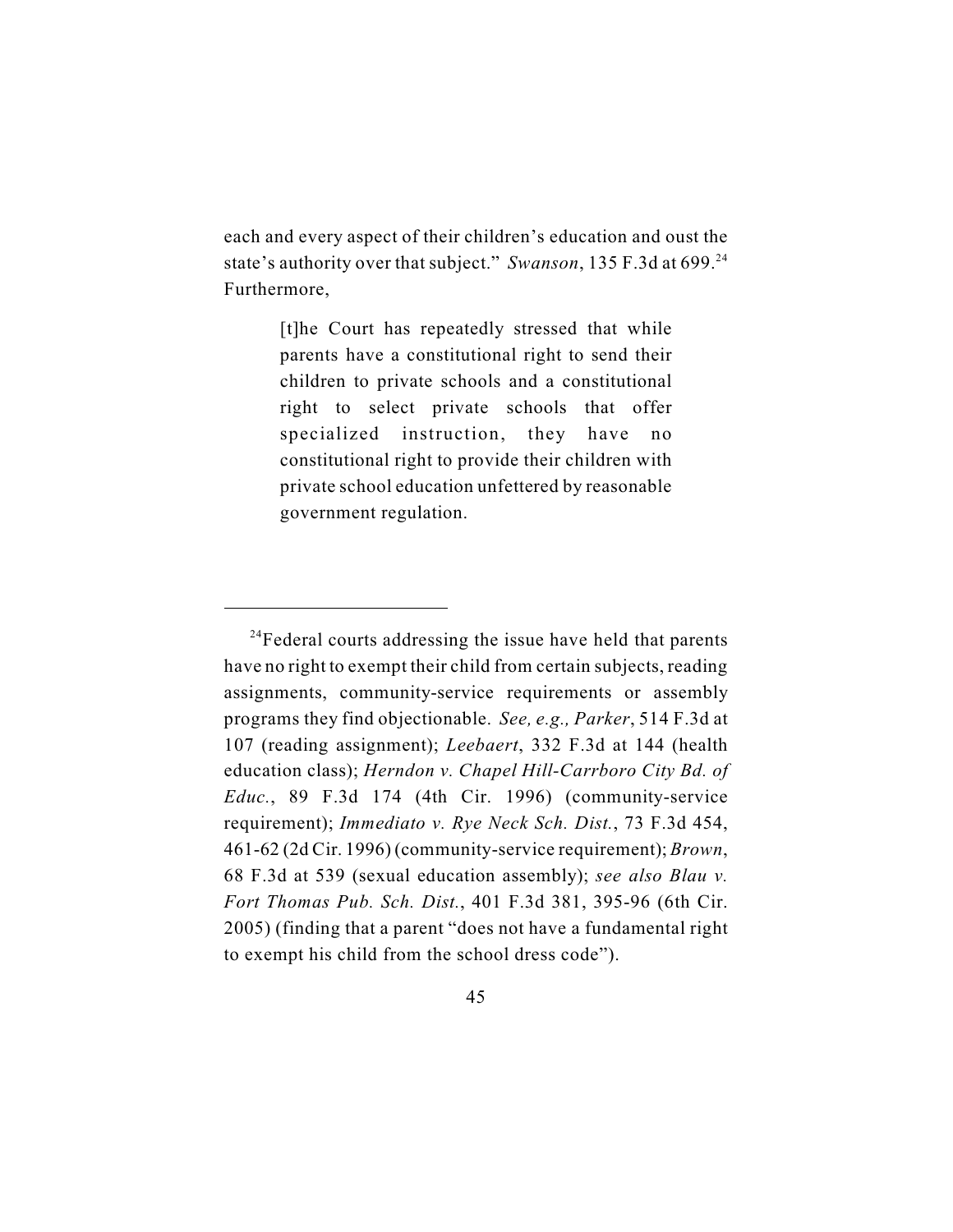each and every aspect of their children's education and oust the state's authority over that subject." *Swanson*, 135 F.3d at 699.<sup>24</sup> Furthermore,

> [t]he Court has repeatedly stressed that while parents have a constitutional right to send their children to private schools and a constitutional right to select private schools that offer specialized instruction, they have no constitutional right to provide their children with private school education unfettered by reasonable government regulation.

 $^{24}$ Federal courts addressing the issue have held that parents have no right to exempt their child from certain subjects, reading assignments, community-service requirements or assembly programs they find objectionable. *See, e.g., Parker*, 514 F.3d at 107 (reading assignment); *Leebaert*, 332 F.3d at 144 (health education class); *Herndon v. Chapel Hill-Carrboro City Bd. of Educ.*, 89 F.3d 174 (4th Cir. 1996) (community-service requirement); *Immediato v. Rye Neck Sch. Dist.*, 73 F.3d 454, 461-62 (2d Cir. 1996) (community-service requirement); *Brown*, 68 F.3d at 539 (sexual education assembly); *see also Blau v. Fort Thomas Pub. Sch. Dist.*, 401 F.3d 381, 395-96 (6th Cir. 2005) (finding that a parent "does not have a fundamental right to exempt his child from the school dress code").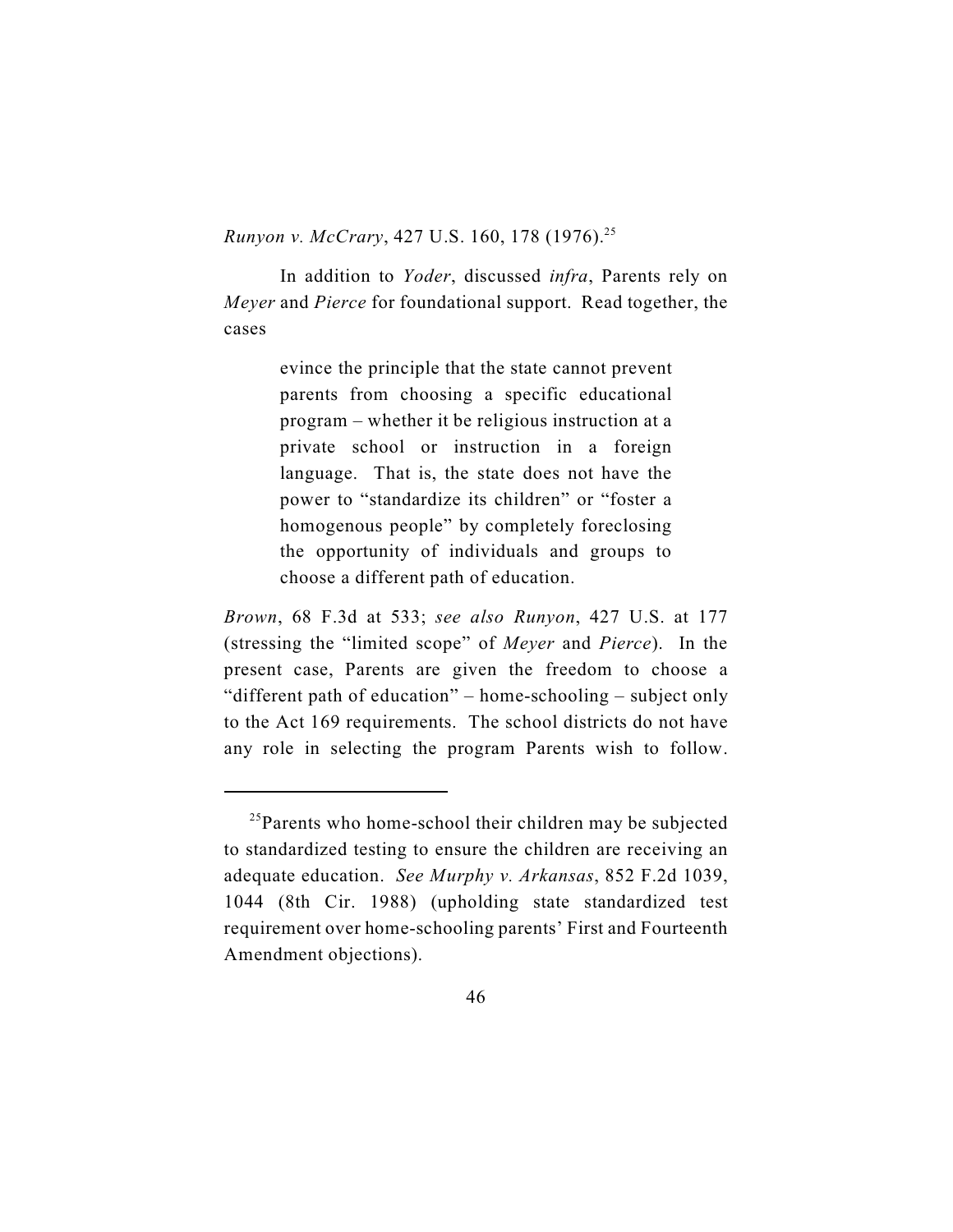*Runyon v. McCrary*, 427 U.S. 160, 178 (1976).<sup>25</sup>

In addition to *Yoder*, discussed *infra*, Parents rely on *Meyer* and *Pierce* for foundational support. Read together, the cases

> evince the principle that the state cannot prevent parents from choosing a specific educational program – whether it be religious instruction at a private school or instruction in a foreign language. That is, the state does not have the power to "standardize its children" or "foster a homogenous people" by completely foreclosing the opportunity of individuals and groups to choose a different path of education.

*Brown*, 68 F.3d at 533; *see also Runyon*, 427 U.S. at 177 (stressing the "limited scope" of *Meyer* and *Pierce*). In the present case, Parents are given the freedom to choose a "different path of education" – home-schooling – subject only to the Act 169 requirements. The school districts do not have any role in selecting the program Parents wish to follow.

 $^{25}$ Parents who home-school their children may be subjected to standardized testing to ensure the children are receiving an adequate education. *See Murphy v. Arkansas*, 852 F.2d 1039, 1044 (8th Cir. 1988) (upholding state standardized test requirement over home-schooling parents' First and Fourteenth Amendment objections).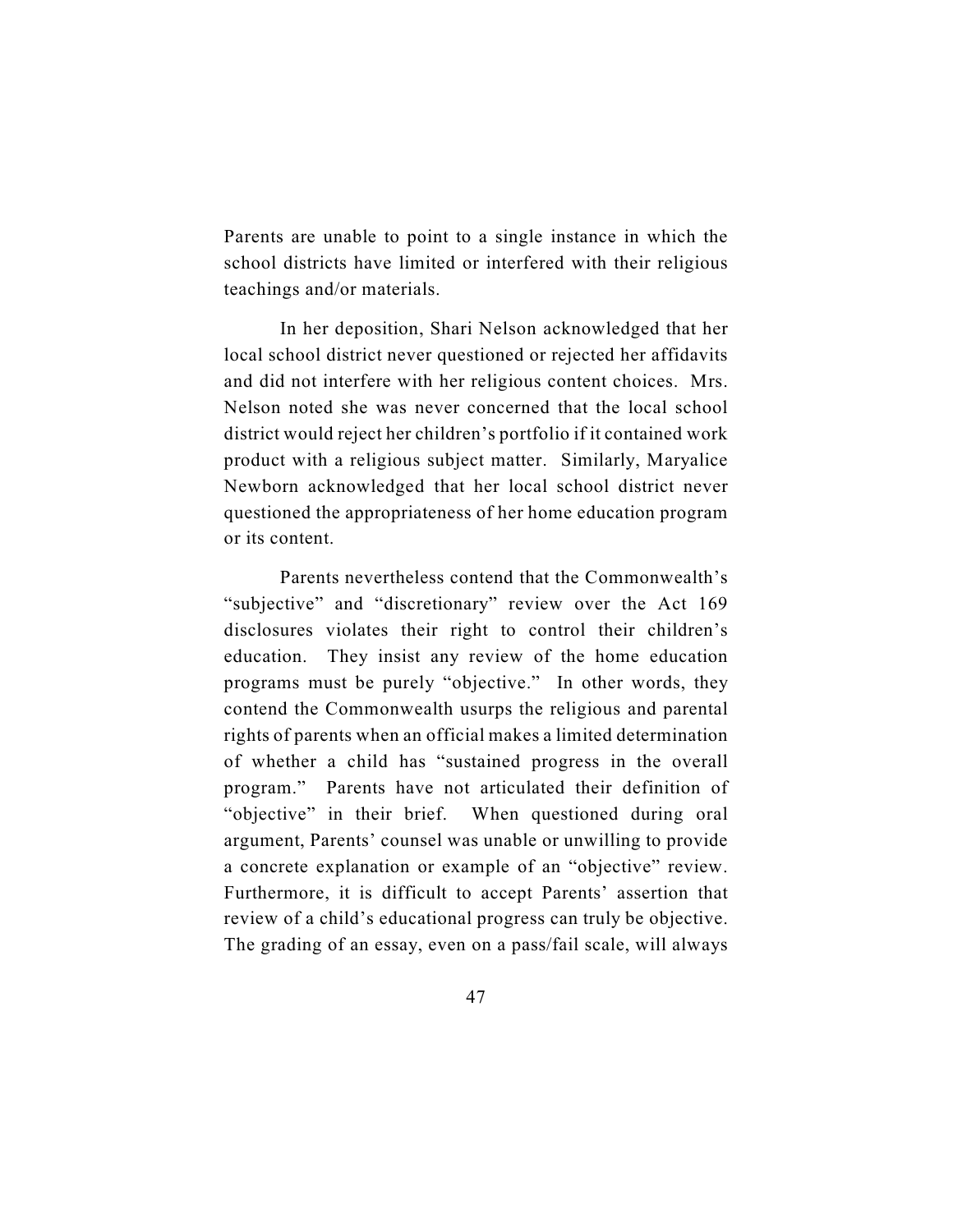Parents are unable to point to a single instance in which the school districts have limited or interfered with their religious teachings and/or materials.

In her deposition, Shari Nelson acknowledged that her local school district never questioned or rejected her affidavits and did not interfere with her religious content choices. Mrs. Nelson noted she was never concerned that the local school district would reject her children's portfolio if it contained work product with a religious subject matter. Similarly, Maryalice Newborn acknowledged that her local school district never questioned the appropriateness of her home education program or its content.

Parents nevertheless contend that the Commonwealth's "subjective" and "discretionary" review over the Act 169 disclosures violates their right to control their children's education. They insist any review of the home education programs must be purely "objective." In other words, they contend the Commonwealth usurps the religious and parental rights of parents when an official makes a limited determination of whether a child has "sustained progress in the overall program." Parents have not articulated their definition of "objective" in their brief. When questioned during oral argument, Parents' counsel was unable or unwilling to provide a concrete explanation or example of an "objective" review. Furthermore, it is difficult to accept Parents' assertion that review of a child's educational progress can truly be objective. The grading of an essay, even on a pass/fail scale, will always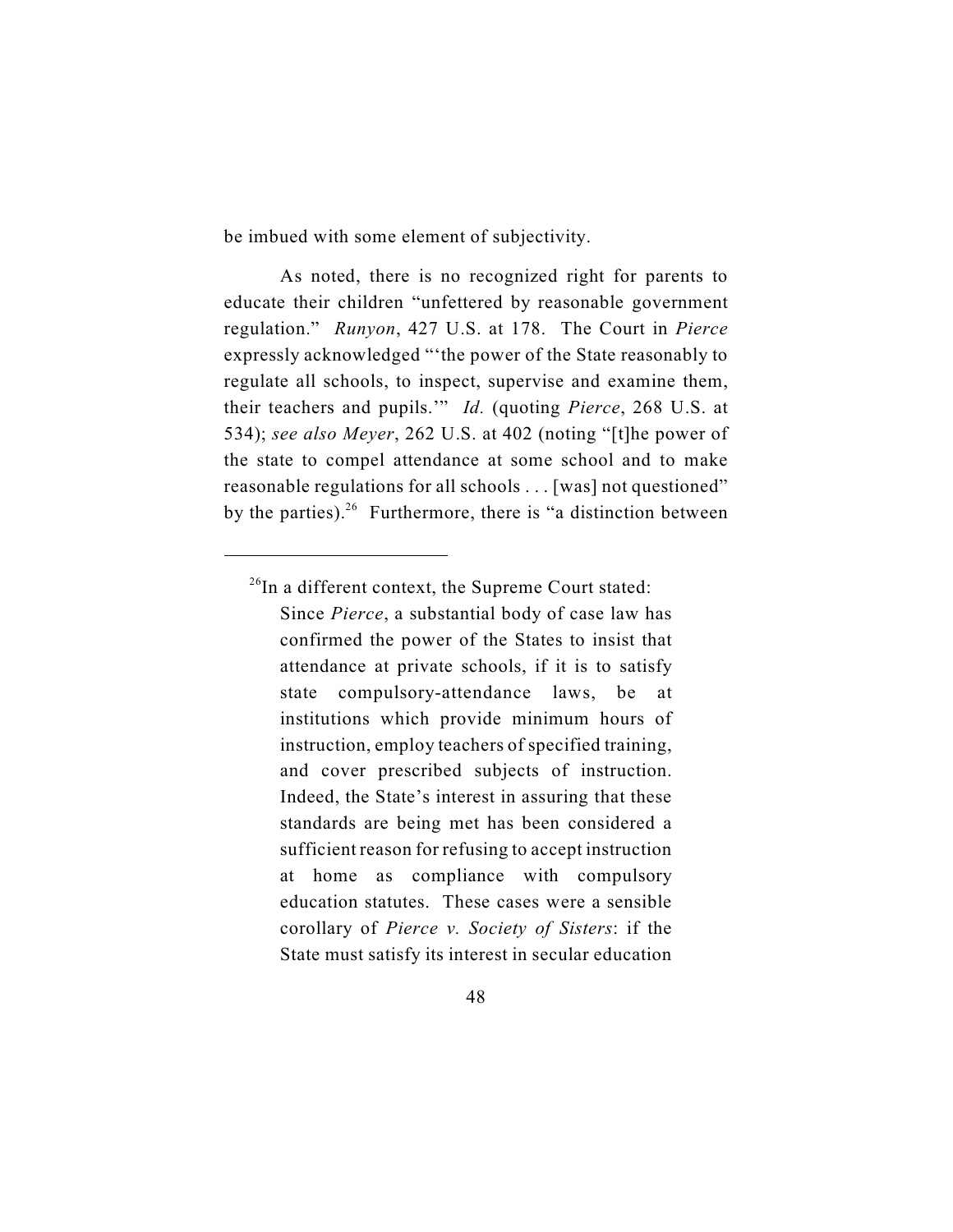be imbued with some element of subjectivity.

As noted, there is no recognized right for parents to educate their children "unfettered by reasonable government regulation." *Runyon*, 427 U.S. at 178. The Court in *Pierce* expressly acknowledged "'the power of the State reasonably to regulate all schools, to inspect, supervise and examine them, their teachers and pupils.'" *Id.* (quoting *Pierce*, 268 U.S. at 534); *see also Meyer*, 262 U.S. at 402 (noting "[t]he power of the state to compel attendance at some school and to make reasonable regulations for all schools . . . [was] not questioned" by the parties). <sup>26</sup> Furthermore, there is "a distinction between

Since *Pierce*, a substantial body of case law has confirmed the power of the States to insist that attendance at private schools, if it is to satisfy state compulsory-attendance laws, be at institutions which provide minimum hours of instruction, employ teachers of specified training, and cover prescribed subjects of instruction. Indeed, the State's interest in assuring that these standards are being met has been considered a sufficient reason for refusing to accept instruction at home as compliance with compulsory education statutes. These cases were a sensible corollary of *Pierce v. Society of Sisters*: if the State must satisfy its interest in secular education

 $^{26}$ In a different context, the Supreme Court stated: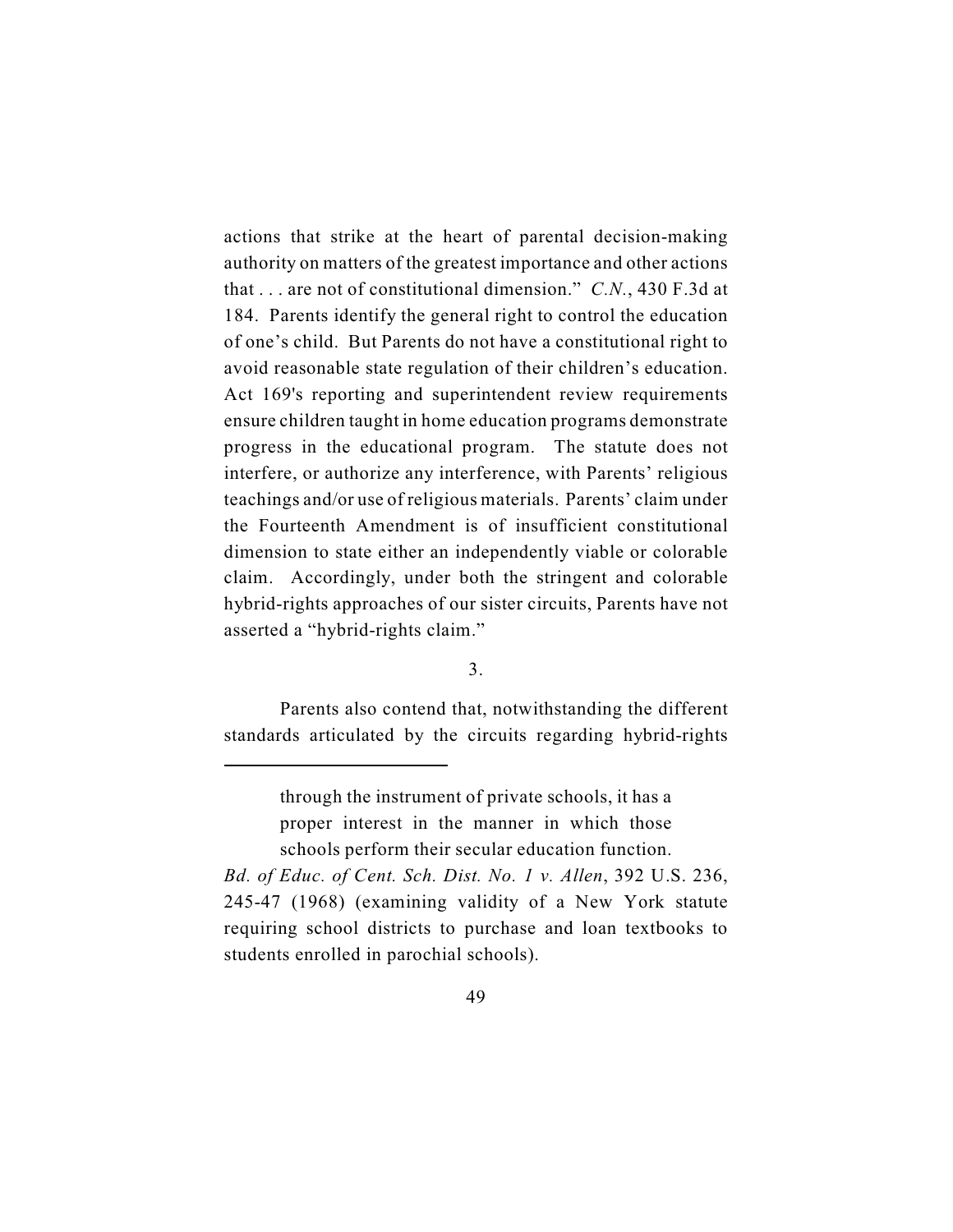actions that strike at the heart of parental decision-making authority on matters of the greatest importance and other actions that . . . are not of constitutional dimension." *C.N.*, 430 F.3d at 184. Parents identify the general right to control the education of one's child. But Parents do not have a constitutional right to avoid reasonable state regulation of their children's education. Act 169's reporting and superintendent review requirements ensure children taught in home education programs demonstrate progress in the educational program. The statute does not interfere, or authorize any interference, with Parents' religious teachings and/or use of religious materials. Parents' claim under the Fourteenth Amendment is of insufficient constitutional dimension to state either an independently viable or colorable claim. Accordingly, under both the stringent and colorable hybrid-rights approaches of our sister circuits, Parents have not asserted a "hybrid-rights claim."

3.

Parents also contend that, notwithstanding the different standards articulated by the circuits regarding hybrid-rights

through the instrument of private schools, it has a proper interest in the manner in which those schools perform their secular education function.

*Bd. of Educ. of Cent. Sch. Dist. No. 1 v. Allen*, 392 U.S. 236, 245-47 (1968) (examining validity of a New York statute requiring school districts to purchase and loan textbooks to students enrolled in parochial schools).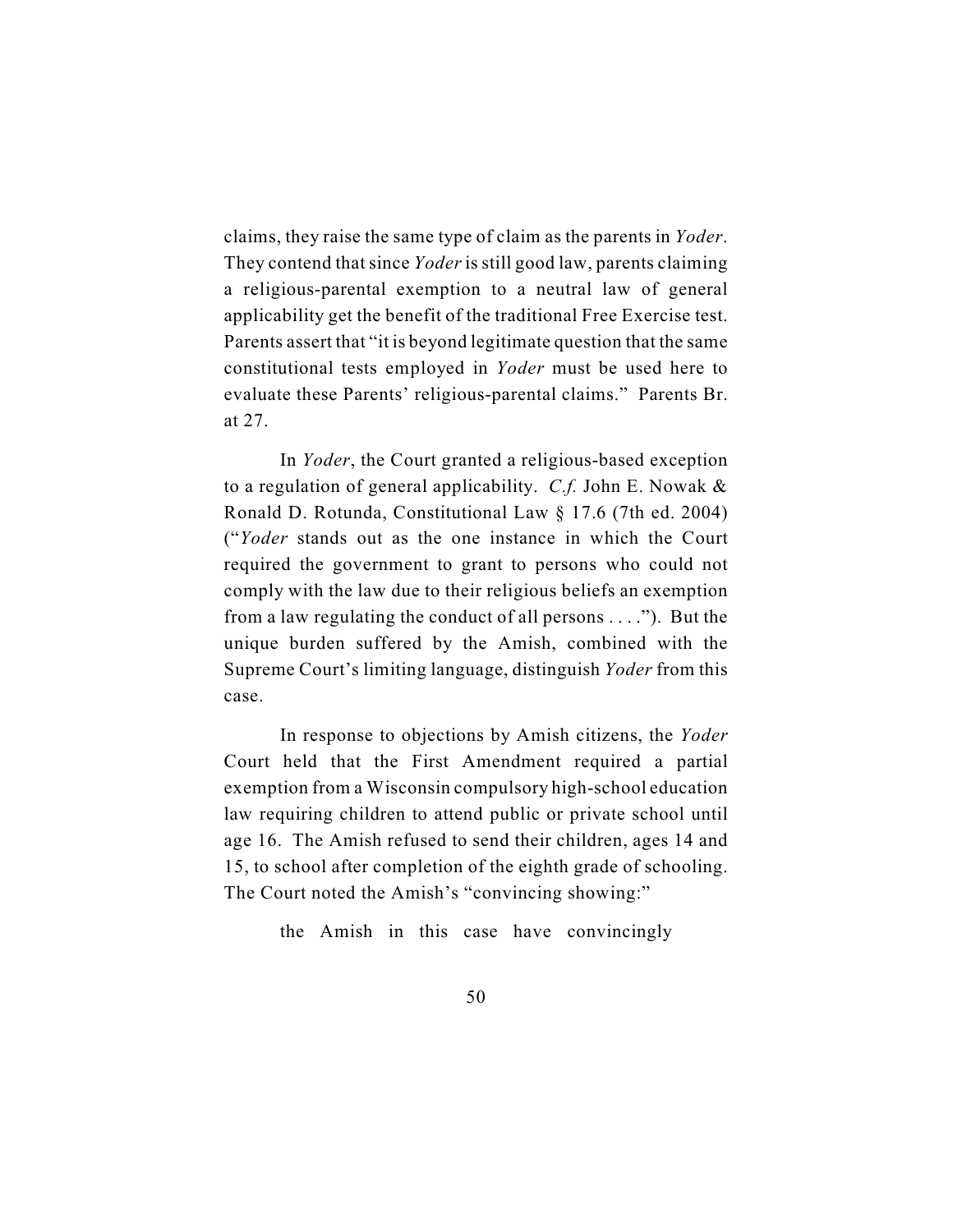claims, they raise the same type of claim as the parents in *Yoder*. They contend that since *Yoder* is still good law, parents claiming a religious-parental exemption to a neutral law of general applicability get the benefit of the traditional Free Exercise test. Parents assert that "it is beyond legitimate question that the same constitutional tests employed in *Yoder* must be used here to evaluate these Parents' religious-parental claims." Parents Br. at 27.

In *Yoder*, the Court granted a religious-based exception to a regulation of general applicability. *C.f.* John E. Nowak & Ronald D. Rotunda, Constitutional Law § 17.6 (7th ed. 2004) ("*Yoder* stands out as the one instance in which the Court required the government to grant to persons who could not comply with the law due to their religious beliefs an exemption from a law regulating the conduct of all persons . . . ."). But the unique burden suffered by the Amish, combined with the Supreme Court's limiting language, distinguish *Yoder* from this case.

In response to objections by Amish citizens, the *Yoder* Court held that the First Amendment required a partial exemption from a Wisconsin compulsory high-school education law requiring children to attend public or private school until age 16. The Amish refused to send their children, ages 14 and 15, to school after completion of the eighth grade of schooling. The Court noted the Amish's "convincing showing:"

the Amish in this case have convincingly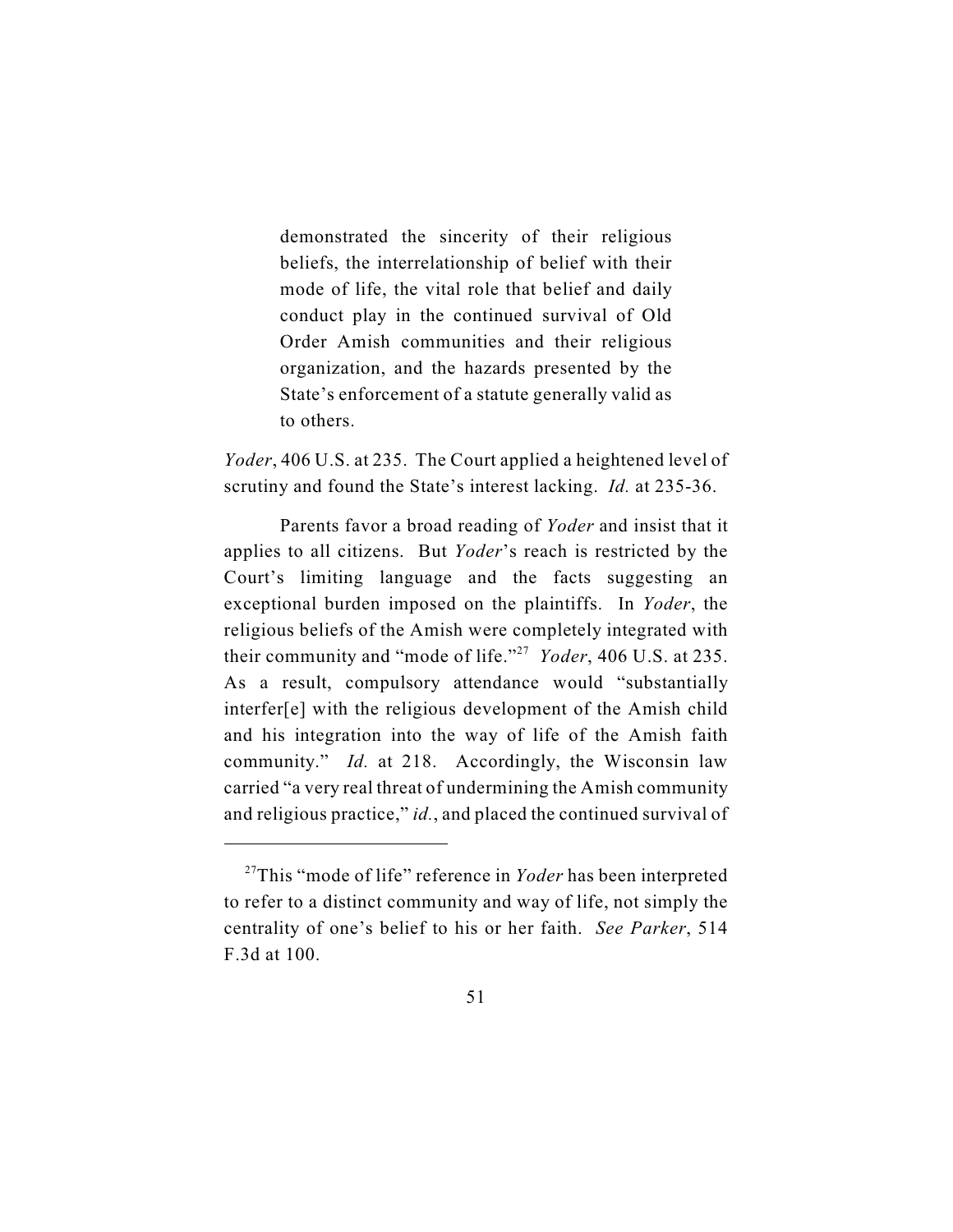demonstrated the sincerity of their religious beliefs, the interrelationship of belief with their mode of life, the vital role that belief and daily conduct play in the continued survival of Old Order Amish communities and their religious organization, and the hazards presented by the State's enforcement of a statute generally valid as to others.

*Yoder*, 406 U.S. at 235. The Court applied a heightened level of scrutiny and found the State's interest lacking. *Id.* at 235-36.

Parents favor a broad reading of *Yoder* and insist that it applies to all citizens. But *Yoder*'s reach is restricted by the Court's limiting language and the facts suggesting an exceptional burden imposed on the plaintiffs. In *Yoder*, the religious beliefs of the Amish were completely integrated with their community and "mode of life."<sup>27</sup> Yoder, 406 U.S. at 235. As a result, compulsory attendance would "substantially interfer[e] with the religious development of the Amish child and his integration into the way of life of the Amish faith community." *Id.* at 218. Accordingly, the Wisconsin law carried "a very real threat of undermining the Amish community and religious practice," *id.*, and placed the continued survival of

<sup>&</sup>lt;sup>27</sup>This "mode of life" reference in *Yoder* has been interpreted to refer to a distinct community and way of life, not simply the centrality of one's belief to his or her faith. *See Parker*, 514 F.3d at 100.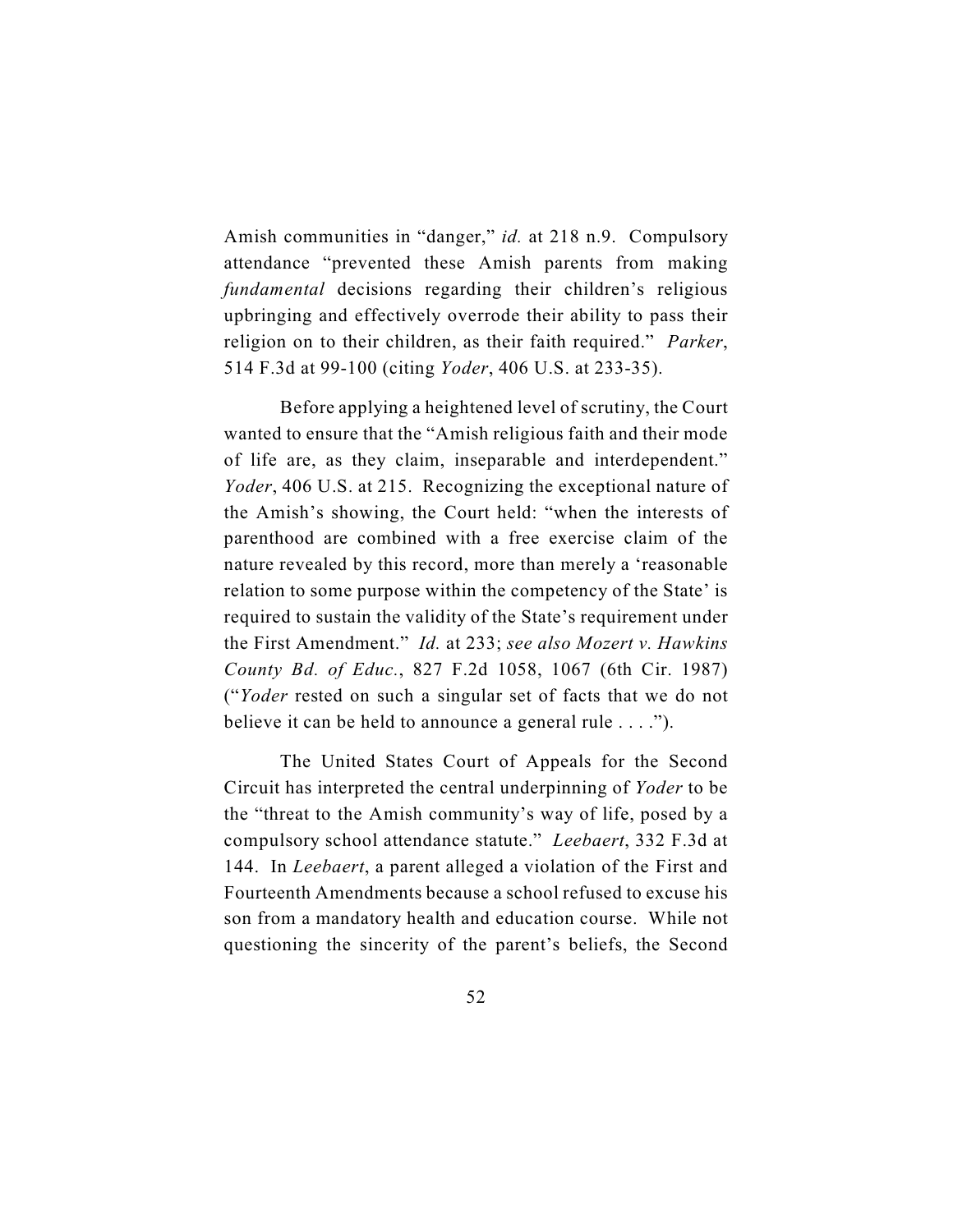Amish communities in "danger," *id.* at 218 n.9. Compulsory attendance "prevented these Amish parents from making *fundamental* decisions regarding their children's religious upbringing and effectively overrode their ability to pass their religion on to their children, as their faith required." *Parker*, 514 F.3d at 99-100 (citing *Yoder*, 406 U.S. at 233-35).

Before applying a heightened level of scrutiny, the Court wanted to ensure that the "Amish religious faith and their mode of life are, as they claim, inseparable and interdependent." *Yoder*, 406 U.S. at 215. Recognizing the exceptional nature of the Amish's showing, the Court held: "when the interests of parenthood are combined with a free exercise claim of the nature revealed by this record, more than merely a 'reasonable relation to some purpose within the competency of the State' is required to sustain the validity of the State's requirement under the First Amendment." *Id.* at 233; *see also Mozert v. Hawkins County Bd. of Educ.*, 827 F.2d 1058, 1067 (6th Cir. 1987) ("*Yoder* rested on such a singular set of facts that we do not believe it can be held to announce a general rule . . . .").

The United States Court of Appeals for the Second Circuit has interpreted the central underpinning of *Yoder* to be the "threat to the Amish community's way of life, posed by a compulsory school attendance statute." *Leebaert*, 332 F.3d at 144. In *Leebaert*, a parent alleged a violation of the First and Fourteenth Amendments because a school refused to excuse his son from a mandatory health and education course. While not questioning the sincerity of the parent's beliefs, the Second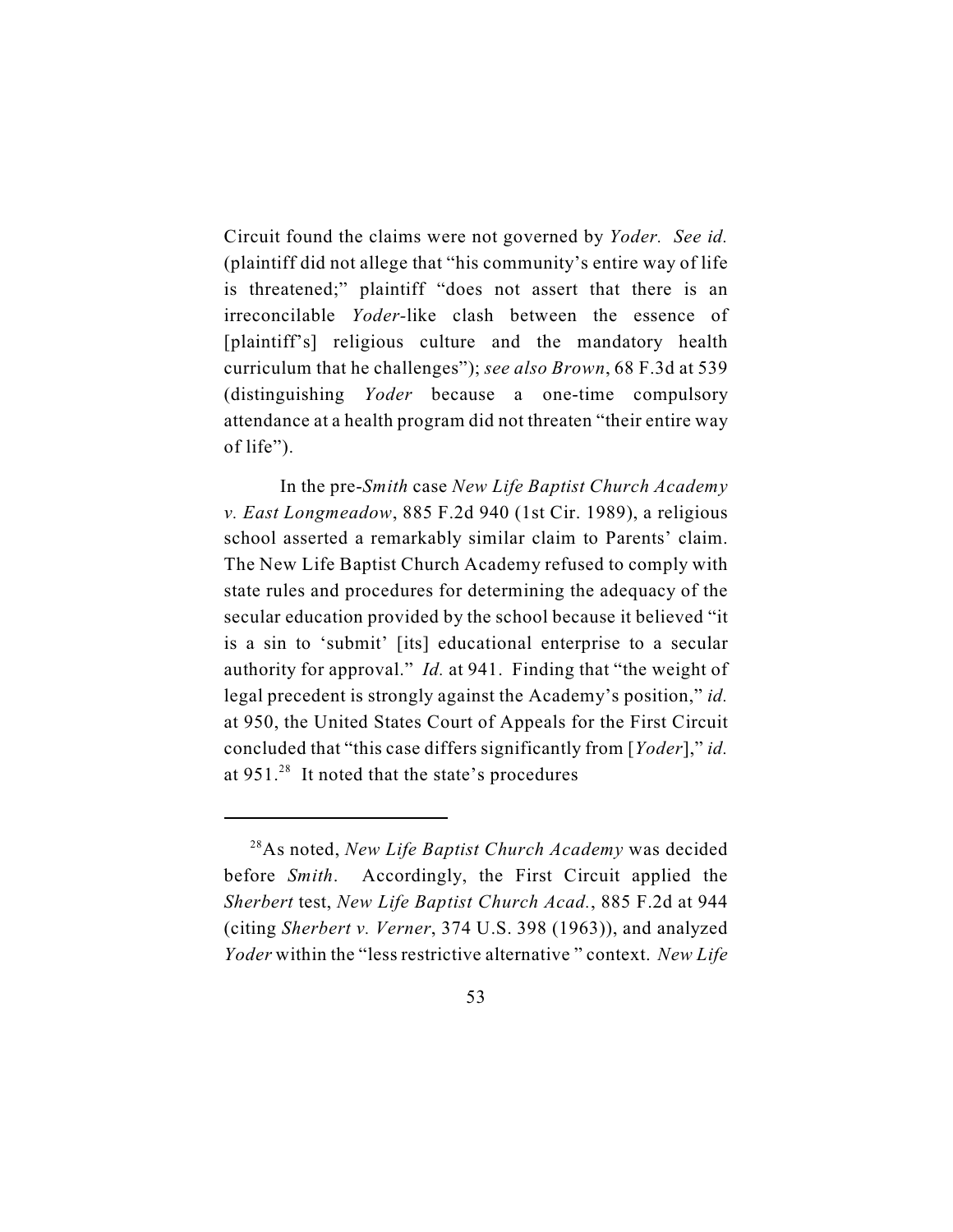Circuit found the claims were not governed by *Yoder. See id.* (plaintiff did not allege that "his community's entire way of life is threatened;" plaintiff "does not assert that there is an irreconcilable *Yoder-*like clash between the essence of [plaintiff's] religious culture and the mandatory health curriculum that he challenges"); *see also Brown*, 68 F.3d at 539 (distinguishing *Yoder* because a one-time compulsory attendance at a health program did not threaten "their entire way of life").

In the pre-*Smith* case *New Life Baptist Church Academy v. East Longmeadow*, 885 F.2d 940 (1st Cir. 1989), a religious school asserted a remarkably similar claim to Parents' claim. The New Life Baptist Church Academy refused to comply with state rules and procedures for determining the adequacy of the secular education provided by the school because it believed "it is a sin to 'submit' [its] educational enterprise to a secular authority for approval." *Id.* at 941. Finding that "the weight of legal precedent is strongly against the Academy's position," *id.* at 950, the United States Court of Appeals for the First Circuit concluded that "this case differs significantly from [*Yoder*]," *id.* at  $951.^{28}$  It noted that the state's procedures

<sup>&</sup>lt;sup>28</sup>As noted, *New Life Baptist Church Academy* was decided before *Smith*. Accordingly, the First Circuit applied the *Sherbert* test, *New Life Baptist Church Acad.*, 885 F.2d at 944 (citing *Sherbert v. Verner*, 374 U.S. 398 (1963)), and analyzed *Yoder* within the "less restrictive alternative " context. *New Life*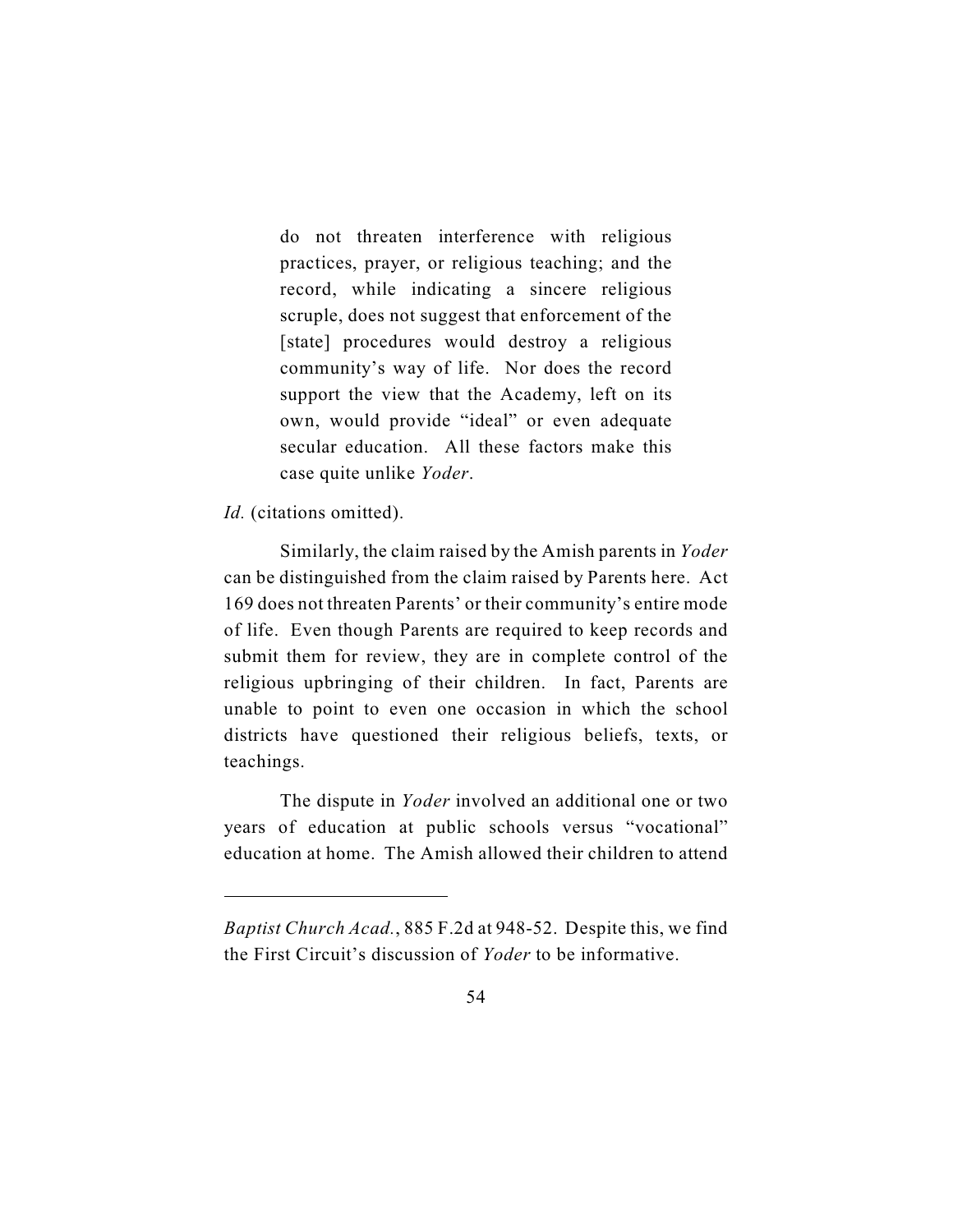do not threaten interference with religious practices, prayer, or religious teaching; and the record, while indicating a sincere religious scruple, does not suggest that enforcement of the [state] procedures would destroy a religious community's way of life. Nor does the record support the view that the Academy, left on its own, would provide "ideal" or even adequate secular education. All these factors make this case quite unlike *Yoder*.

# *Id.* (citations omitted).

Similarly, the claim raised by the Amish parents in *Yoder* can be distinguished from the claim raised by Parents here. Act 169 does not threaten Parents' or their community's entire mode of life. Even though Parents are required to keep records and submit them for review, they are in complete control of the religious upbringing of their children. In fact, Parents are unable to point to even one occasion in which the school districts have questioned their religious beliefs, texts, or teachings.

The dispute in *Yoder* involved an additional one or two years of education at public schools versus "vocational" education at home. The Amish allowed their children to attend

*Baptist Church Acad.*, 885 F.2d at 948-52. Despite this, we find the First Circuit's discussion of *Yoder* to be informative.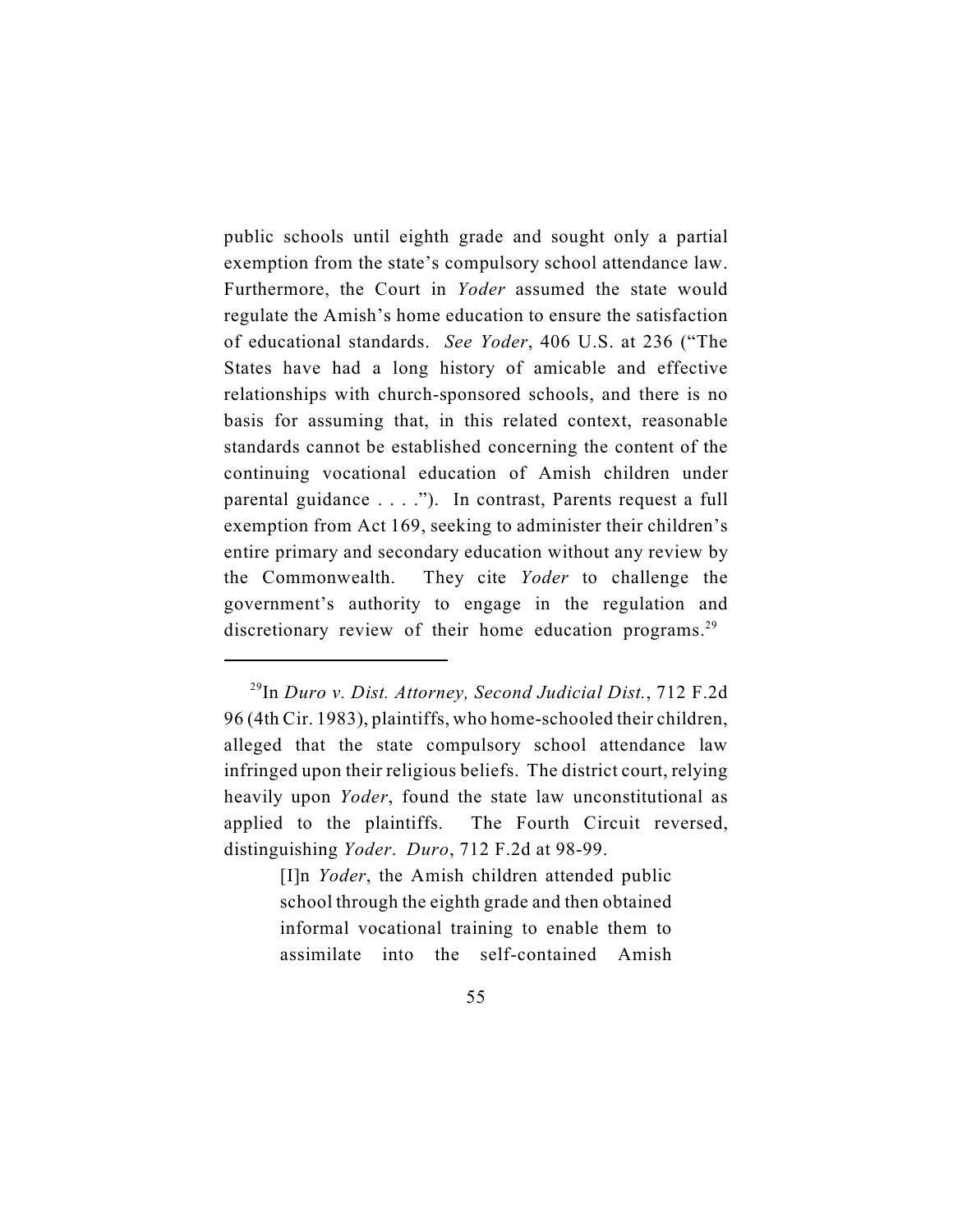public schools until eighth grade and sought only a partial exemption from the state's compulsory school attendance law. Furthermore, the Court in *Yoder* assumed the state would regulate the Amish's home education to ensure the satisfaction of educational standards. *See Yoder*, 406 U.S. at 236 ("The States have had a long history of amicable and effective relationships with church-sponsored schools, and there is no basis for assuming that, in this related context, reasonable standards cannot be established concerning the content of the continuing vocational education of Amish children under parental guidance . . . ."). In contrast, Parents request a full exemption from Act 169, seeking to administer their children's entire primary and secondary education without any review by the Commonwealth. They cite *Yoder* to challenge the government's authority to engage in the regulation and discretionary review of their home education programs.<sup>29</sup>

[I]n *Yoder*, the Amish children attended public school through the eighth grade and then obtained informal vocational training to enable them to assimilate into the self-contained Amish

<sup>&</sup>lt;sup>29</sup>In *Duro v. Dist. Attorney, Second Judicial Dist.*, 712 F.2d 96 (4th Cir. 1983), plaintiffs, who home-schooled their children, alleged that the state compulsory school attendance law infringed upon their religious beliefs. The district court, relying heavily upon *Yoder*, found the state law unconstitutional as applied to the plaintiffs. The Fourth Circuit reversed, distinguishing *Yoder*. *Duro*, 712 F.2d at 98-99.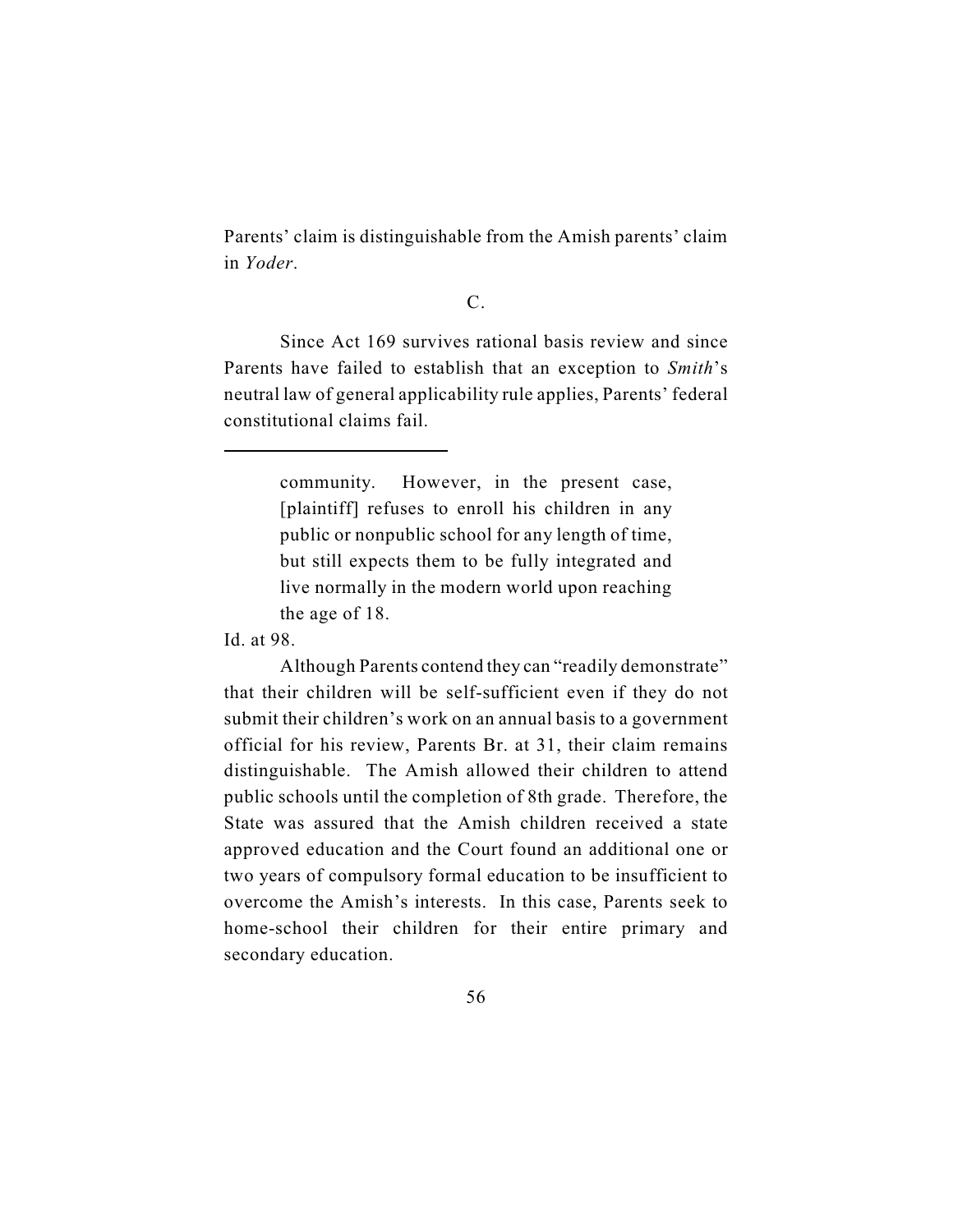Parents' claim is distinguishable from the Amish parents' claim in *Yoder*.

## C.

Since Act 169 survives rational basis review and since Parents have failed to establish that an exception to *Smith*'s neutral law of general applicability rule applies, Parents' federal constitutional claims fail.

> community. However, in the present case, [plaintiff] refuses to enroll his children in any public or nonpublic school for any length of time, but still expects them to be fully integrated and live normally in the modern world upon reaching the age of 18.

Id. at 98.

Although Parents contend they can "readily demonstrate" that their children will be self-sufficient even if they do not submit their children's work on an annual basis to a government official for his review, Parents Br. at 31, their claim remains distinguishable. The Amish allowed their children to attend public schools until the completion of 8th grade. Therefore, the State was assured that the Amish children received a state approved education and the Court found an additional one or two years of compulsory formal education to be insufficient to overcome the Amish's interests. In this case, Parents seek to home-school their children for their entire primary and secondary education.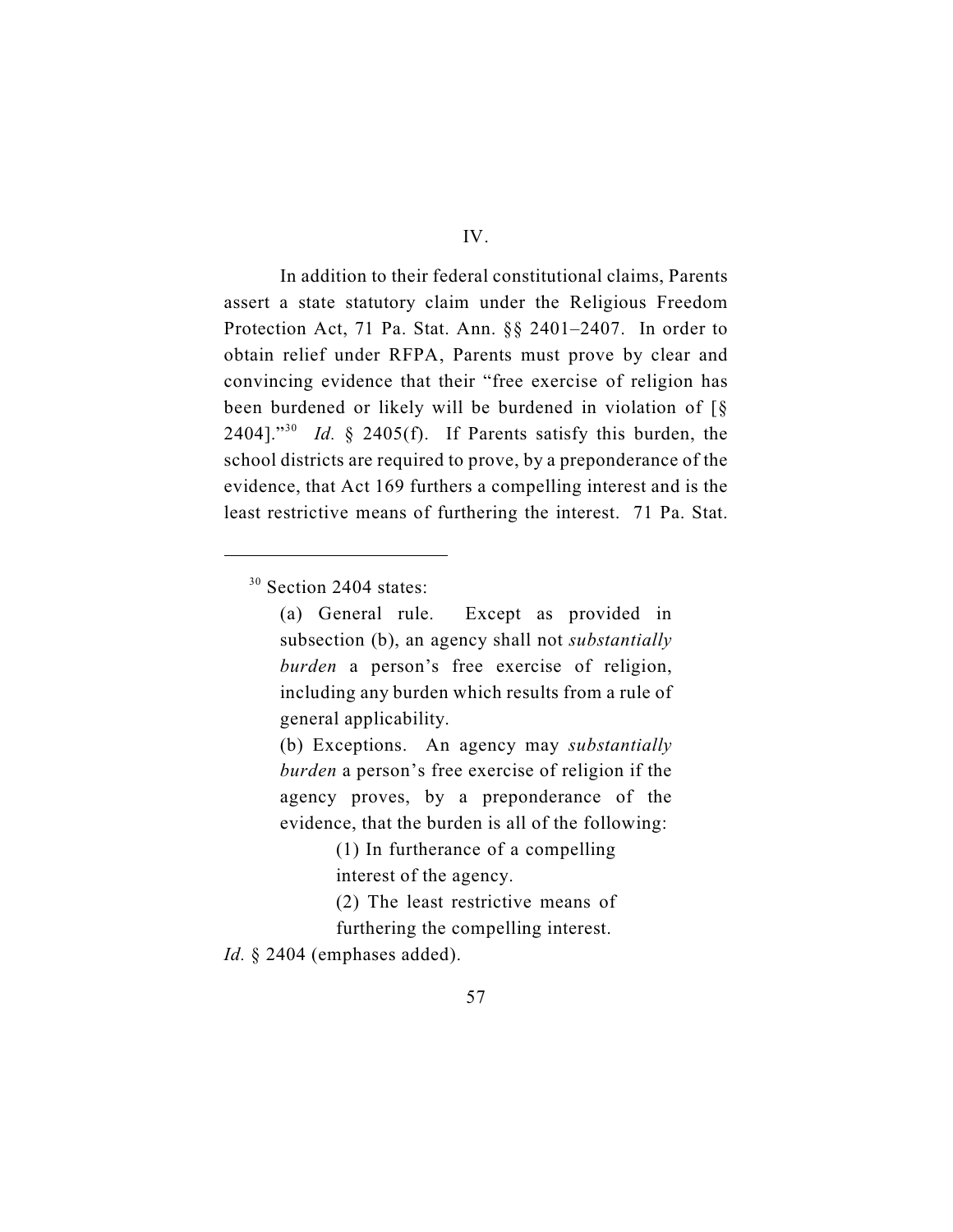In addition to their federal constitutional claims, Parents assert a state statutory claim under the Religious Freedom Protection Act, 71 Pa. Stat. Ann. §§ 2401–2407. In order to obtain relief under RFPA, Parents must prove by clear and convincing evidence that their "free exercise of religion has been burdened or likely will be burdened in violation of [§ 2404]."<sup>30</sup> *Id.* § 2405(f). If Parents satisfy this burden, the school districts are required to prove, by a preponderance of the evidence, that Act 169 furthers a compelling interest and is the least restrictive means of furthering the interest. 71 Pa. Stat.

(b) Exceptions. An agency may *substantially burden* a person's free exercise of religion if the agency proves, by a preponderance of the evidence, that the burden is all of the following:

 $30$  Section 2404 states:

<sup>(</sup>a) General rule. Except as provided in subsection (b), an agency shall not *substantially burden* a person's free exercise of religion, including any burden which results from a rule of general applicability.

<sup>(1)</sup> In furtherance of a compelling interest of the agency.

<sup>(2)</sup> The least restrictive means of

furthering the compelling interest.

*Id.* § 2404 (emphases added).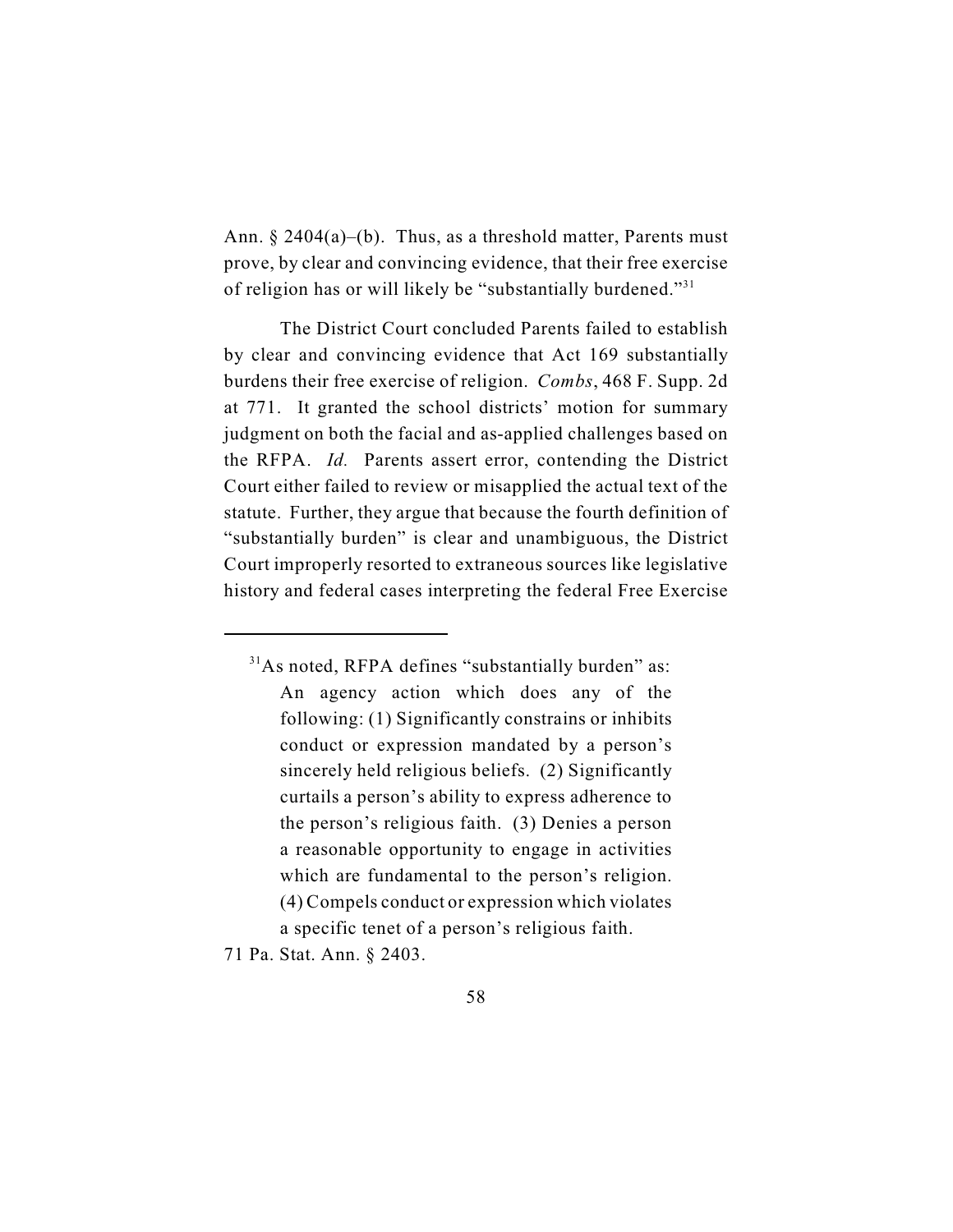Ann.  $\S 2404(a)$ –(b). Thus, as a threshold matter, Parents must prove, by clear and convincing evidence, that their free exercise of religion has or will likely be "substantially burdened."<sup>31</sup>

The District Court concluded Parents failed to establish by clear and convincing evidence that Act 169 substantially burdens their free exercise of religion. *Combs*, 468 F. Supp. 2d at 771. It granted the school districts' motion for summary judgment on both the facial and as-applied challenges based on the RFPA. *Id.* Parents assert error, contending the District Court either failed to review or misapplied the actual text of the statute. Further, they argue that because the fourth definition of "substantially burden" is clear and unambiguous, the District Court improperly resorted to extraneous sources like legislative history and federal cases interpreting the federal Free Exercise

71 Pa. Stat. Ann. § 2403.

 $31$ As noted, RFPA defines "substantially burden" as: An agency action which does any of the following: (1) Significantly constrains or inhibits conduct or expression mandated by a person's sincerely held religious beliefs. (2) Significantly curtails a person's ability to express adherence to the person's religious faith. (3) Denies a person a reasonable opportunity to engage in activities which are fundamental to the person's religion. (4) Compels conduct or expression which violates a specific tenet of a person's religious faith.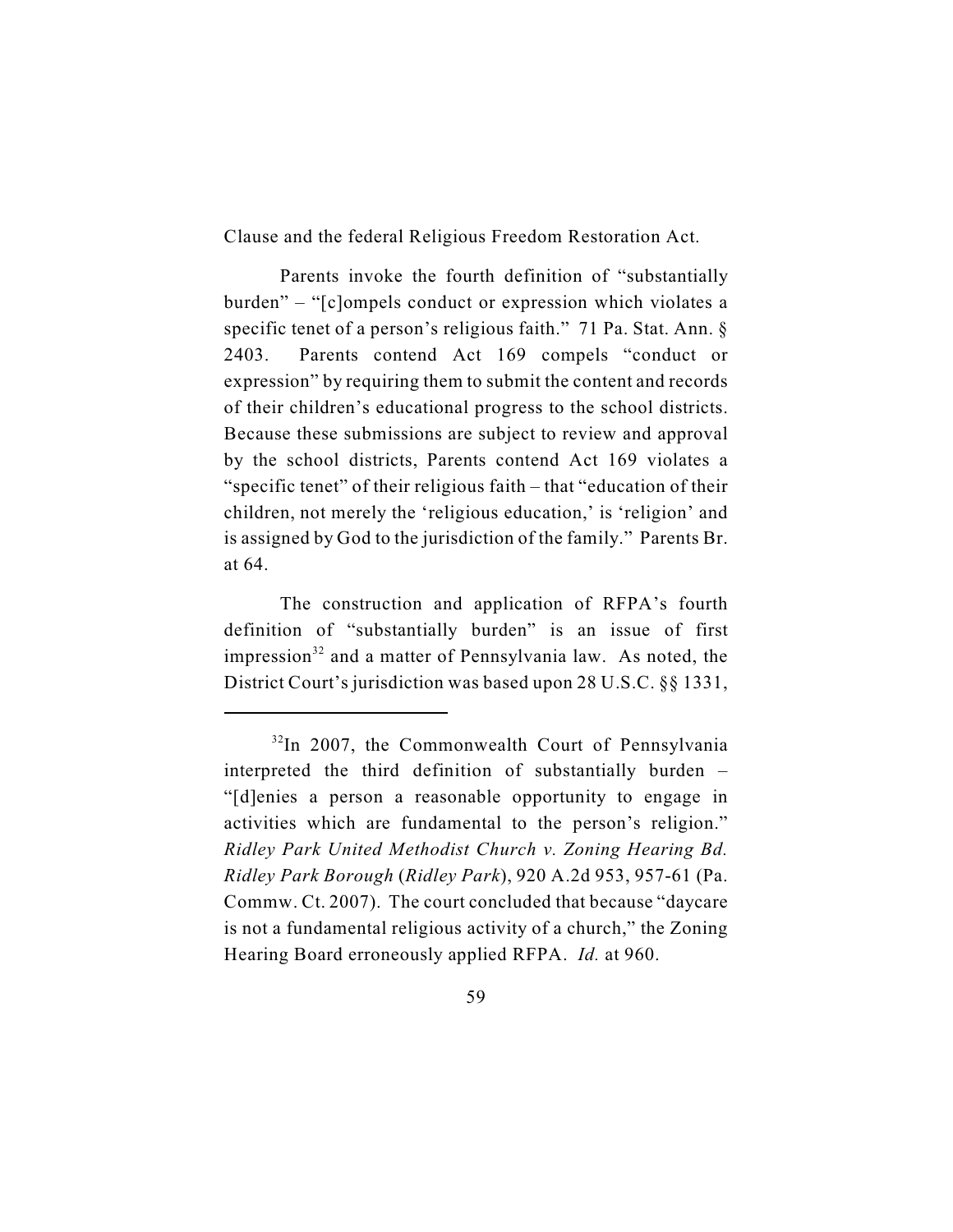Clause and the federal Religious Freedom Restoration Act.

Parents invoke the fourth definition of "substantially burden" – "[c]ompels conduct or expression which violates a specific tenet of a person's religious faith." 71 Pa. Stat. Ann. § 2403. Parents contend Act 169 compels "conduct or expression" by requiring them to submit the content and records of their children's educational progress to the school districts. Because these submissions are subject to review and approval by the school districts, Parents contend Act 169 violates a "specific tenet" of their religious faith – that "education of their children, not merely the 'religious education,' is 'religion' and is assigned by God to the jurisdiction of the family." Parents Br. at 64.

The construction and application of RFPA's fourth definition of "substantially burden" is an issue of first impression<sup>32</sup> and a matter of Pennsylvania law. As noted, the District Court's jurisdiction was based upon 28 U.S.C. §§ 1331,

 $32$ In 2007, the Commonwealth Court of Pennsylvania interpreted the third definition of substantially burden – "[d]enies a person a reasonable opportunity to engage in activities which are fundamental to the person's religion." *Ridley Park United Methodist Church v. Zoning Hearing Bd. Ridley Park Borough* (*Ridley Park*), 920 A.2d 953, 957-61 (Pa. Commw. Ct. 2007). The court concluded that because "daycare is not a fundamental religious activity of a church," the Zoning Hearing Board erroneously applied RFPA. *Id.* at 960.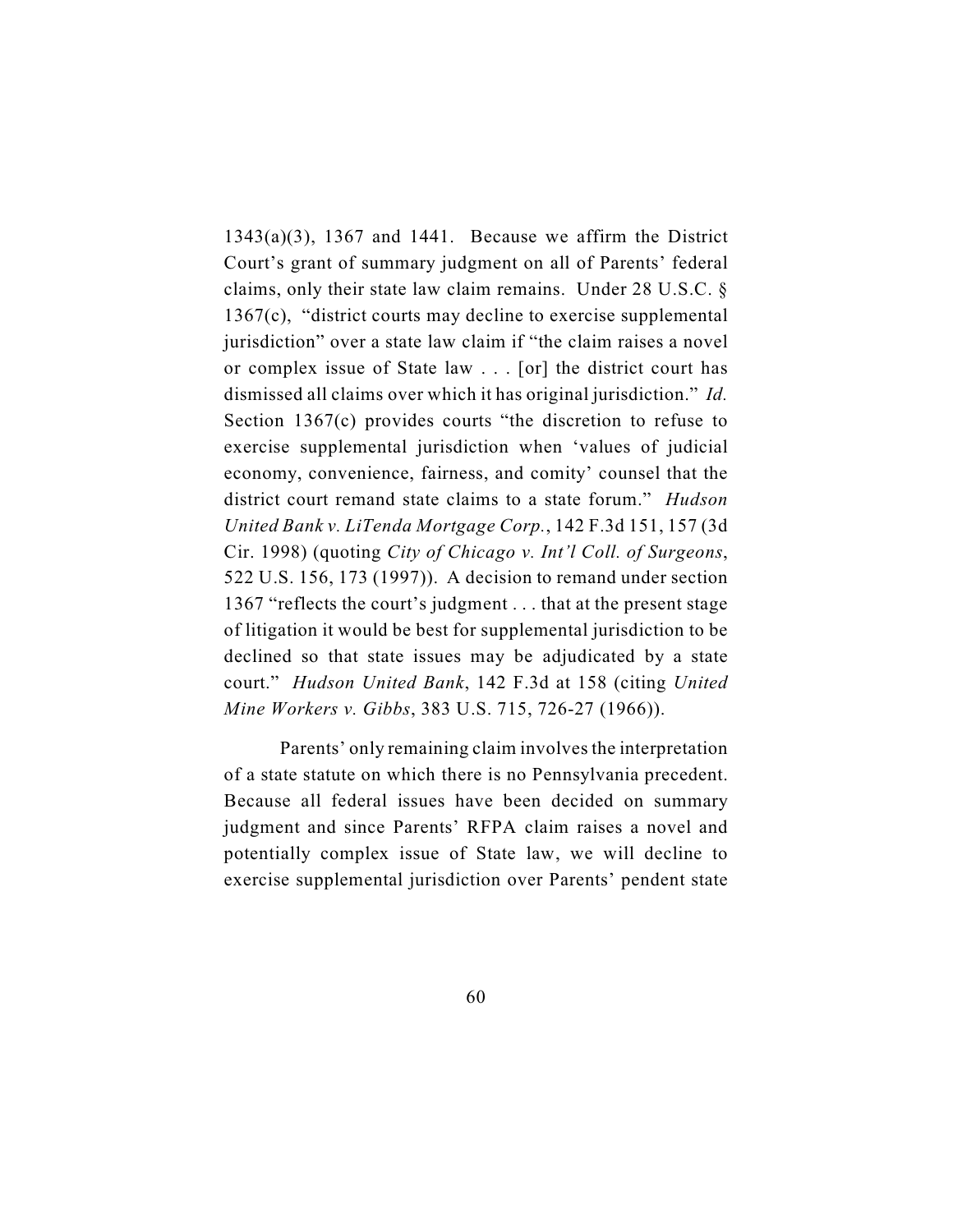$1343(a)(3)$ ,  $1367$  and  $1441$ . Because we affirm the District Court's grant of summary judgment on all of Parents' federal claims, only their state law claim remains. Under 28 U.S.C. § 1367(c), "district courts may decline to exercise supplemental jurisdiction" over a state law claim if "the claim raises a novel or complex issue of State law . . . [or] the district court has dismissed all claims over which it has original jurisdiction." *Id.* Section 1367(c) provides courts "the discretion to refuse to exercise supplemental jurisdiction when 'values of judicial economy, convenience, fairness, and comity' counsel that the district court remand state claims to a state forum." *Hudson United Bank v. LiTenda Mortgage Corp.*, 142 F.3d 151, 157 (3d Cir. 1998) (quoting *City of Chicago v. Int'l Coll. of Surgeons*, 522 U.S. 156, 173 (1997)). A decision to remand under section 1367 "reflects the court's judgment . . . that at the present stage of litigation it would be best for supplemental jurisdiction to be declined so that state issues may be adjudicated by a state court." *Hudson United Bank*, 142 F.3d at 158 (citing *United Mine Workers v. Gibbs*, 383 U.S. 715, 726-27 (1966)).

Parents' only remaining claim involves the interpretation of a state statute on which there is no Pennsylvania precedent. Because all federal issues have been decided on summary judgment and since Parents' RFPA claim raises a novel and potentially complex issue of State law, we will decline to exercise supplemental jurisdiction over Parents' pendent state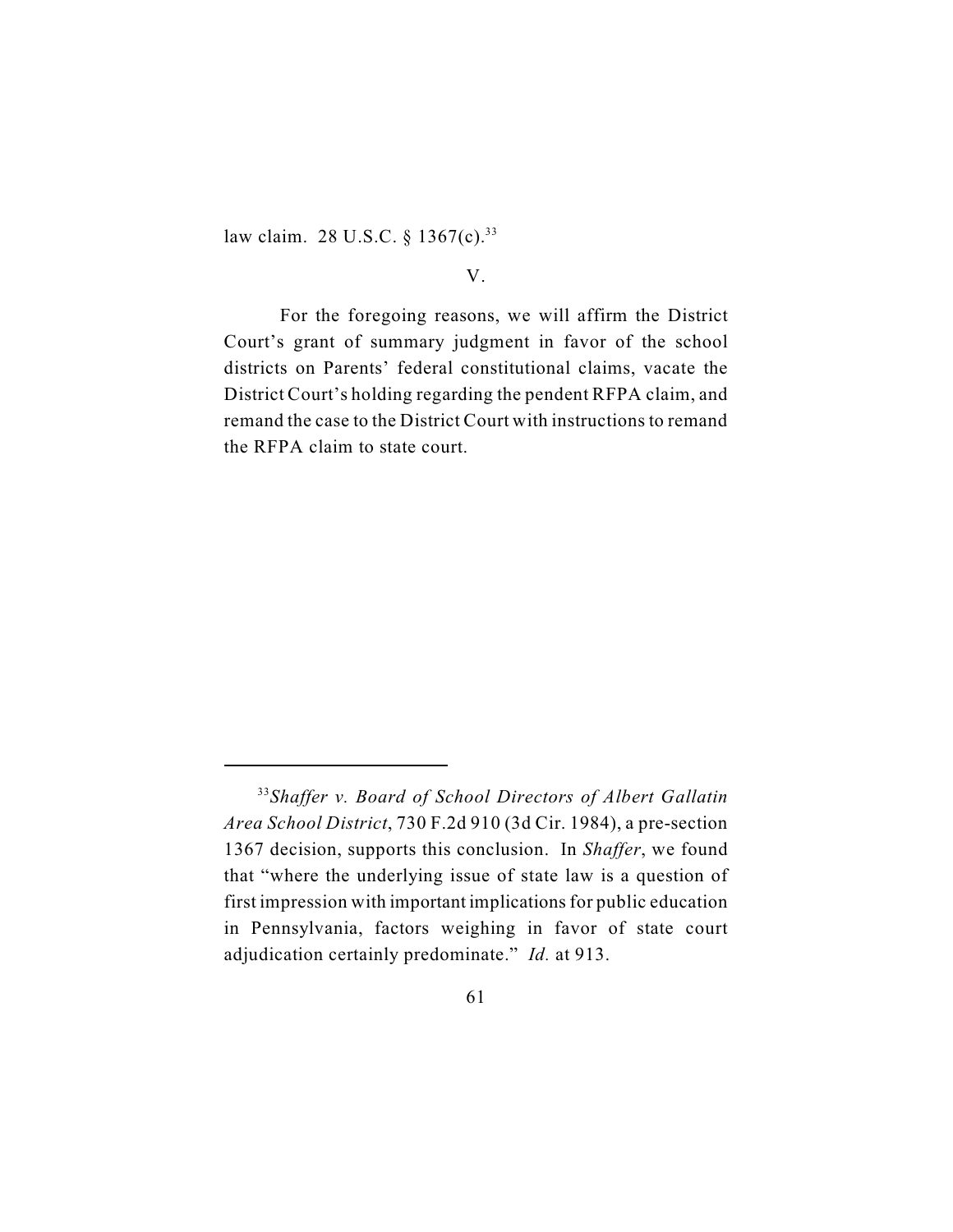law claim. 28 U.S.C. § 1367(c).<sup>33</sup>

## V.

For the foregoing reasons, we will affirm the District Court's grant of summary judgment in favor of the school districts on Parents' federal constitutional claims, vacate the District Court's holding regarding the pendent RFPA claim, and remand the case to the District Court with instructions to remand the RFPA claim to state court.

*Shaffer v. Board of School Directors of Albert Gallatin* <sup>33</sup> *Area School District*, 730 F.2d 910 (3d Cir. 1984), a pre-section 1367 decision, supports this conclusion. In *Shaffer*, we found that "where the underlying issue of state law is a question of first impression with important implications for public education in Pennsylvania, factors weighing in favor of state court adjudication certainly predominate." *Id.* at 913.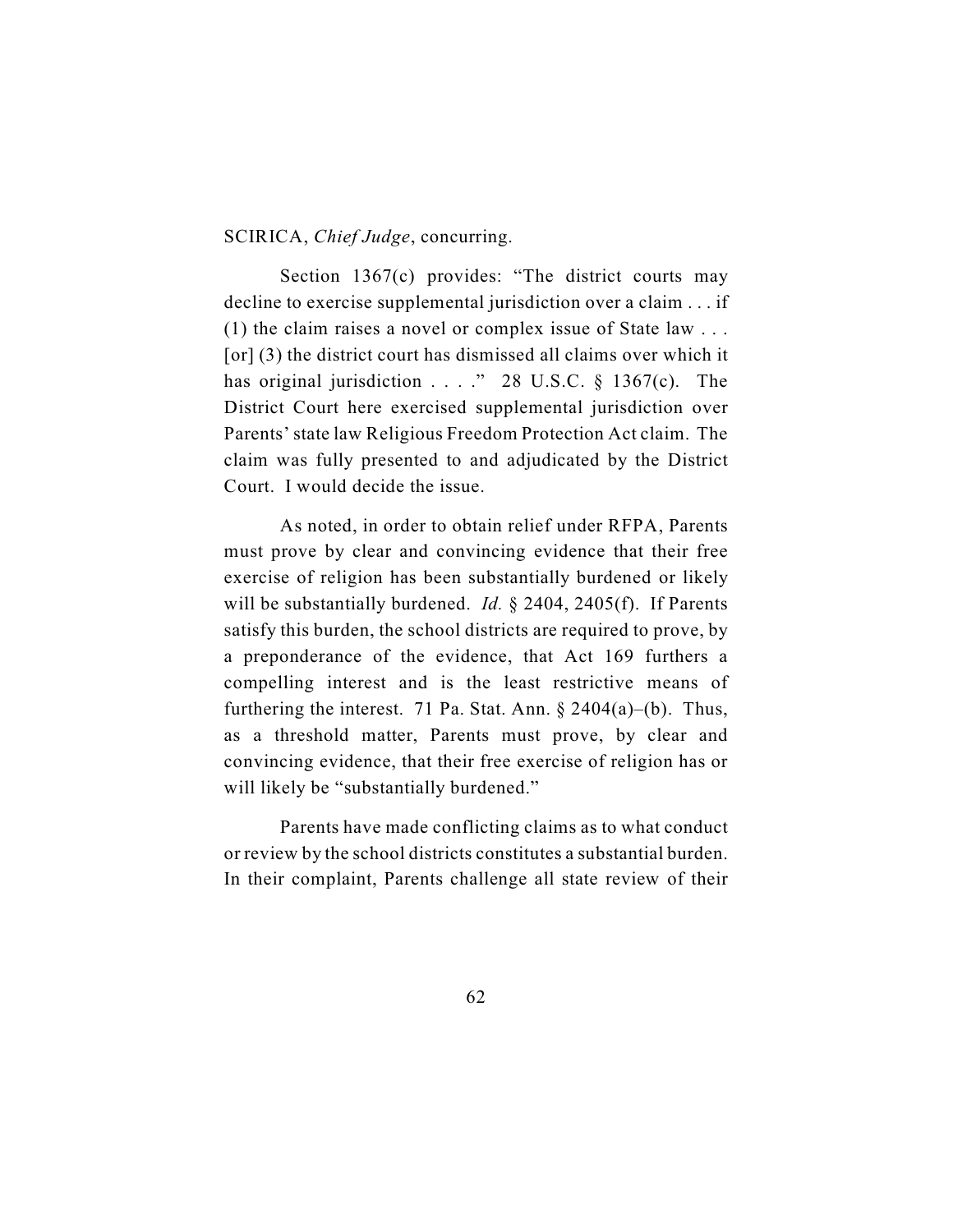#### SCIRICA, *Chief Judge*, concurring.

Section 1367(c) provides: "The district courts may decline to exercise supplemental jurisdiction over a claim . . . if (1) the claim raises a novel or complex issue of State law . . . [or] (3) the district court has dismissed all claims over which it has original jurisdiction  $\ldots$  ." 28 U.S.C. § 1367(c). The District Court here exercised supplemental jurisdiction over Parents' state law Religious Freedom Protection Act claim. The claim was fully presented to and adjudicated by the District Court. I would decide the issue.

As noted, in order to obtain relief under RFPA, Parents must prove by clear and convincing evidence that their free exercise of religion has been substantially burdened or likely will be substantially burdened. *Id.* § 2404, 2405(f). If Parents satisfy this burden, the school districts are required to prove, by a preponderance of the evidence, that Act 169 furthers a compelling interest and is the least restrictive means of furthering the interest. 71 Pa. Stat. Ann.  $\S 2404(a)$ –(b). Thus, as a threshold matter, Parents must prove, by clear and convincing evidence, that their free exercise of religion has or will likely be "substantially burdened."

Parents have made conflicting claims as to what conduct or review by the school districts constitutes a substantial burden. In their complaint, Parents challenge all state review of their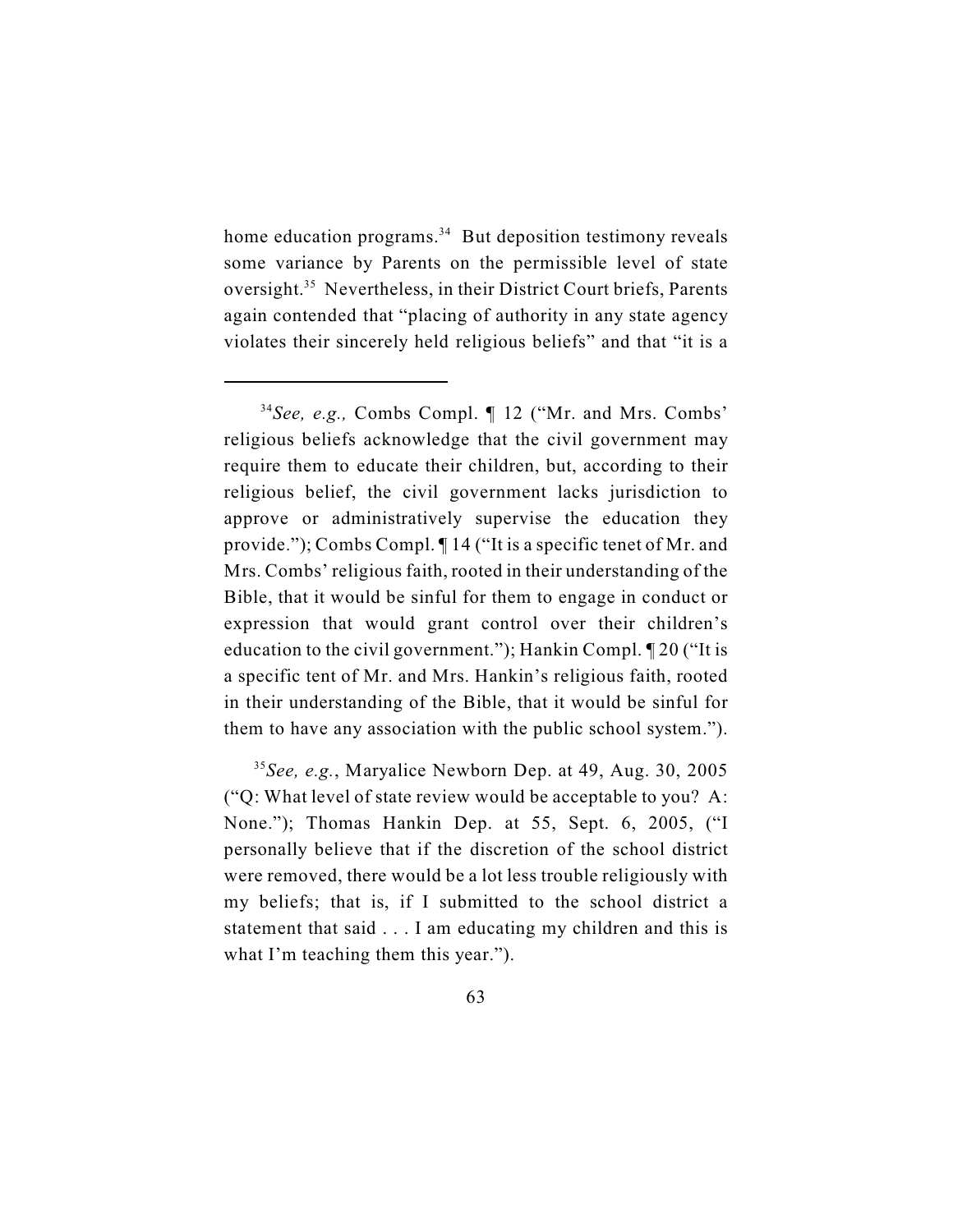home education programs. $34$  But deposition testimony reveals some variance by Parents on the permissible level of state oversight.<sup>35</sup> Nevertheless, in their District Court briefs, Parents again contended that "placing of authority in any state agency violates their sincerely held religious beliefs" and that "it is a

<sup>&</sup>lt;sup>34</sup> See, e.g., Combs Compl. ¶ 12 ("Mr. and Mrs. Combs" religious beliefs acknowledge that the civil government may require them to educate their children, but, according to their religious belief, the civil government lacks jurisdiction to approve or administratively supervise the education they provide."); Combs Compl. ¶ 14 ("It is a specific tenet of Mr. and Mrs. Combs' religious faith, rooted in their understanding of the Bible, that it would be sinful for them to engage in conduct or expression that would grant control over their children's education to the civil government."); Hankin Compl. ¶ 20 ("It is a specific tent of Mr. and Mrs. Hankin's religious faith, rooted in their understanding of the Bible, that it would be sinful for them to have any association with the public school system.").

 $35$ See, e.g., Maryalice Newborn Dep. at 49, Aug. 30, 2005 ("Q: What level of state review would be acceptable to you? A: None."); Thomas Hankin Dep. at 55, Sept. 6, 2005, ("I personally believe that if the discretion of the school district were removed, there would be a lot less trouble religiously with my beliefs; that is, if I submitted to the school district a statement that said . . . I am educating my children and this is what I'm teaching them this year.").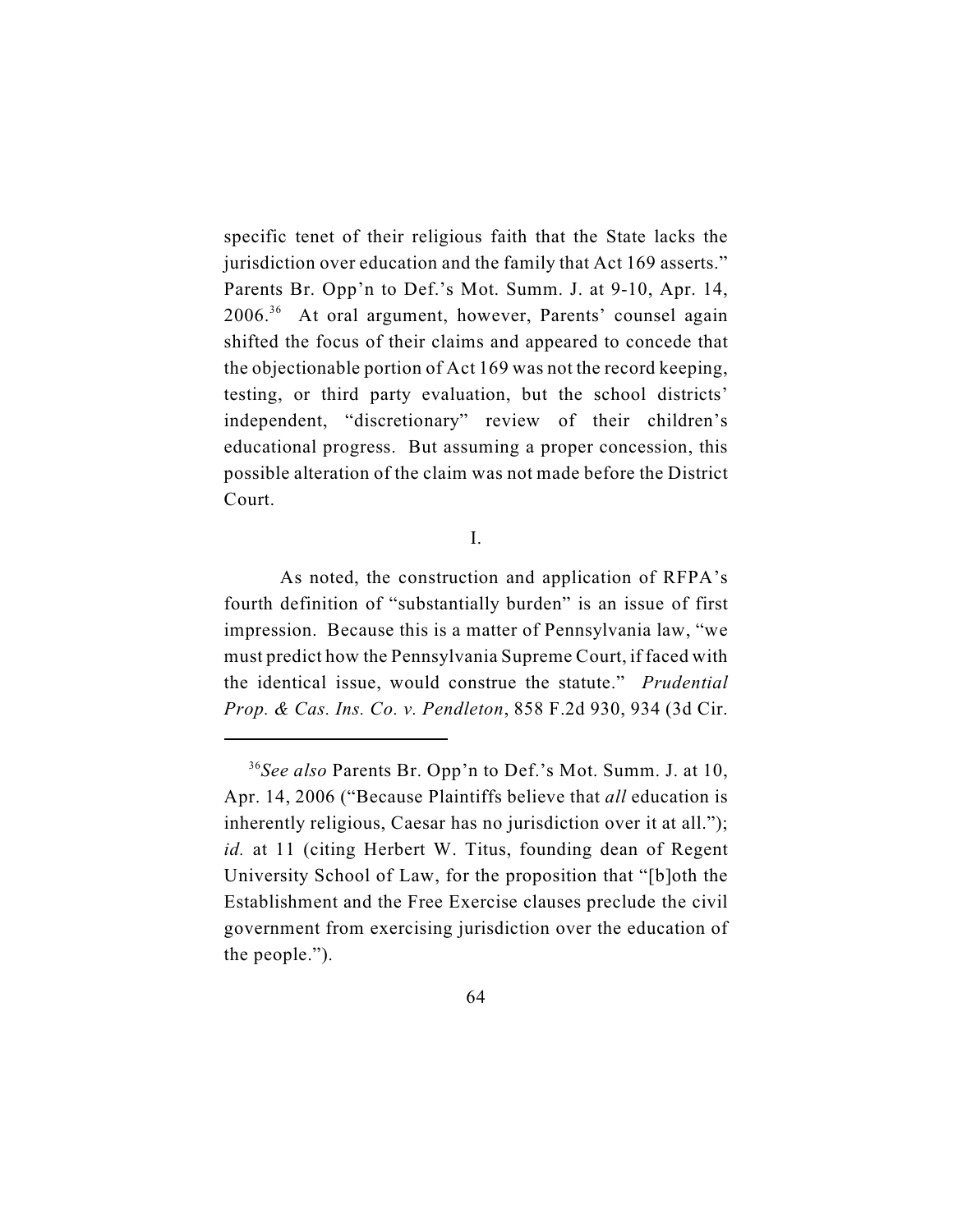specific tenet of their religious faith that the State lacks the jurisdiction over education and the family that Act 169 asserts." Parents Br. Opp'n to Def.'s Mot. Summ. J. at 9-10, Apr. 14,  $2006<sup>36</sup>$  At oral argument, however, Parents' counsel again shifted the focus of their claims and appeared to concede that the objectionable portion of Act 169 was not the record keeping, testing, or third party evaluation, but the school districts' independent, "discretionary" review of their children's educational progress. But assuming a proper concession, this possible alteration of the claim was not made before the District Court.

I.

As noted, the construction and application of RFPA's fourth definition of "substantially burden" is an issue of first impression. Because this is a matter of Pennsylvania law, "we must predict how the Pennsylvania Supreme Court, if faced with the identical issue, would construe the statute." *Prudential Prop. & Cas. Ins. Co. v. Pendleton*, 858 F.2d 930, 934 (3d Cir.

*See also* Parents Br. Opp'n to Def.'s Mot. Summ. J. at 10, <sup>36</sup> Apr. 14, 2006 ("Because Plaintiffs believe that *all* education is inherently religious, Caesar has no jurisdiction over it at all."); *id.* at 11 (citing Herbert W. Titus, founding dean of Regent University School of Law, for the proposition that "[b]oth the Establishment and the Free Exercise clauses preclude the civil government from exercising jurisdiction over the education of the people.").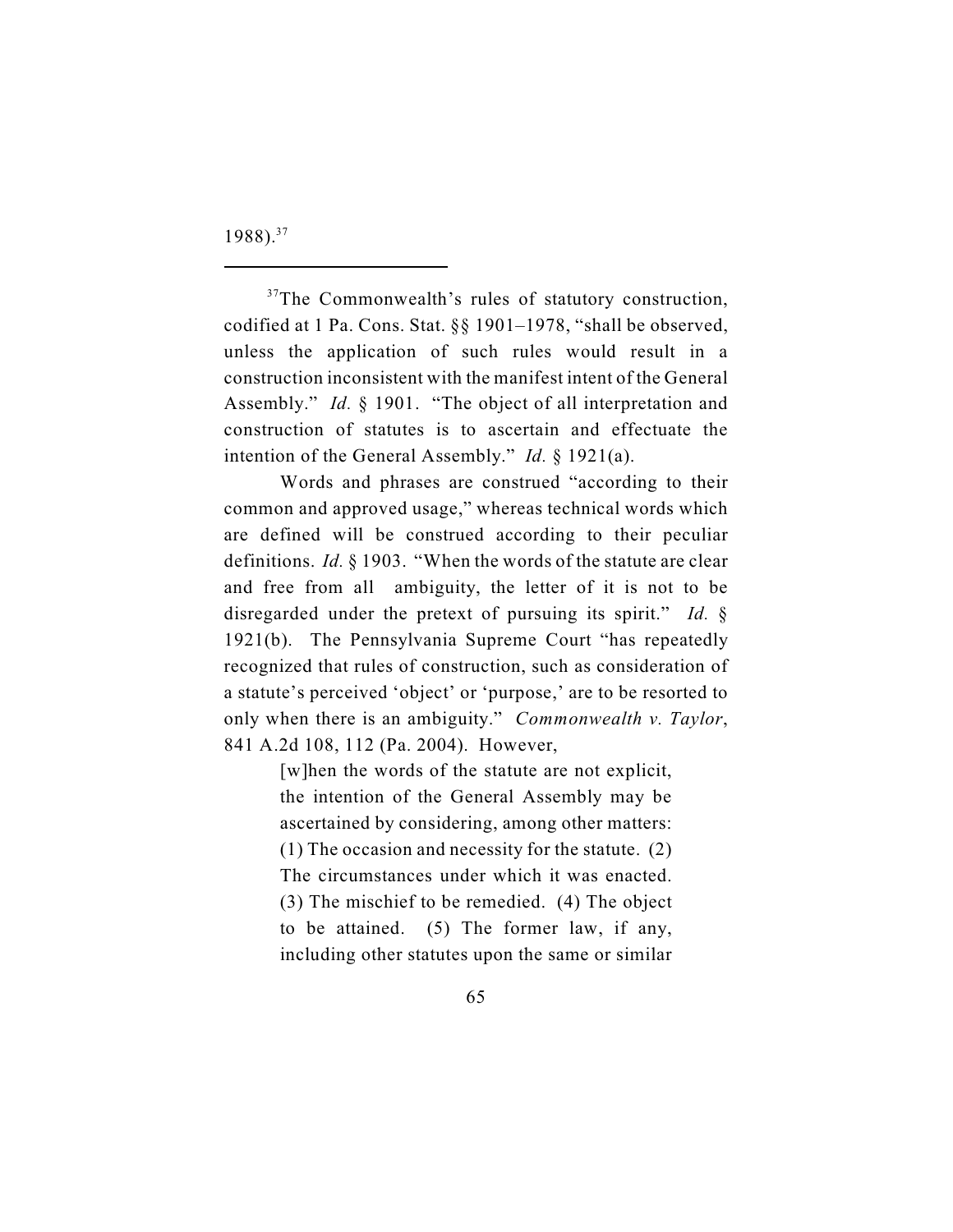1988).<sup>37</sup>

 $37$ The Commonwealth's rules of statutory construction, codified at 1 Pa. Cons. Stat. §§ 1901–1978, "shall be observed, unless the application of such rules would result in a construction inconsistent with the manifest intent of the General Assembly." *Id.* § 1901. "The object of all interpretation and construction of statutes is to ascertain and effectuate the intention of the General Assembly." *Id.* § 1921(a).

Words and phrases are construed "according to their common and approved usage," whereas technical words which are defined will be construed according to their peculiar definitions. *Id.* § 1903. "When the words of the statute are clear and free from all ambiguity, the letter of it is not to be disregarded under the pretext of pursuing its spirit." *Id.* § 1921(b). The Pennsylvania Supreme Court "has repeatedly recognized that rules of construction, such as consideration of a statute's perceived 'object' or 'purpose,' are to be resorted to only when there is an ambiguity." *Commonwealth v. Taylor*, 841 A.2d 108, 112 (Pa. 2004). However,

> [w]hen the words of the statute are not explicit, the intention of the General Assembly may be ascertained by considering, among other matters: (1) The occasion and necessity for the statute. (2) The circumstances under which it was enacted. (3) The mischief to be remedied. (4) The object to be attained. (5) The former law, if any, including other statutes upon the same or similar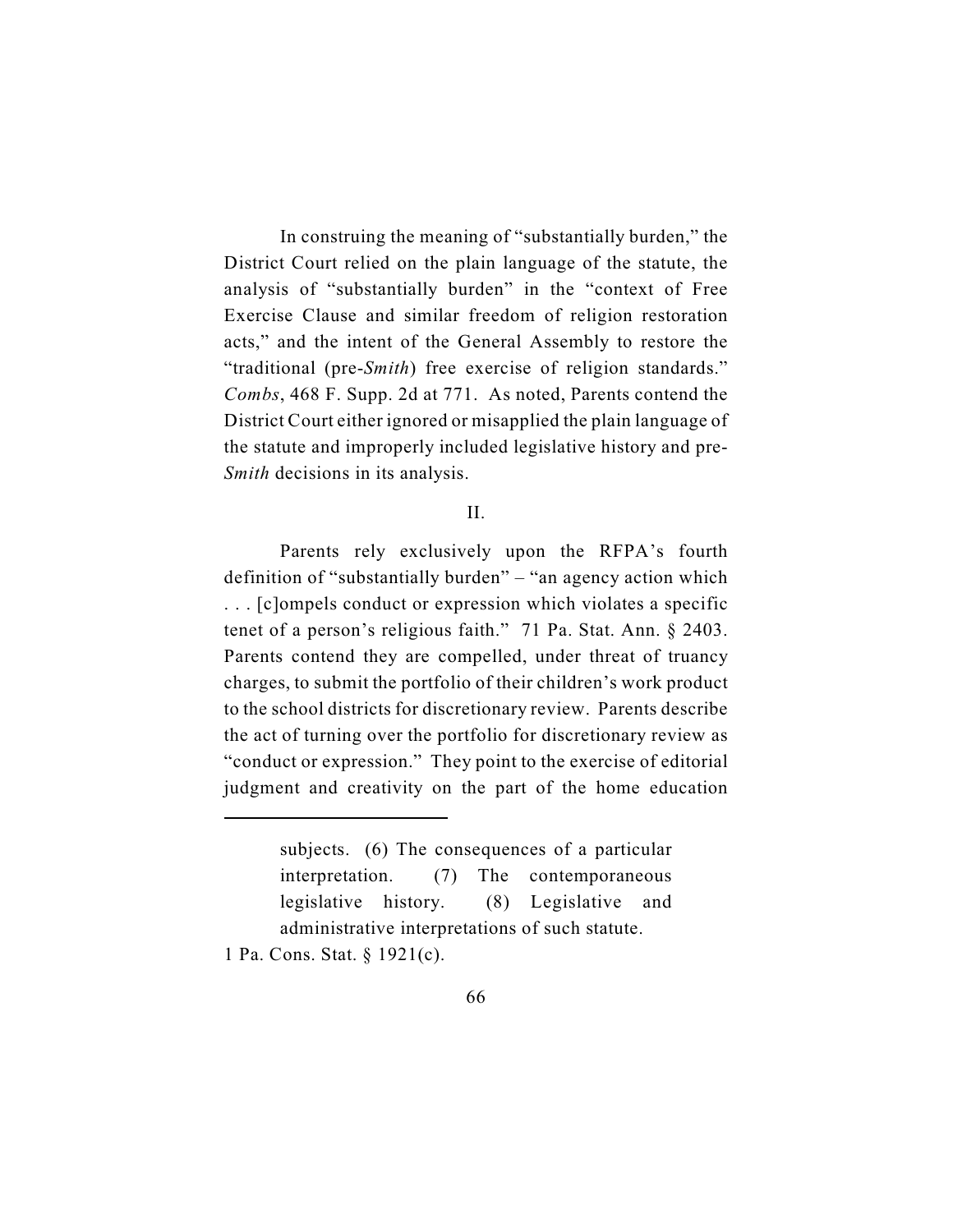In construing the meaning of "substantially burden," the District Court relied on the plain language of the statute, the analysis of "substantially burden" in the "context of Free Exercise Clause and similar freedom of religion restoration acts," and the intent of the General Assembly to restore the "traditional (pre-*Smith*) free exercise of religion standards." *Combs*, 468 F. Supp. 2d at 771. As noted, Parents contend the District Court either ignored or misapplied the plain language of the statute and improperly included legislative history and pre-*Smith* decisions in its analysis.

#### II.

Parents rely exclusively upon the RFPA's fourth definition of "substantially burden" – "an agency action which . . . [c]ompels conduct or expression which violates a specific tenet of a person's religious faith." 71 Pa. Stat. Ann. § 2403. Parents contend they are compelled, under threat of truancy charges, to submit the portfolio of their children's work product to the school districts for discretionary review. Parents describe the act of turning over the portfolio for discretionary review as "conduct or expression." They point to the exercise of editorial judgment and creativity on the part of the home education

1 Pa. Cons. Stat. § 1921(c).

subjects. (6) The consequences of a particular interpretation. (7) The contemporaneous legislative history. (8) Legislative and administrative interpretations of such statute.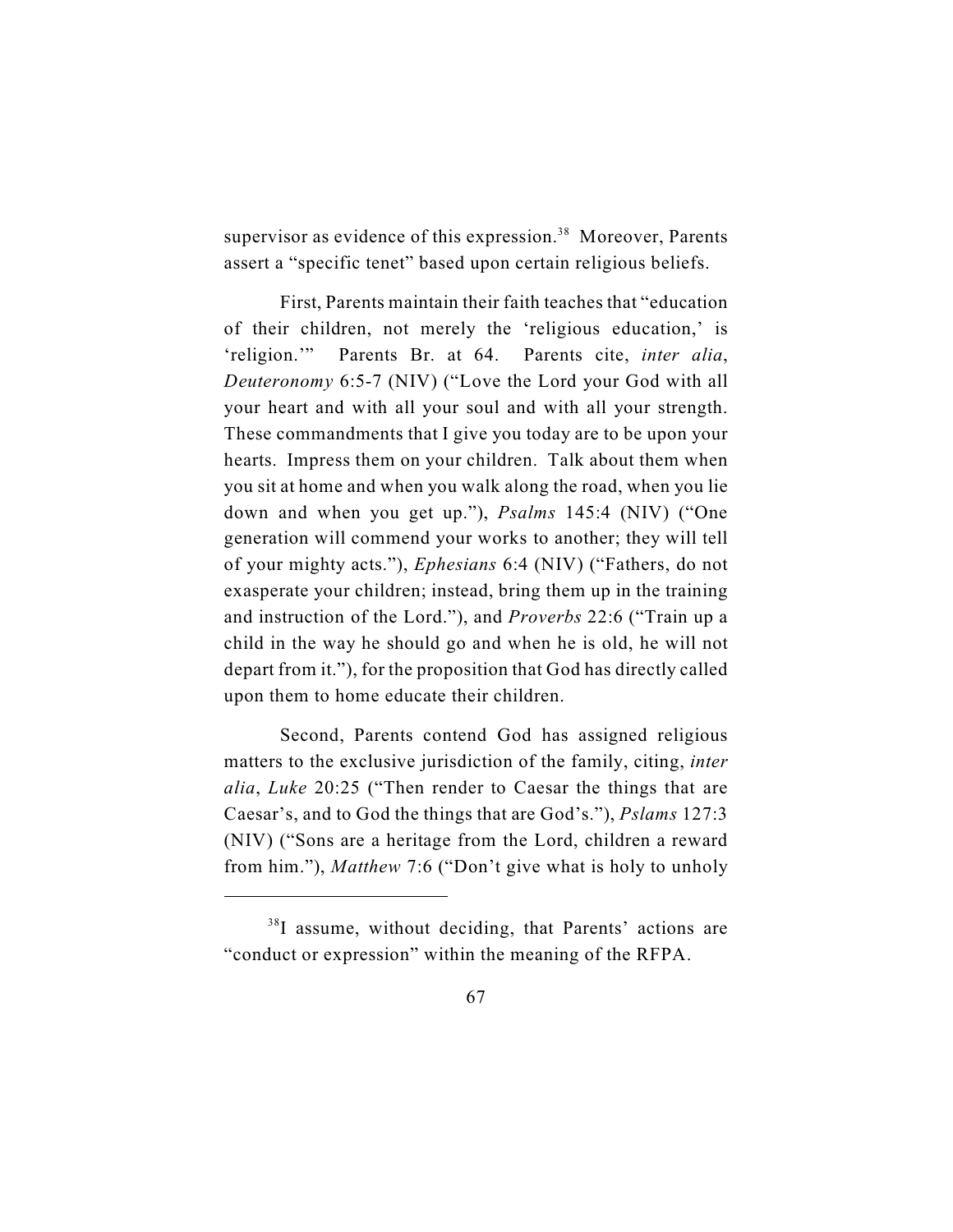supervisor as evidence of this expression.<sup>38</sup> Moreover, Parents assert a "specific tenet" based upon certain religious beliefs.

First, Parents maintain their faith teaches that "education of their children, not merely the 'religious education,' is 'religion.'" Parents Br. at 64. Parents cite, *inter alia*, *Deuteronomy* 6:5-7 (NIV) ("Love the Lord your God with all your heart and with all your soul and with all your strength. These commandments that I give you today are to be upon your hearts. Impress them on your children. Talk about them when you sit at home and when you walk along the road, when you lie down and when you get up."), *Psalms* 145:4 (NIV) ("One generation will commend your works to another; they will tell of your mighty acts."), *Ephesians* 6:4 (NIV) ("Fathers, do not exasperate your children; instead, bring them up in the training and instruction of the Lord."), and *Proverbs* 22:6 ("Train up a child in the way he should go and when he is old, he will not depart from it."), for the proposition that God has directly called upon them to home educate their children.

Second, Parents contend God has assigned religious matters to the exclusive jurisdiction of the family, citing, *inter alia*, *Luke* 20:25 ("Then render to Caesar the things that are Caesar's, and to God the things that are God's."), *Pslams* 127:3 (NIV) ("Sons are a heritage from the Lord, children a reward from him."), *Matthew* 7:6 ("Don't give what is holy to unholy

 $38$ I assume, without deciding, that Parents' actions are "conduct or expression" within the meaning of the RFPA.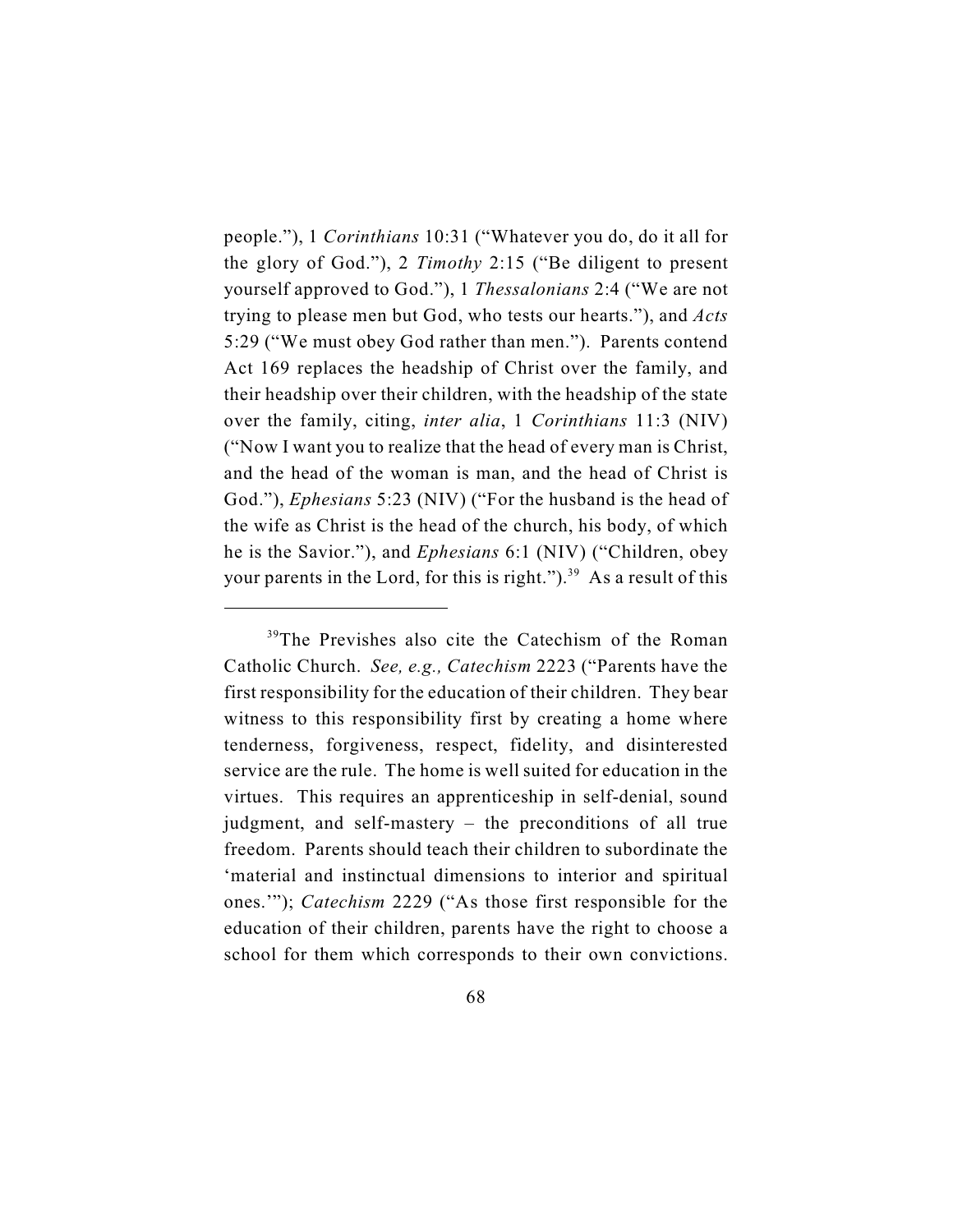people."), 1 *Corinthians* 10:31 ("Whatever you do, do it all for the glory of God."), 2 *Timothy* 2:15 ("Be diligent to present yourself approved to God."), 1 *Thessalonians* 2:4 ("We are not trying to please men but God, who tests our hearts."), and *Acts* 5:29 ("We must obey God rather than men."). Parents contend Act 169 replaces the headship of Christ over the family, and their headship over their children, with the headship of the state over the family, citing, *inter alia*, 1 *Corinthians* 11:3 (NIV) ("Now I want you to realize that the head of every man is Christ, and the head of the woman is man, and the head of Christ is God."), *Ephesians* 5:23 (NIV) ("For the husband is the head of the wife as Christ is the head of the church, his body, of which he is the Savior."), and *Ephesians* 6:1 (NIV) ("Children, obey your parents in the Lord, for this is right." $)^{39}$  As a result of this

<sup>&</sup>lt;sup>39</sup>The Previshes also cite the Catechism of the Roman Catholic Church. *See, e.g., Catechism* 2223 ("Parents have the first responsibility for the education of their children. They bear witness to this responsibility first by creating a home where tenderness, forgiveness, respect, fidelity, and disinterested service are the rule. The home is well suited for education in the virtues. This requires an apprenticeship in self-denial, sound judgment, and self-mastery – the preconditions of all true freedom. Parents should teach their children to subordinate the 'material and instinctual dimensions to interior and spiritual ones.'"); *Catechism* 2229 ("As those first responsible for the education of their children, parents have the right to choose a school for them which corresponds to their own convictions.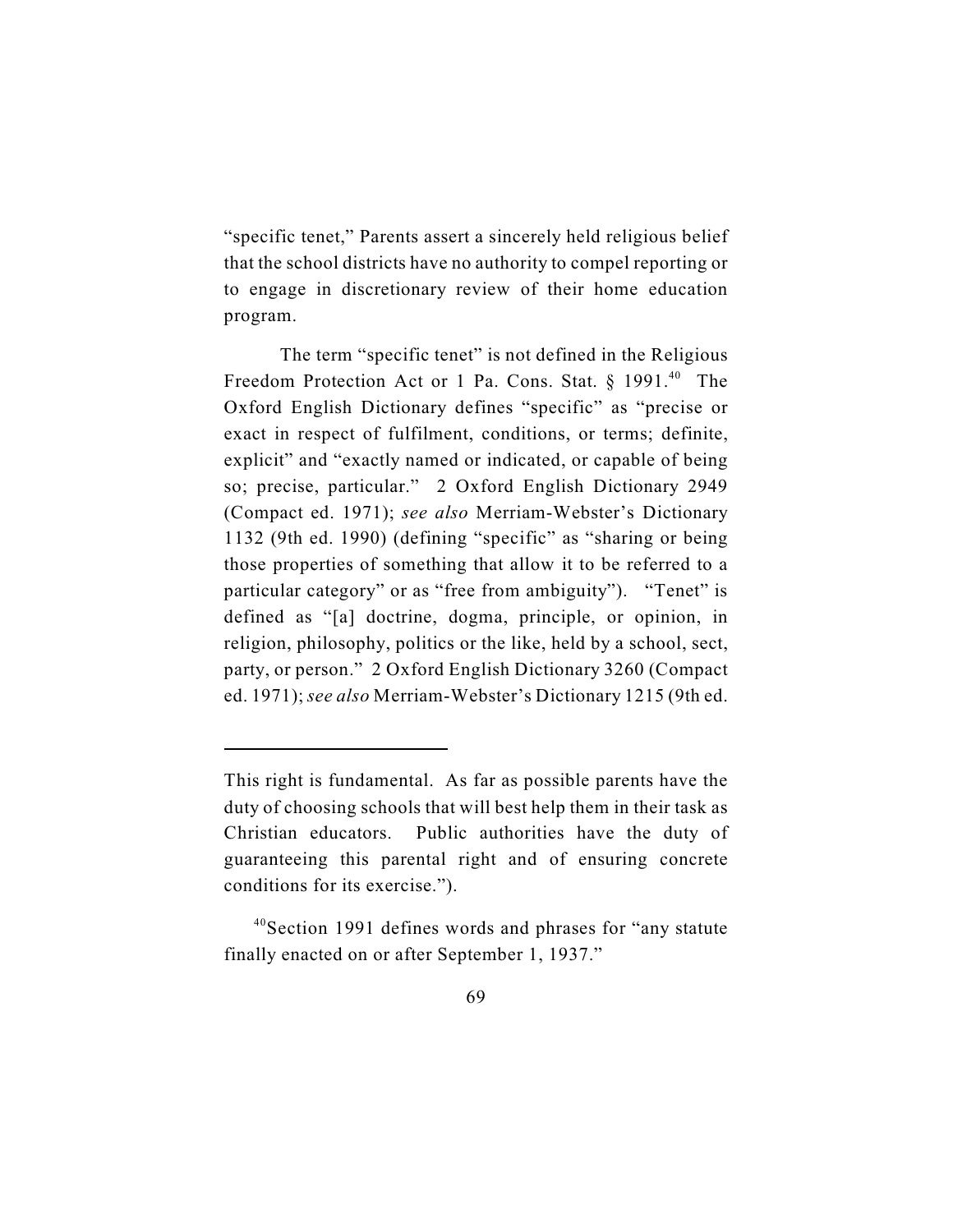"specific tenet," Parents assert a sincerely held religious belief that the school districts have no authority to compel reporting or to engage in discretionary review of their home education program.

The term "specific tenet" is not defined in the Religious Freedom Protection Act or 1 Pa. Cons. Stat.  $§$  1991.<sup>40</sup> The Oxford English Dictionary defines "specific" as "precise or exact in respect of fulfilment, conditions, or terms; definite, explicit" and "exactly named or indicated, or capable of being so; precise, particular." 2 Oxford English Dictionary 2949 (Compact ed. 1971); *see also* Merriam-Webster's Dictionary 1132 (9th ed. 1990) (defining "specific" as "sharing or being those properties of something that allow it to be referred to a particular category" or as "free from ambiguity"). "Tenet" is defined as "[a] doctrine, dogma, principle, or opinion, in religion, philosophy, politics or the like, held by a school, sect, party, or person." 2 Oxford English Dictionary 3260 (Compact ed. 1971); *see also* Merriam-Webster's Dictionary 1215 (9th ed.

This right is fundamental. As far as possible parents have the duty of choosing schools that will best help them in their task as Christian educators. Public authorities have the duty of guaranteeing this parental right and of ensuring concrete conditions for its exercise.").

 $40$ Section 1991 defines words and phrases for "any statute" finally enacted on or after September 1, 1937."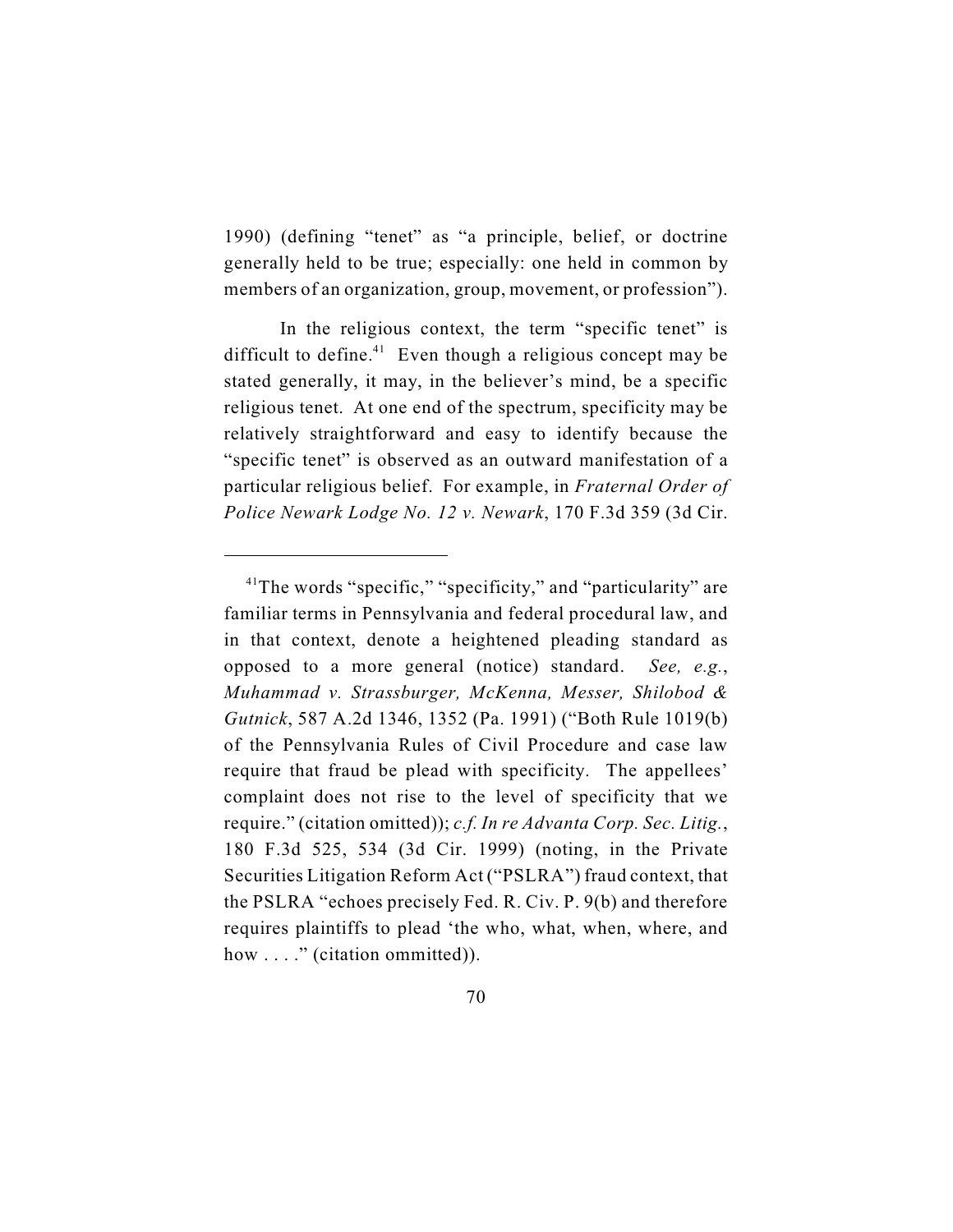1990) (defining "tenet" as "a principle, belief, or doctrine generally held to be true; especially: one held in common by members of an organization, group, movement, or profession").

In the religious context, the term "specific tenet" is difficult to define.<sup> $41$ </sup> Even though a religious concept may be stated generally, it may, in the believer's mind, be a specific religious tenet. At one end of the spectrum, specificity may be relatively straightforward and easy to identify because the "specific tenet" is observed as an outward manifestation of a particular religious belief. For example, in *Fraternal Order of Police Newark Lodge No. 12 v. Newark*, 170 F.3d 359 (3d Cir.

 $41$ The words "specific," "specificity," and "particularity" are familiar terms in Pennsylvania and federal procedural law, and in that context, denote a heightened pleading standard as opposed to a more general (notice) standard. *See, e.g.*, *Muhammad v. Strassburger, McKenna, Messer, Shilobod & Gutnick*, 587 A.2d 1346, 1352 (Pa. 1991) ("Both Rule 1019(b) of the Pennsylvania Rules of Civil Procedure and case law require that fraud be plead with specificity. The appellees' complaint does not rise to the level of specificity that we require." (citation omitted)); *c.f. In re Advanta Corp. Sec. Litig.*, 180 F.3d 525, 534 (3d Cir. 1999) (noting, in the Private Securities Litigation Reform Act ("PSLRA") fraud context, that the PSLRA "echoes precisely Fed. R. Civ. P. 9(b) and therefore requires plaintiffs to plead 'the who, what, when, where, and how ...." (citation ommitted)).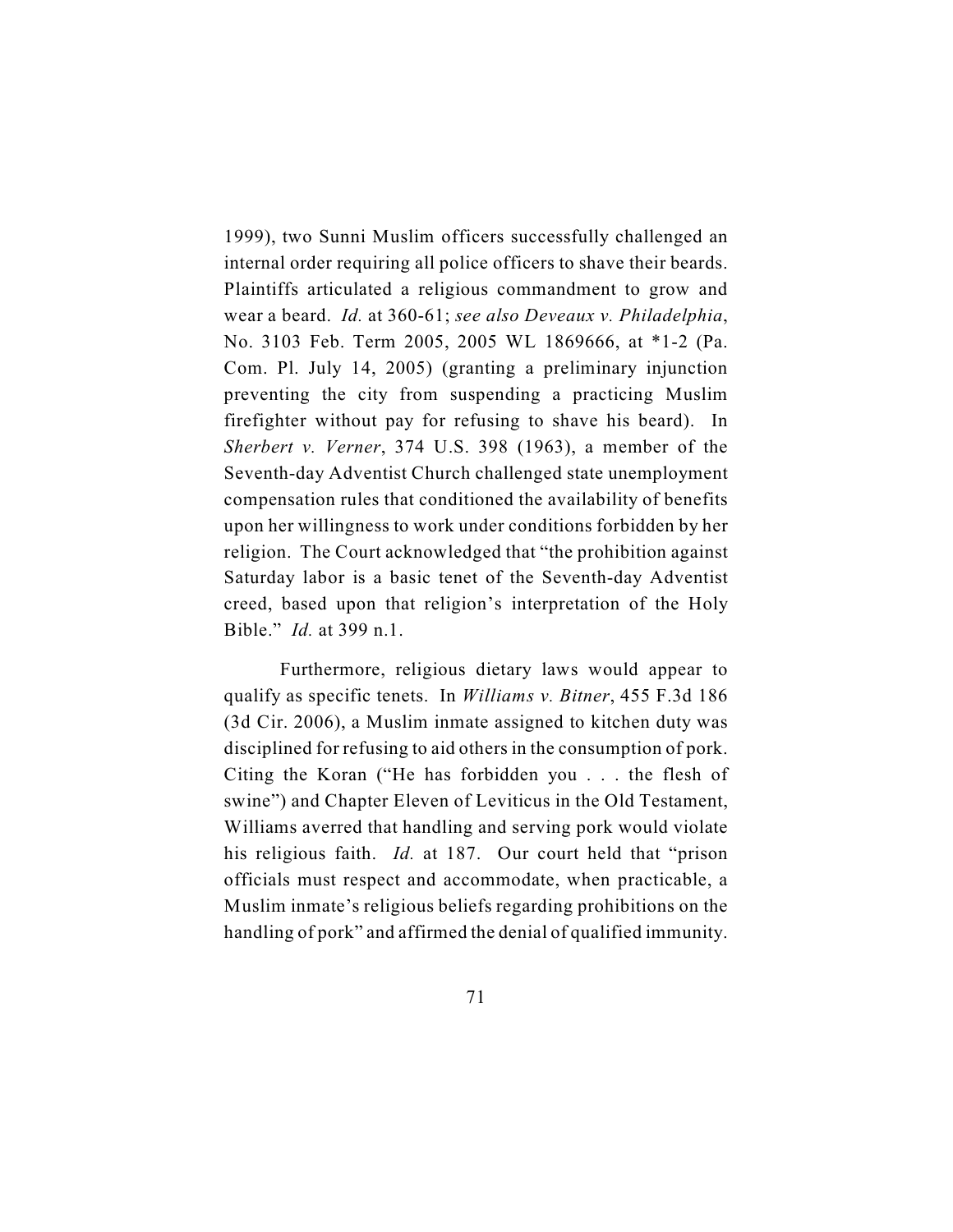1999), two Sunni Muslim officers successfully challenged an internal order requiring all police officers to shave their beards. Plaintiffs articulated a religious commandment to grow and wear a beard. *Id.* at 360-61; *see also Deveaux v. Philadelphia*, No. 3103 Feb. Term 2005, 2005 WL 1869666, at \*1-2 (Pa. Com. Pl. July 14, 2005) (granting a preliminary injunction preventing the city from suspending a practicing Muslim firefighter without pay for refusing to shave his beard). In *Sherbert v. Verner*, 374 U.S. 398 (1963), a member of the Seventh-day Adventist Church challenged state unemployment compensation rules that conditioned the availability of benefits upon her willingness to work under conditions forbidden by her religion. The Court acknowledged that "the prohibition against Saturday labor is a basic tenet of the Seventh-day Adventist creed, based upon that religion's interpretation of the Holy Bible." *Id.* at 399 n.1.

Furthermore, religious dietary laws would appear to qualify as specific tenets. In *Williams v. Bitner*, 455 F.3d 186 (3d Cir. 2006), a Muslim inmate assigned to kitchen duty was disciplined for refusing to aid others in the consumption of pork. Citing the Koran ("He has forbidden you . . . the flesh of swine") and Chapter Eleven of Leviticus in the Old Testament, Williams averred that handling and serving pork would violate his religious faith. *Id.* at 187. Our court held that "prison officials must respect and accommodate, when practicable, a Muslim inmate's religious beliefs regarding prohibitions on the handling of pork" and affirmed the denial of qualified immunity.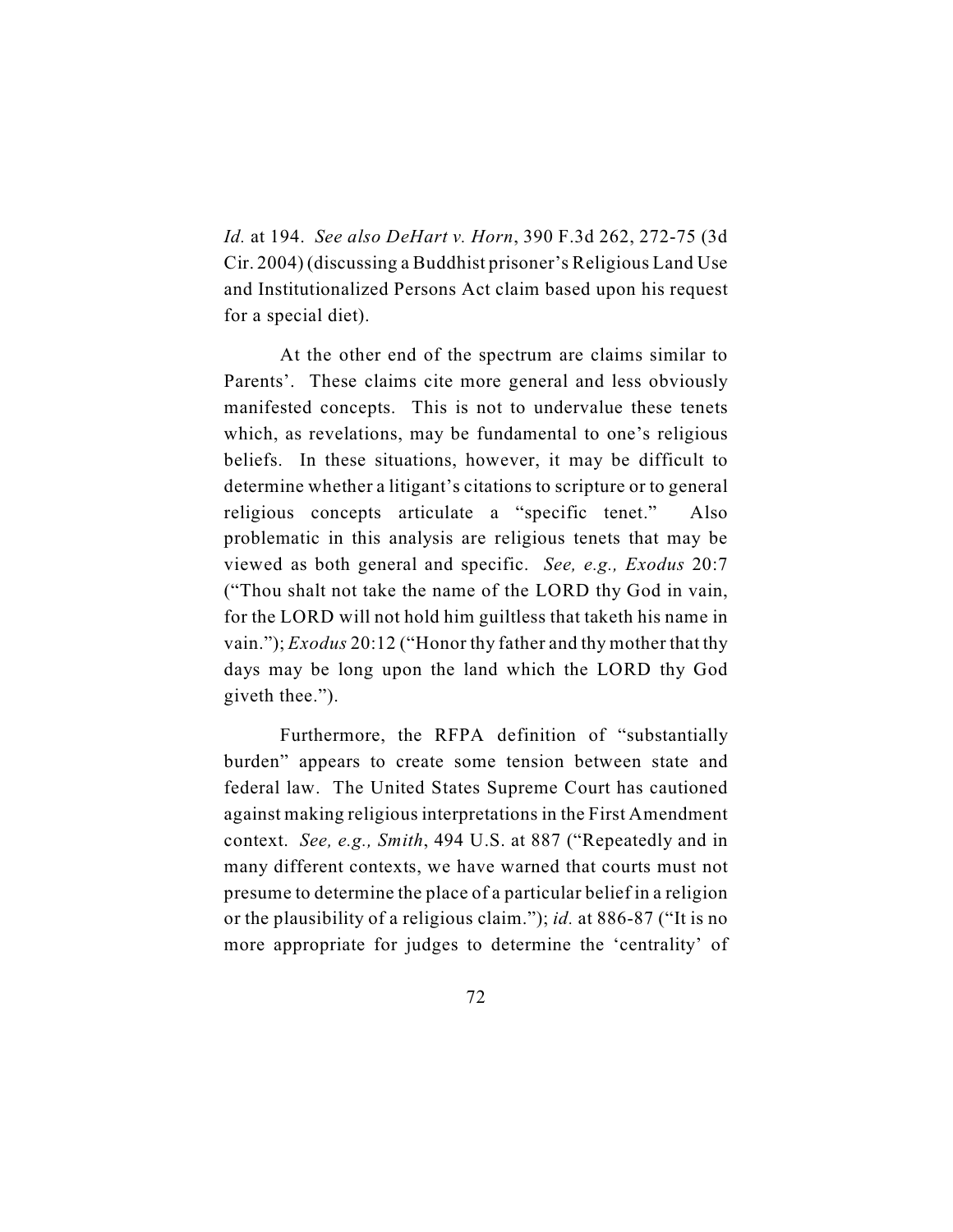*Id.* at 194. *See also DeHart v. Horn*, 390 F.3d 262, 272-75 (3d Cir. 2004) (discussing a Buddhist prisoner's Religious Land Use and Institutionalized Persons Act claim based upon his request for a special diet).

At the other end of the spectrum are claims similar to Parents'. These claims cite more general and less obviously manifested concepts. This is not to undervalue these tenets which, as revelations, may be fundamental to one's religious beliefs. In these situations, however, it may be difficult to determine whether a litigant's citations to scripture or to general religious concepts articulate a "specific tenet." Also problematic in this analysis are religious tenets that may be viewed as both general and specific. *See, e.g., Exodus* 20:7 ("Thou shalt not take the name of the LORD thy God in vain, for the LORD will not hold him guiltless that taketh his name in vain."); *Exodus* 20:12 ("Honor thy father and thy mother that thy days may be long upon the land which the LORD thy God giveth thee.").

Furthermore, the RFPA definition of "substantially burden" appears to create some tension between state and federal law. The United States Supreme Court has cautioned against making religious interpretations in the First Amendment context. *See, e.g., Smith*, 494 U.S. at 887 ("Repeatedly and in many different contexts, we have warned that courts must not presume to determine the place of a particular belief in a religion or the plausibility of a religious claim."); *id.* at 886-87 ("It is no more appropriate for judges to determine the 'centrality' of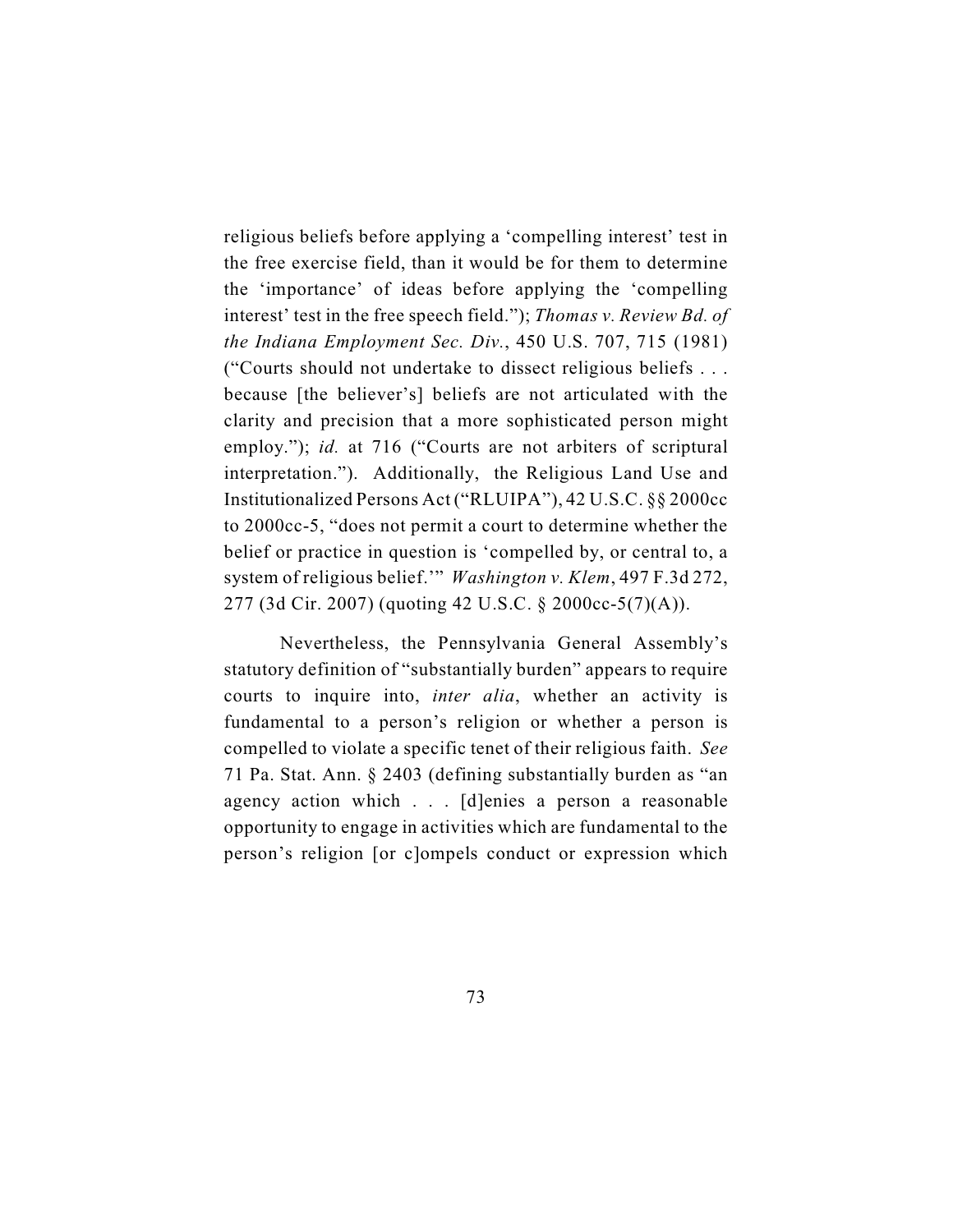religious beliefs before applying a 'compelling interest' test in the free exercise field, than it would be for them to determine the 'importance' of ideas before applying the 'compelling interest' test in the free speech field."); *Thomas v. Review Bd. of the Indiana Employment Sec. Div.*, 450 U.S. 707, 715 (1981) ("Courts should not undertake to dissect religious beliefs . . . because [the believer's] beliefs are not articulated with the clarity and precision that a more sophisticated person might employ."); *id.* at 716 ("Courts are not arbiters of scriptural interpretation."). Additionally, the Religious Land Use and Institutionalized Persons Act ("RLUIPA"), 42 U.S.C. §§ 2000cc to 2000cc-5, "does not permit a court to determine whether the belief or practice in question is 'compelled by, or central to, a system of religious belief.'" *Washington v. Klem*, 497 F.3d 272, 277 (3d Cir. 2007) (quoting 42 U.S.C. § 2000cc-5(7)(A)).

Nevertheless, the Pennsylvania General Assembly's statutory definition of "substantially burden" appears to require courts to inquire into, *inter alia*, whether an activity is fundamental to a person's religion or whether a person is compelled to violate a specific tenet of their religious faith. *See* 71 Pa. Stat. Ann. § 2403 (defining substantially burden as "an agency action which . . . [d]enies a person a reasonable opportunity to engage in activities which are fundamental to the person's religion [or c]ompels conduct or expression which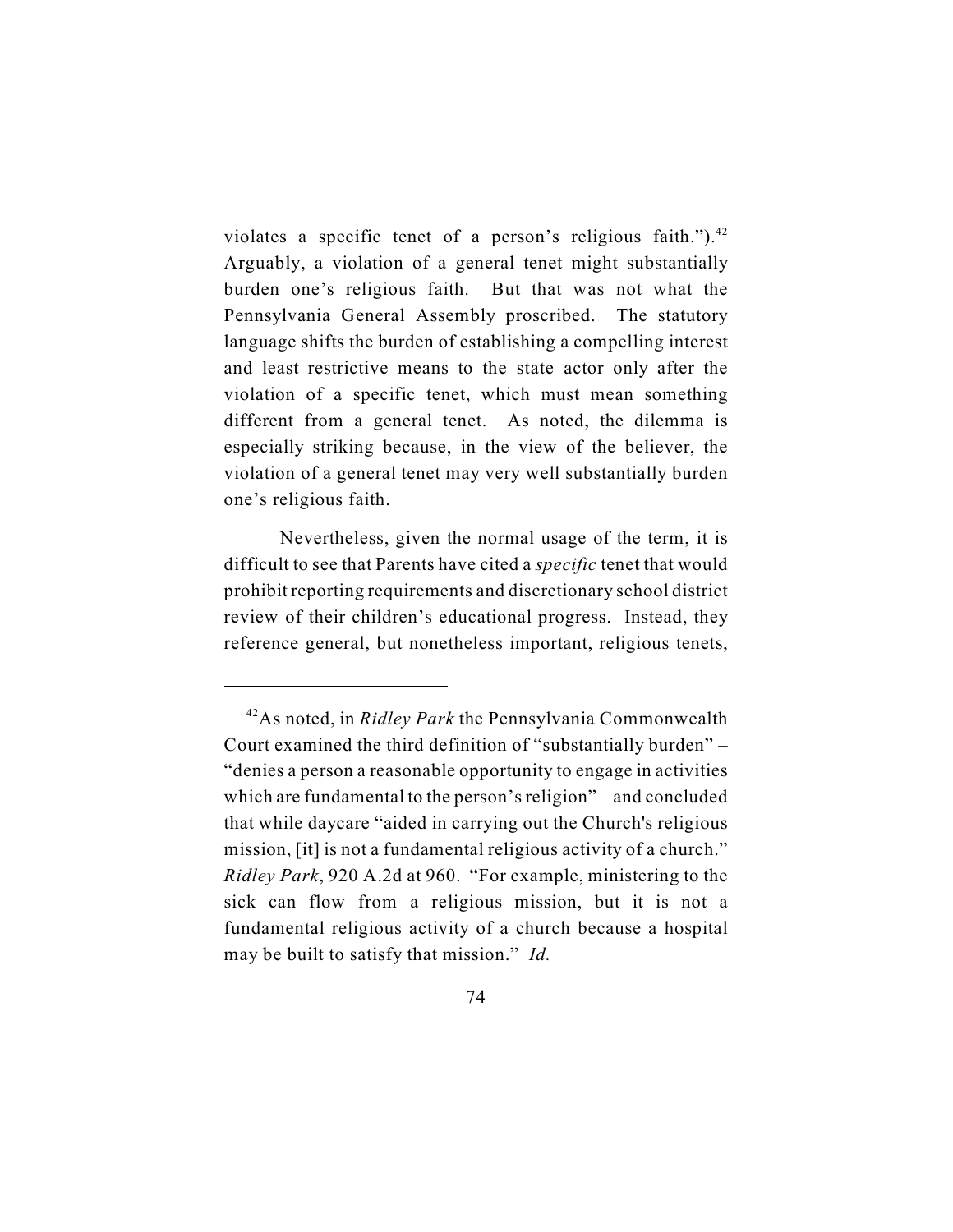violates a specific tenet of a person's religious faith."). $42$ Arguably, a violation of a general tenet might substantially burden one's religious faith. But that was not what the Pennsylvania General Assembly proscribed. The statutory language shifts the burden of establishing a compelling interest and least restrictive means to the state actor only after the violation of a specific tenet, which must mean something different from a general tenet. As noted, the dilemma is especially striking because, in the view of the believer, the violation of a general tenet may very well substantially burden one's religious faith.

Nevertheless, given the normal usage of the term, it is difficult to see that Parents have cited a *specific* tenet that would prohibit reporting requirements and discretionary school district review of their children's educational progress. Instead, they reference general, but nonetheless important, religious tenets,

<sup>&</sup>lt;sup>42</sup>As noted, in *Ridley Park* the Pennsylvania Commonwealth Court examined the third definition of "substantially burden" – "denies a person a reasonable opportunity to engage in activities which are fundamental to the person's religion" – and concluded that while daycare "aided in carrying out the Church's religious mission, [it] is not a fundamental religious activity of a church." *Ridley Park*, 920 A.2d at 960. "For example, ministering to the sick can flow from a religious mission, but it is not a fundamental religious activity of a church because a hospital may be built to satisfy that mission." *Id.*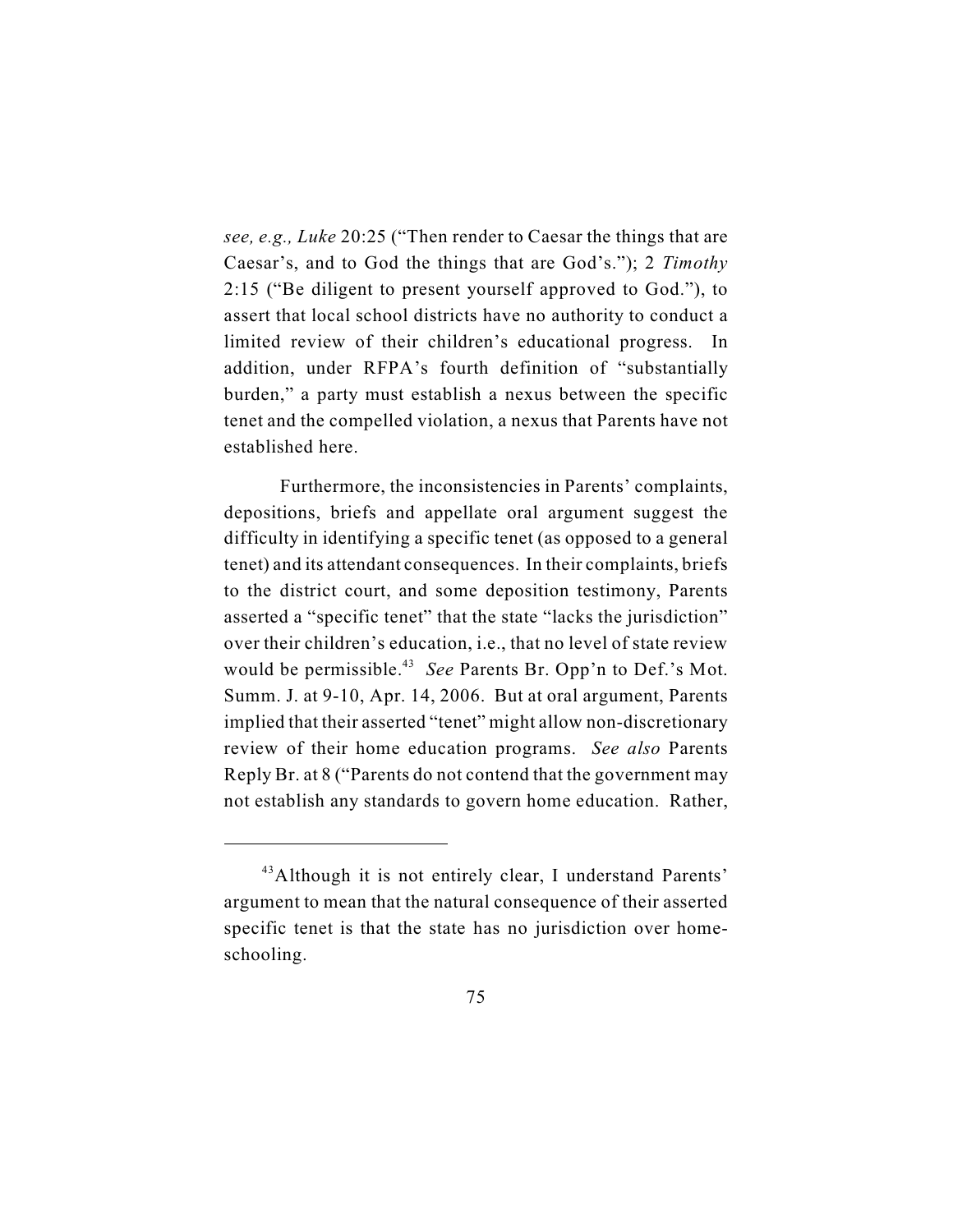*see, e.g., Luke* 20:25 ("Then render to Caesar the things that are Caesar's, and to God the things that are God's."); 2 *Timothy* 2:15 ("Be diligent to present yourself approved to God."), to assert that local school districts have no authority to conduct a limited review of their children's educational progress. In addition, under RFPA's fourth definition of "substantially burden," a party must establish a nexus between the specific tenet and the compelled violation, a nexus that Parents have not established here.

Furthermore, the inconsistencies in Parents' complaints, depositions, briefs and appellate oral argument suggest the difficulty in identifying a specific tenet (as opposed to a general tenet) and its attendant consequences. In their complaints, briefs to the district court, and some deposition testimony, Parents asserted a "specific tenet" that the state "lacks the jurisdiction" over their children's education, i.e., that no level of state review would be permissible.<sup>43</sup> See Parents Br. Opp'n to Def.'s Mot. Summ. J. at 9-10, Apr. 14, 2006. But at oral argument, Parents implied that their asserted "tenet" might allow non-discretionary review of their home education programs. *See also* Parents Reply Br. at 8 ("Parents do not contend that the government may not establish any standards to govern home education. Rather,

<sup>&</sup>lt;sup>43</sup> Although it is not entirely clear, I understand Parents' argument to mean that the natural consequence of their asserted specific tenet is that the state has no jurisdiction over homeschooling.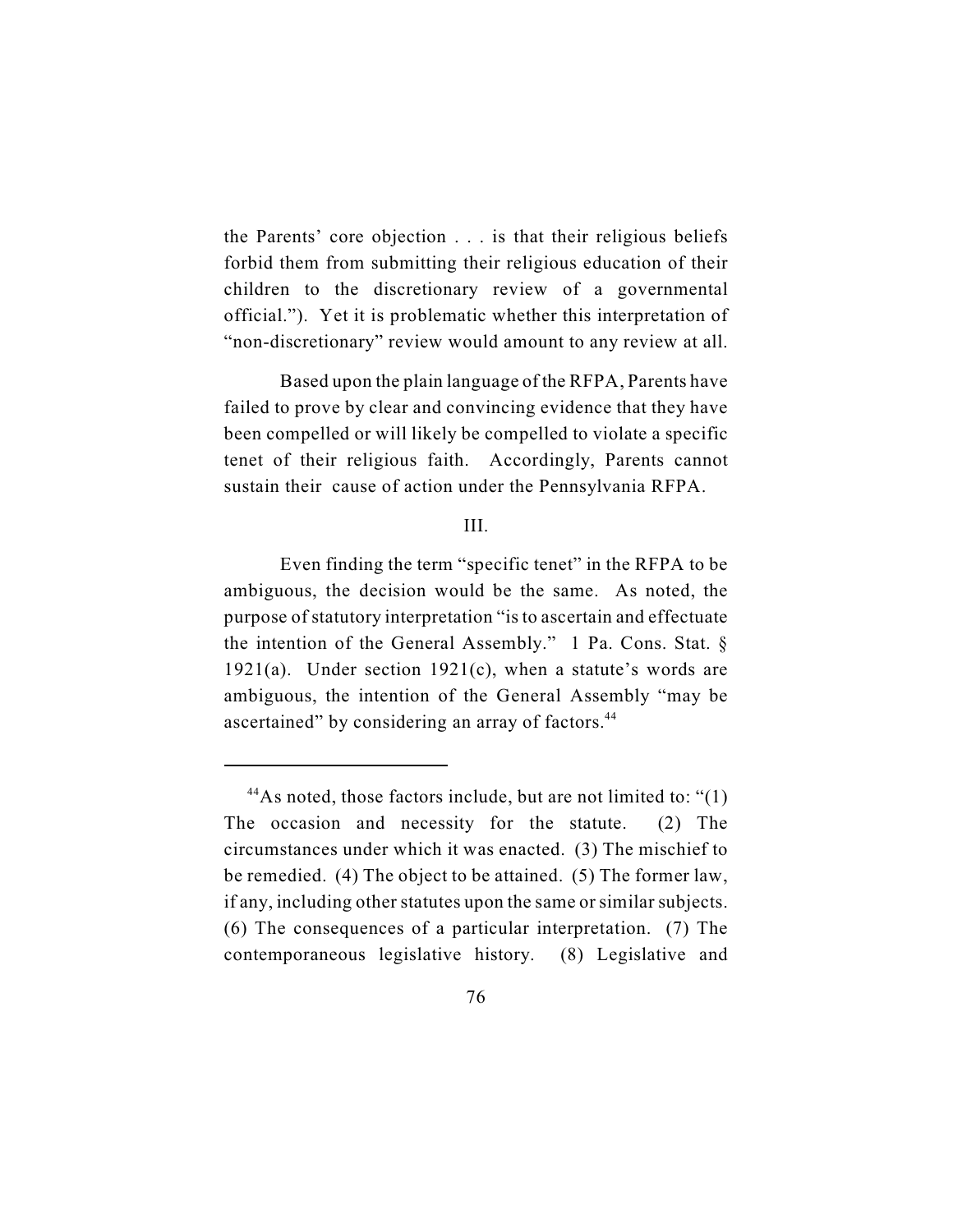the Parents' core objection . . . is that their religious beliefs forbid them from submitting their religious education of their children to the discretionary review of a governmental official."). Yet it is problematic whether this interpretation of "non-discretionary" review would amount to any review at all.

Based upon the plain language of the RFPA, Parents have failed to prove by clear and convincing evidence that they have been compelled or will likely be compelled to violate a specific tenet of their religious faith. Accordingly, Parents cannot sustain their cause of action under the Pennsylvania RFPA.

## III.

Even finding the term "specific tenet" in the RFPA to be ambiguous, the decision would be the same. As noted, the purpose of statutory interpretation "is to ascertain and effectuate the intention of the General Assembly." 1 Pa. Cons. Stat. § 1921(a). Under section 1921(c), when a statute's words are ambiguous, the intention of the General Assembly "may be ascertained" by considering an array of factors.<sup>44</sup>

<sup>&</sup>lt;sup>44</sup>As noted, those factors include, but are not limited to: " $(1)$ The occasion and necessity for the statute. (2) The circumstances under which it was enacted. (3) The mischief to be remedied. (4) The object to be attained. (5) The former law, if any, including other statutes upon the same or similar subjects. (6) The consequences of a particular interpretation. (7) The contemporaneous legislative history. (8) Legislative and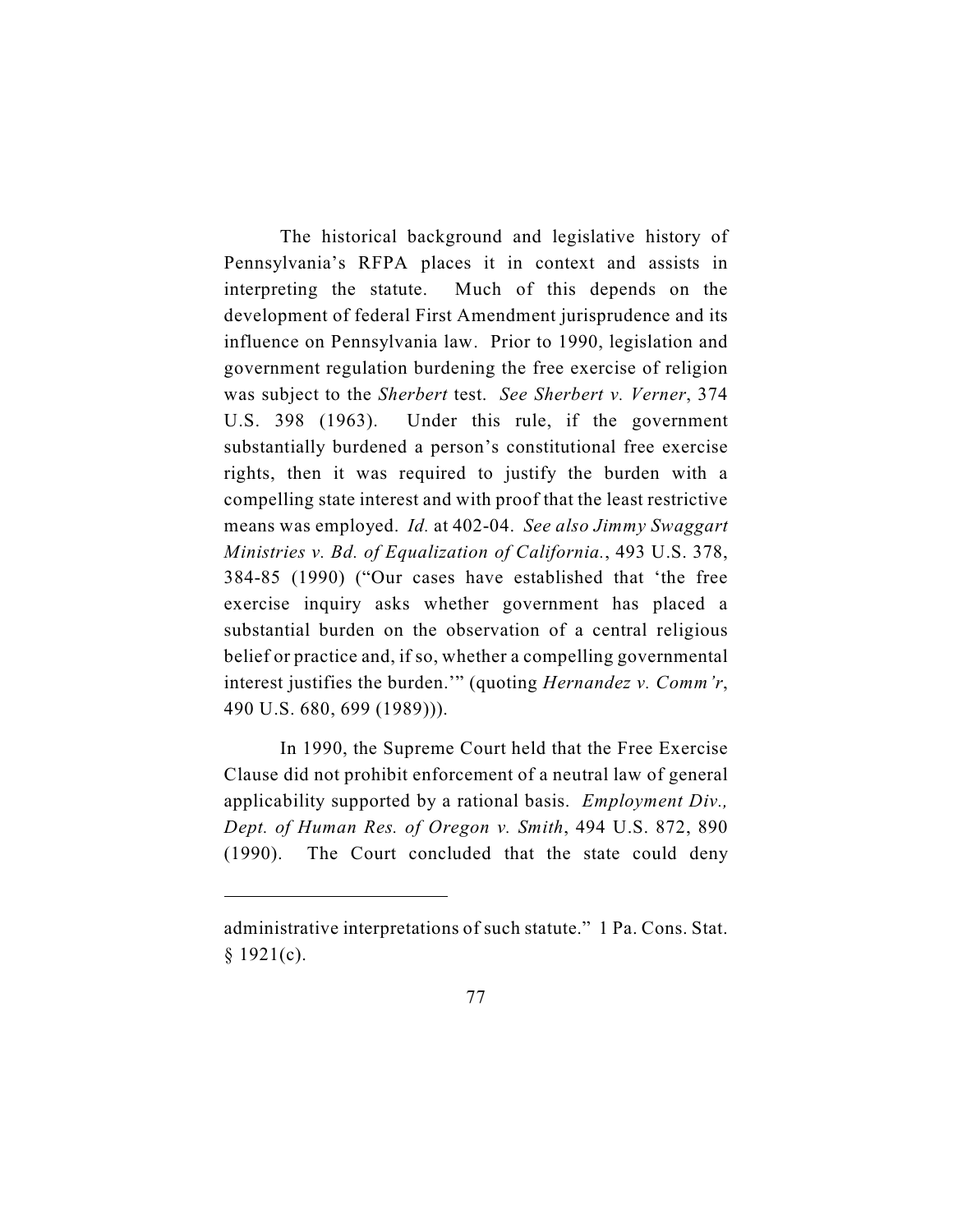The historical background and legislative history of Pennsylvania's RFPA places it in context and assists in interpreting the statute. Much of this depends on the development of federal First Amendment jurisprudence and its influence on Pennsylvania law. Prior to 1990, legislation and government regulation burdening the free exercise of religion was subject to the *Sherbert* test. *See Sherbert v. Verner*, 374 U.S. 398 (1963). Under this rule, if the government substantially burdened a person's constitutional free exercise rights, then it was required to justify the burden with a compelling state interest and with proof that the least restrictive means was employed. *Id.* at 402-04. *See also Jimmy Swaggart Ministries v. Bd. of Equalization of California.*, 493 U.S. 378, 384-85 (1990) ("Our cases have established that 'the free exercise inquiry asks whether government has placed a substantial burden on the observation of a central religious belief or practice and, if so, whether a compelling governmental interest justifies the burden.'" (quoting *Hernandez v. Comm'r*, 490 U.S. 680, 699 (1989))).

In 1990, the Supreme Court held that the Free Exercise Clause did not prohibit enforcement of a neutral law of general applicability supported by a rational basis. *Employment Div., Dept. of Human Res. of Oregon v. Smith*, 494 U.S. 872, 890 (1990). The Court concluded that the state could deny

administrative interpretations of such statute." 1 Pa. Cons. Stat.  $§$  1921(c).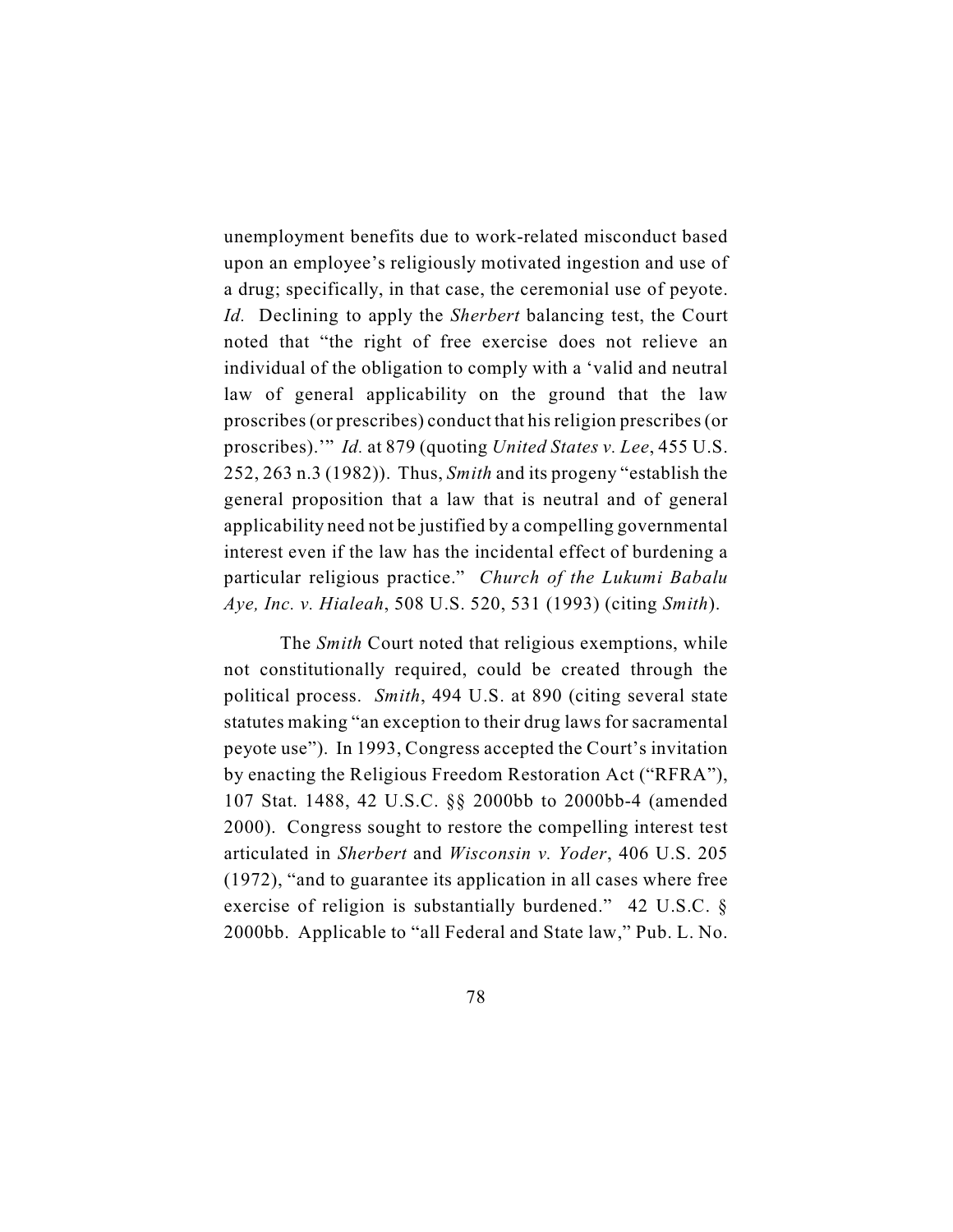unemployment benefits due to work-related misconduct based upon an employee's religiously motivated ingestion and use of a drug; specifically, in that case, the ceremonial use of peyote. *Id.* Declining to apply the *Sherbert* balancing test, the Court noted that "the right of free exercise does not relieve an individual of the obligation to comply with a 'valid and neutral law of general applicability on the ground that the law proscribes (or prescribes) conduct that his religion prescribes (or proscribes).'" *Id.* at 879 (quoting *United States v. Lee*, 455 U.S. 252, 263 n.3 (1982)). Thus, *Smith* and its progeny "establish the general proposition that a law that is neutral and of general applicability need not be justified by a compelling governmental interest even if the law has the incidental effect of burdening a particular religious practice." *Church of the Lukumi Babalu Aye, Inc. v. Hialeah*, 508 U.S. 520, 531 (1993) (citing *Smith*).

The *Smith* Court noted that religious exemptions, while not constitutionally required, could be created through the political process. *Smith*, 494 U.S. at 890 (citing several state statutes making "an exception to their drug laws for sacramental peyote use"). In 1993, Congress accepted the Court's invitation by enacting the Religious Freedom Restoration Act ("RFRA"), 107 Stat. 1488, 42 U.S.C. §§ 2000bb to 2000bb-4 (amended 2000). Congress sought to restore the compelling interest test articulated in *Sherbert* and *Wisconsin v. Yoder*, 406 U.S. 205 (1972), "and to guarantee its application in all cases where free exercise of religion is substantially burdened." 42 U.S.C. § 2000bb. Applicable to "all Federal and State law," Pub. L. No.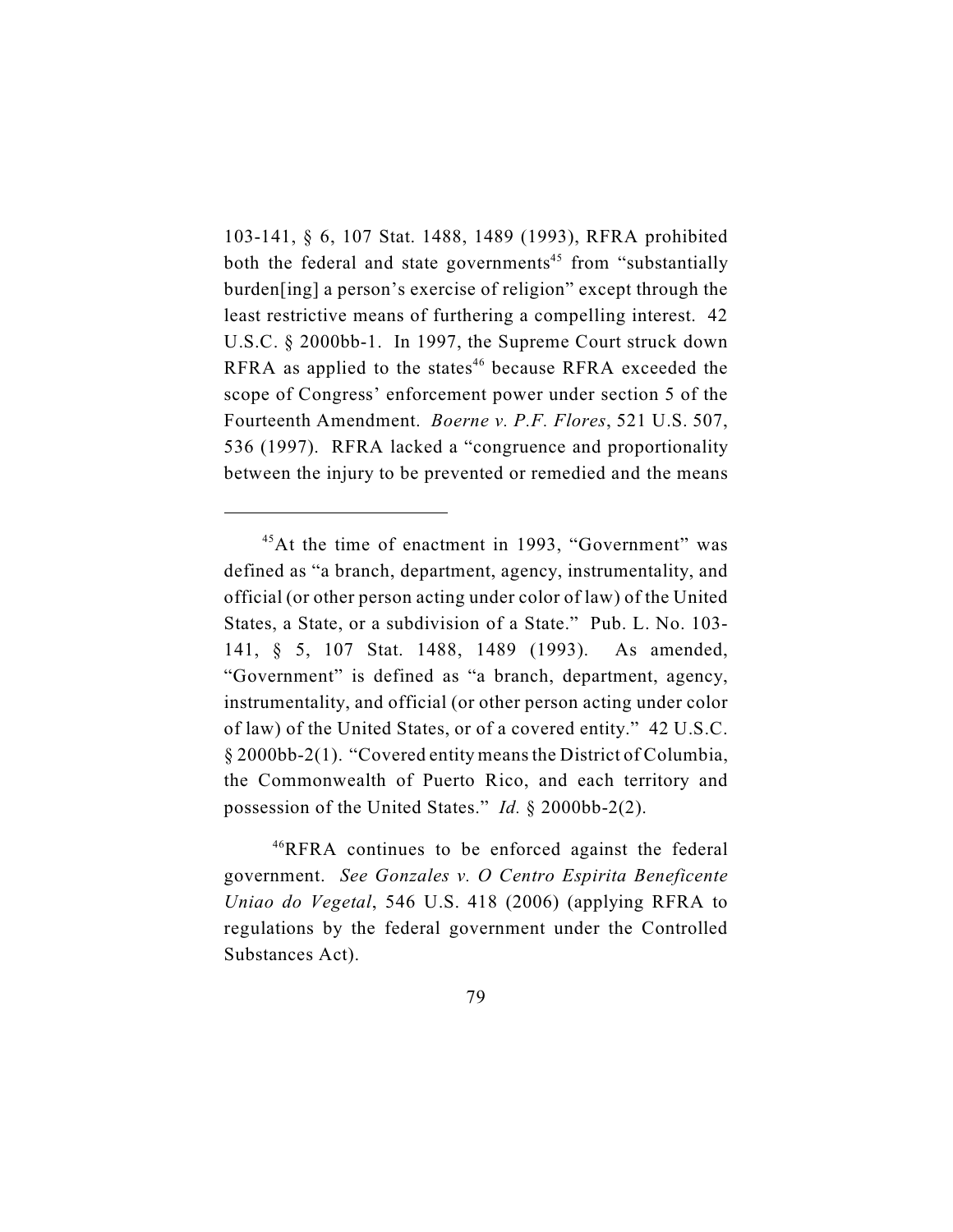103-141, § 6, 107 Stat. 1488, 1489 (1993), RFRA prohibited both the federal and state governments<sup>45</sup> from "substantially burden[ing] a person's exercise of religion" except through the least restrictive means of furthering a compelling interest. 42 U.S.C. § 2000bb-1. In 1997, the Supreme Court struck down RFRA as applied to the states<sup> $46$ </sup> because RFRA exceeded the scope of Congress' enforcement power under section 5 of the Fourteenth Amendment. *Boerne v. P.F. Flores*, 521 U.S. 507, 536 (1997). RFRA lacked a "congruence and proportionality between the injury to be prevented or remedied and the means

 $45$ At the time of enactment in 1993, "Government" was defined as "a branch, department, agency, instrumentality, and official (or other person acting under color of law) of the United States, a State, or a subdivision of a State." Pub. L. No. 103- 141, § 5, 107 Stat. 1488, 1489 (1993). As amended, "Government" is defined as "a branch, department, agency, instrumentality, and official (or other person acting under color of law) of the United States, or of a covered entity." 42 U.S.C. § 2000bb-2(1). "Covered entity meansthe District of Columbia, the Commonwealth of Puerto Rico, and each territory and possession of the United States." *Id.* § 2000bb-2(2).

 $^{46}$ RFRA continues to be enforced against the federal government. *See Gonzales v. O Centro Espirita Beneficente Uniao do Vegetal*, 546 U.S. 418 (2006) (applying RFRA to regulations by the federal government under the Controlled Substances Act).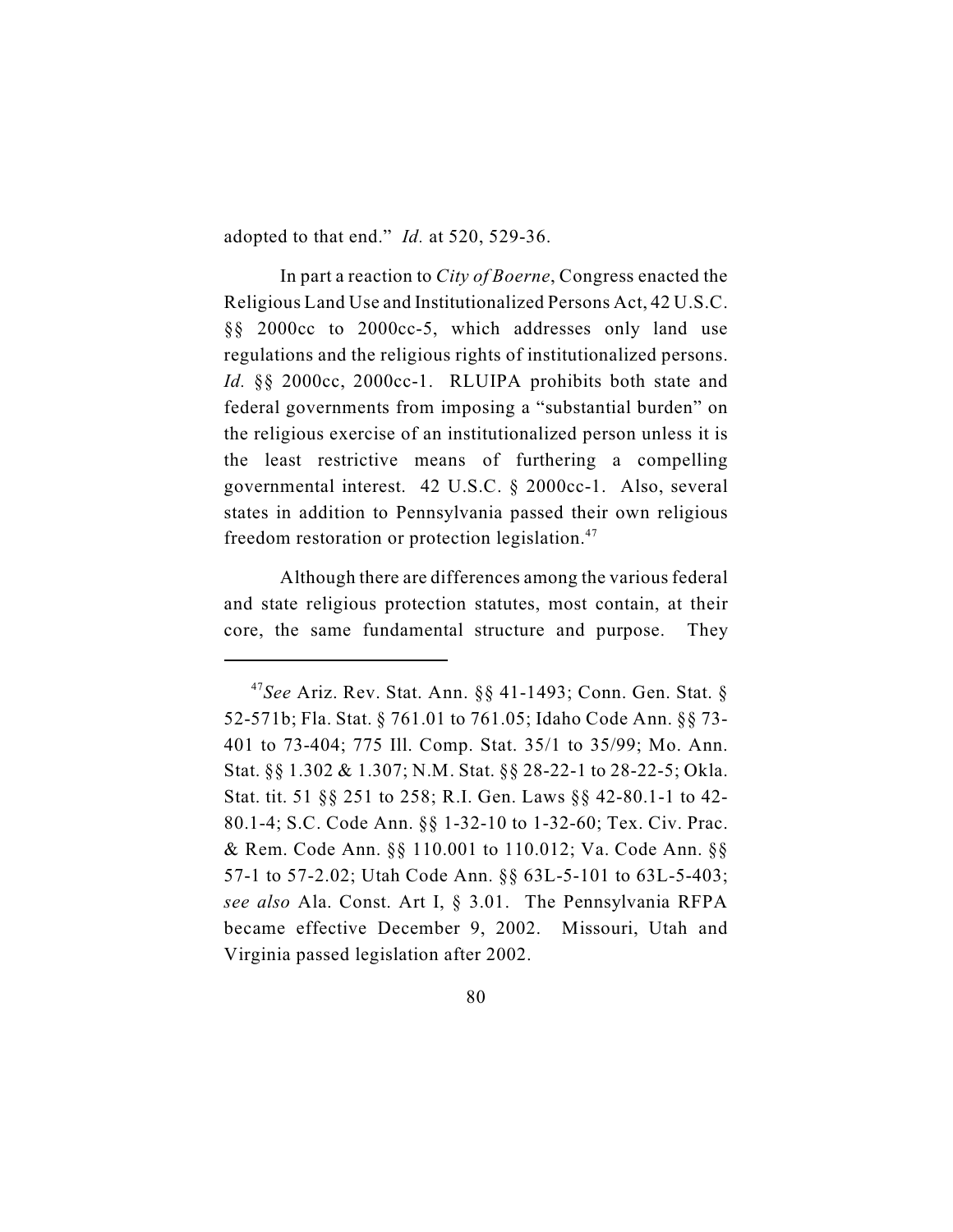adopted to that end." *Id.* at 520, 529-36.

In part a reaction to *City of Boerne*, Congress enacted the Religious Land Use and Institutionalized Persons Act, 42 U.S.C. §§ 2000cc to 2000cc-5, which addresses only land use regulations and the religious rights of institutionalized persons. *Id.* §§ 2000cc, 2000cc-1. RLUIPA prohibits both state and federal governments from imposing a "substantial burden" on the religious exercise of an institutionalized person unless it is the least restrictive means of furthering a compelling governmental interest. 42 U.S.C. § 2000cc-1. Also, several states in addition to Pennsylvania passed their own religious freedom restoration or protection legislation.<sup>47</sup>

Although there are differences among the various federal and state religious protection statutes, most contain, at their core, the same fundamental structure and purpose. They

<sup>&</sup>lt;sup>47</sup>See Ariz. Rev. Stat. Ann. §§ 41-1493; Conn. Gen. Stat. § 52-571b; Fla. Stat. § 761.01 to 761.05; Idaho Code Ann. §§ 73- 401 to 73-404; 775 Ill. Comp. Stat. 35/1 to 35/99; Mo. Ann. Stat. §§ 1.302 & 1.307; N.M. Stat. §§ 28-22-1 to 28-22-5; Okla. Stat. tit. 51 §§ 251 to 258; R.I. Gen. Laws §§ 42-80.1-1 to 42- 80.1-4; S.C. Code Ann. §§ 1-32-10 to 1-32-60; Tex. Civ. Prac. & Rem. Code Ann. §§ 110.001 to 110.012; Va. Code Ann. §§ 57-1 to 57-2.02; Utah Code Ann. §§ 63L-5-101 to 63L-5-403; *see also* Ala. Const. Art I, § 3.01. The Pennsylvania RFPA became effective December 9, 2002. Missouri, Utah and Virginia passed legislation after 2002.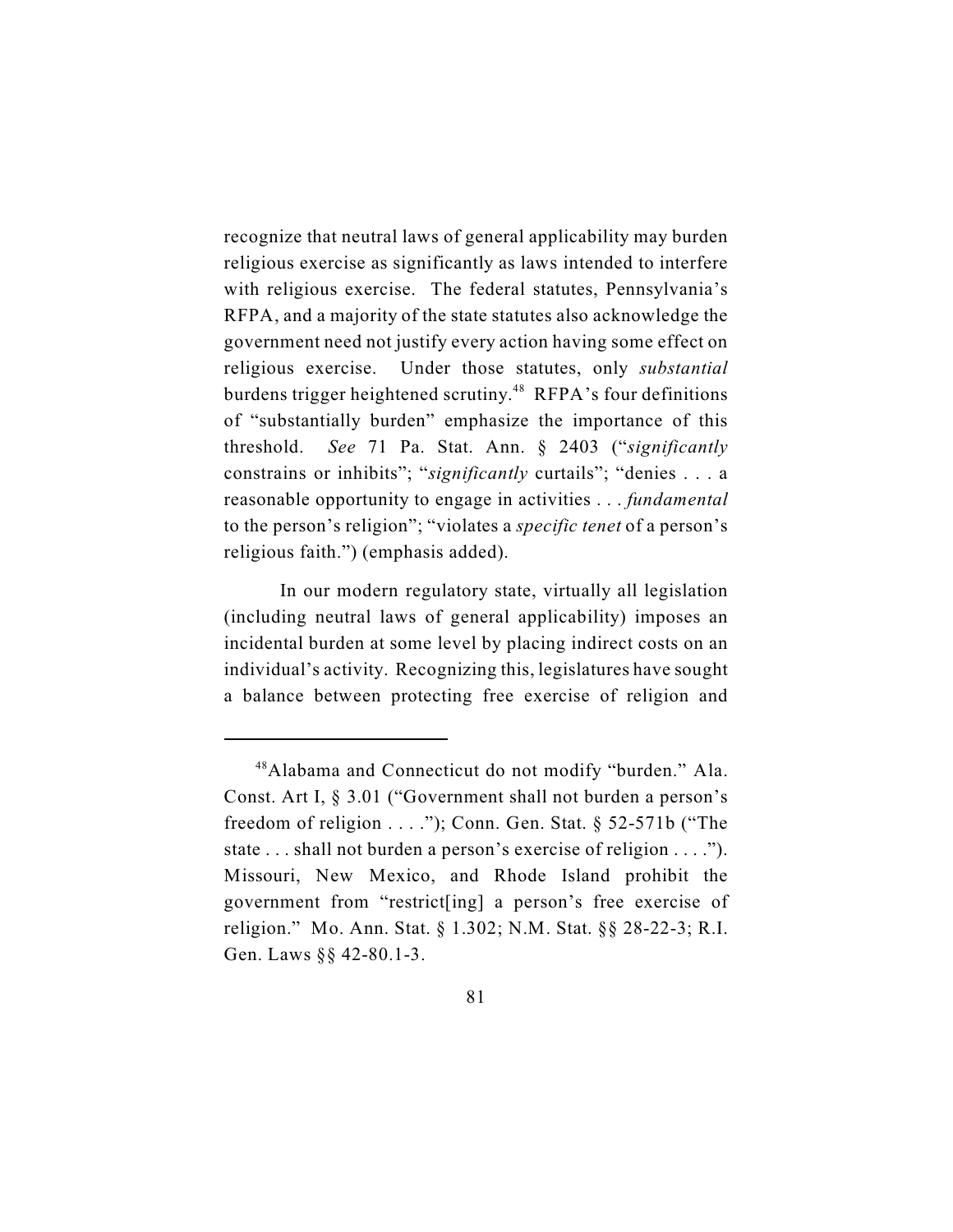recognize that neutral laws of general applicability may burden religious exercise as significantly as laws intended to interfere with religious exercise. The federal statutes, Pennsylvania's RFPA, and a majority of the state statutes also acknowledge the government need not justify every action having some effect on religious exercise. Under those statutes, only *substantial* burdens trigger heightened scrutiny.<sup>48</sup> RFPA's four definitions of "substantially burden" emphasize the importance of this threshold. *See* 71 Pa. Stat. Ann. § 2403 ("*significantly* constrains or inhibits"; "*significantly* curtails"; "denies . . . a reasonable opportunity to engage in activities . . . *fundamental* to the person's religion"; "violates a *specific tenet* of a person's religious faith.") (emphasis added).

In our modern regulatory state, virtually all legislation (including neutral laws of general applicability) imposes an incidental burden at some level by placing indirect costs on an individual's activity. Recognizing this, legislatures have sought a balance between protecting free exercise of religion and

<sup>&</sup>lt;sup>48</sup> Alabama and Connecticut do not modify "burden." Ala. Const. Art I, § 3.01 ("Government shall not burden a person's freedom of religion  $\dots$ ."); Conn. Gen. Stat. § 52-571b ("The state . . . shall not burden a person's exercise of religion . . . ."). Missouri, New Mexico, and Rhode Island prohibit the government from "restrict[ing] a person's free exercise of religion." Mo. Ann. Stat. § 1.302; N.M. Stat. §§ 28-22-3; R.I. Gen. Laws §§ 42-80.1-3.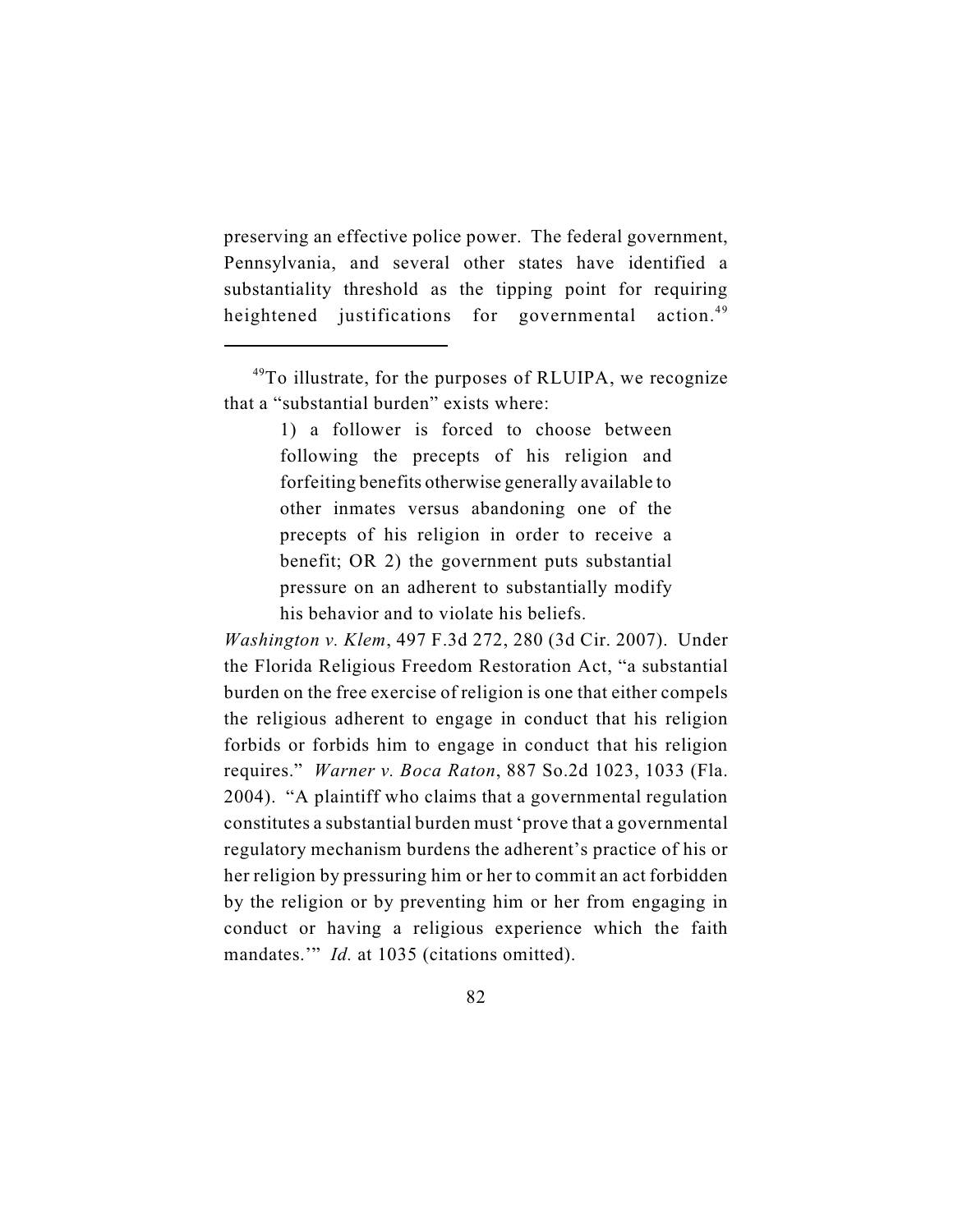preserving an effective police power. The federal government, Pennsylvania, and several other states have identified a substantiality threshold as the tipping point for requiring heightened justifications for governmental action.<sup>49</sup>

1) a follower is forced to choose between following the precepts of his religion and forfeiting benefits otherwise generally available to other inmates versus abandoning one of the precepts of his religion in order to receive a benefit; OR 2) the government puts substantial pressure on an adherent to substantially modify his behavior and to violate his beliefs.

*Washington v. Klem*, 497 F.3d 272, 280 (3d Cir. 2007). Under the Florida Religious Freedom Restoration Act, "a substantial burden on the free exercise of religion is one that either compels the religious adherent to engage in conduct that his religion forbids or forbids him to engage in conduct that his religion requires." *Warner v. Boca Raton*, 887 So.2d 1023, 1033 (Fla. 2004). "A plaintiff who claims that a governmental regulation constitutes a substantial burden must 'prove that a governmental regulatory mechanism burdens the adherent's practice of his or her religion by pressuring him or her to commit an act forbidden by the religion or by preventing him or her from engaging in conduct or having a religious experience which the faith mandates." *Id.* at 1035 (citations omitted).

 $49$ To illustrate, for the purposes of RLUIPA, we recognize that a "substantial burden" exists where: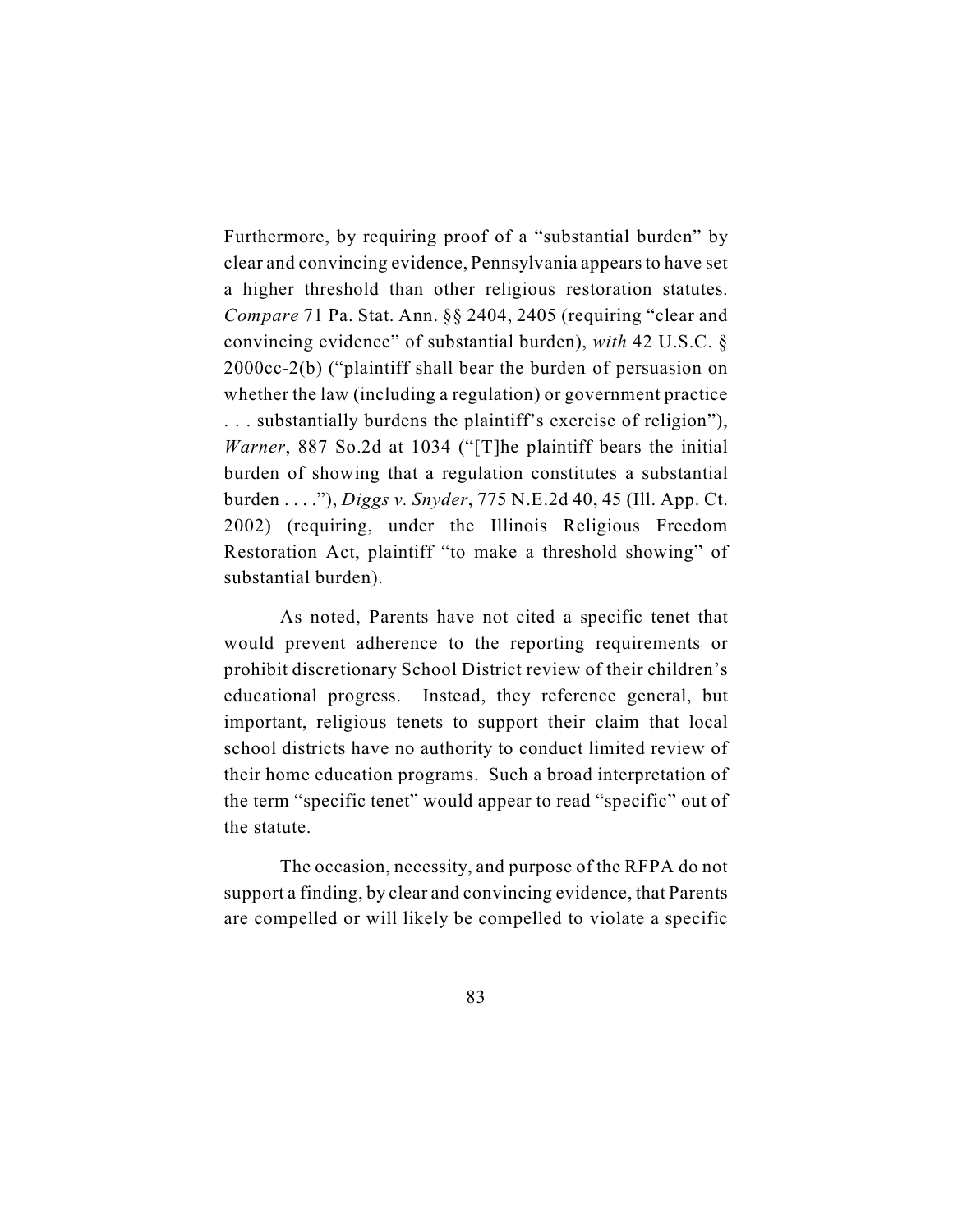Furthermore, by requiring proof of a "substantial burden" by clear and convincing evidence, Pennsylvania appearsto have set a higher threshold than other religious restoration statutes. *Compare* 71 Pa. Stat. Ann. §§ 2404, 2405 (requiring "clear and convincing evidence" of substantial burden), *with* 42 U.S.C. § 2000cc-2(b) ("plaintiff shall bear the burden of persuasion on whether the law (including a regulation) or government practice . . . substantially burdens the plaintiff's exercise of religion"), *Warner*, 887 So.2d at 1034 ("[T]he plaintiff bears the initial burden of showing that a regulation constitutes a substantial burden . . . ."), *Diggs v. Snyder*, 775 N.E.2d 40, 45 (Ill. App. Ct. 2002) (requiring, under the Illinois Religious Freedom Restoration Act, plaintiff "to make a threshold showing" of substantial burden).

As noted, Parents have not cited a specific tenet that would prevent adherence to the reporting requirements or prohibit discretionary School District review of their children's educational progress. Instead, they reference general, but important, religious tenets to support their claim that local school districts have no authority to conduct limited review of their home education programs. Such a broad interpretation of the term "specific tenet" would appear to read "specific" out of the statute.

The occasion, necessity, and purpose of the RFPA do not support a finding, by clear and convincing evidence, that Parents are compelled or will likely be compelled to violate a specific